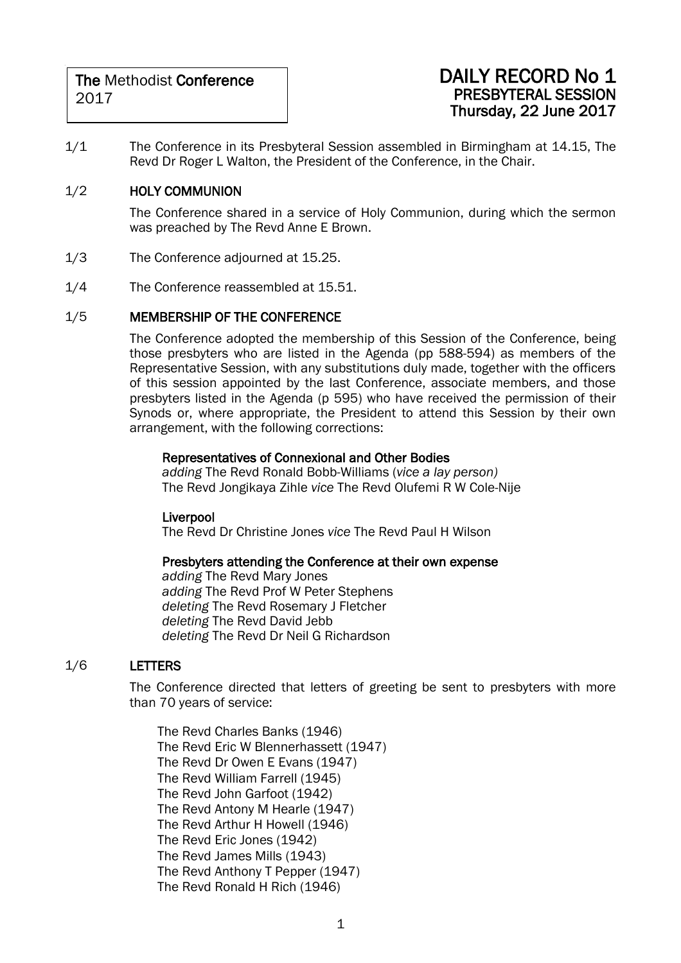### DAILY RECORD No 1 PRESBYTERAL SESSION Thursday, 22 June 2017

1/1 The Conference in its Presbyteral Session assembled in Birmingham at 14.15, The Revd Dr Roger L Walton, the President of the Conference, in the Chair.

### 1/2 HOLY COMMUNION

The Conference shared in a service of Holy Communion, during which the sermon was preached by The Revd Anne E Brown.

- 1/3 The Conference adjourned at 15.25.
- 1/4 The Conference reassembled at 15.51.

### 1/5 MEMBERSHIP OF THE CONFERENCE

The Conference adopted the membership of this Session of the Conference, being those presbyters who are listed in the Agenda (pp 588-594) as members of the Representative Session, with any substitutions duly made, together with the officers of this session appointed by the last Conference, associate members, and those presbyters listed in the Agenda (p 595) who have received the permission of their Synods or, where appropriate, the President to attend this Session by their own arrangement, with the following corrections:

### Representatives of Connexional and Other Bodies

*adding* The Revd Ronald Bobb-Williams (*vice a lay person)* The Revd Jongikaya Zihle *vice* The Revd Olufemi R W Cole-Nije

### Liverpool

The Revd Dr Christine Jones *vice* The Revd Paul H Wilson

### Presbyters attending the Conference at their own expense

*adding* The Revd Mary Jones *adding* The Revd Prof W Peter Stephens *deleting* The Revd Rosemary J Fletcher *deleting* The Revd David Jebb *deleting* The Revd Dr Neil G Richardson

### 1/6 LETTERS

The Conference directed that letters of greeting be sent to presbyters with more than 70 years of service:

The Revd Charles Banks (1946) The Revd Eric W Blennerhassett (1947) The Revd Dr Owen E Evans (1947) The Revd William Farrell (1945) The Revd John Garfoot (1942) The Revd Antony M Hearle (1947) The Revd Arthur H Howell (1946) The Revd Eric Jones (1942) The Revd James Mills (1943) The Revd Anthony T Pepper (1947) The Revd Ronald H Rich (1946)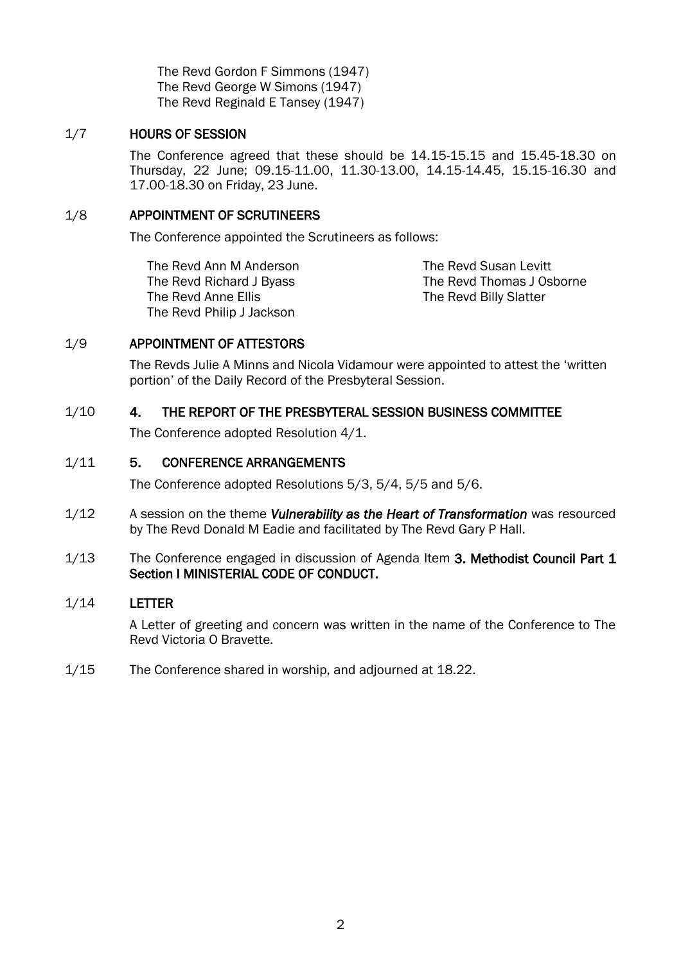The Revd Gordon F Simmons (1947) The Revd George W Simons (1947) The Revd Reginald E Tansey (1947)

### 1/7 HOURS OF SESSION

The Conference agreed that these should be 14.15-15.15 and 15.45-18.30 on Thursday, 22 June; 09.15-11.00, 11.30-13.00, 14.15-14.45, 15.15-16.30 and 17.00-18.30 on Friday, 23 June.

### 1/8 APPOINTMENT OF SCRUTINEERS

The Conference appointed the Scrutineers as follows:

The Revd Ann M Anderson The Revd Richard J Byass The Revd Anne Ellis The Revd Philip J Jackson

The Revd Susan Levitt The Revd Thomas J Osborne The Revd Billy Slatter

### 1/9 APPOINTMENT OF ATTESTORS

The Revds Julie A Minns and Nicola Vidamour were appointed to attest the 'written portion' of the Daily Record of the Presbyteral Session.

### 1/10 4. THE REPORT OF THE PRESBYTERAL SESSION BUSINESS COMMITTEE

The Conference adopted Resolution 4/1.

### 1/11 5. CONFERENCE ARRANGEMENTS

The Conference adopted Resolutions 5/3, 5/4, 5/5 and 5/6.

- 1/12 A session on the theme *Vulnerability as the Heart of Transformation* was resourced by The Revd Donald M Eadie and facilitated by The Revd Gary P Hall.
- 1/13 The Conference engaged in discussion of Agenda Item 3. Methodist Council Part 1 Section I MINISTERIAL CODE OF CONDUCT.

### 1/14 LETTER

A Letter of greeting and concern was written in the name of the Conference to The Revd Victoria O Bravette.

1/15 The Conference shared in worship, and adjourned at 18.22.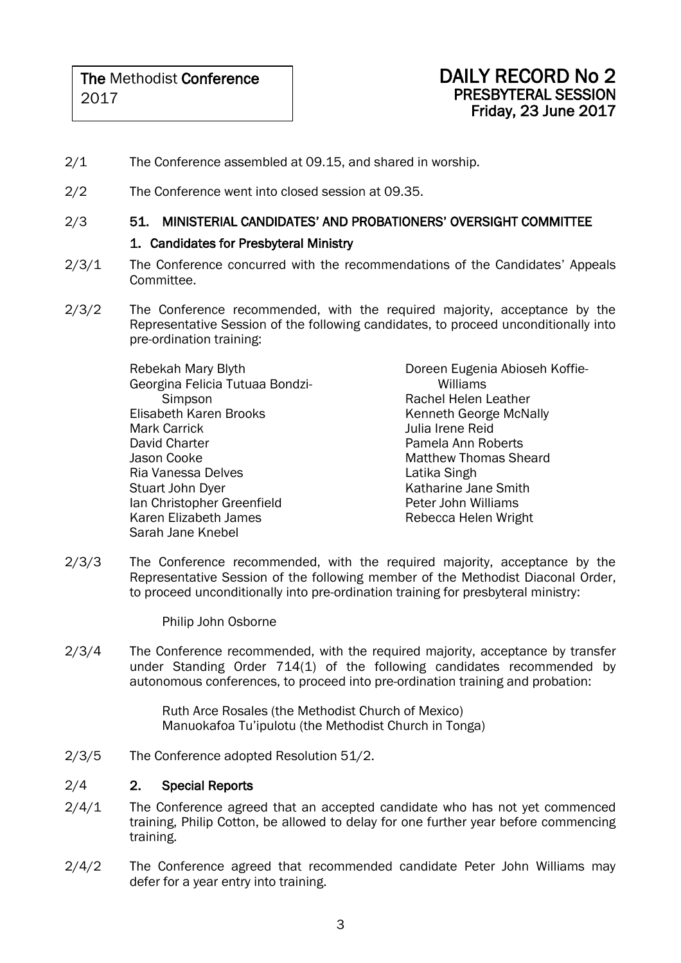- 2/1 The Conference assembled at 09.15, and shared in worship.
- 2/2 The Conference went into closed session at 09.35.

### 2/3 51. MINISTERIAL CANDIDATES' AND PROBATIONERS' OVERSIGHT COMMITTEE

### 1. Candidates for Presbyteral Ministry

- 2/3/1 The Conference concurred with the recommendations of the Candidates' Appeals Committee.
- 2/3/2 The Conference recommended, with the required majority, acceptance by the Representative Session of the following candidates, to proceed unconditionally into pre-ordination training:

Rebekah Mary Blyth Georgina Felicia Tutuaa Bondzi-**Simpson** Elisabeth Karen Brooks Mark Carrick David Charter Jason Cooke Ria Vanessa Delves Stuart John Dyer Ian Christopher Greenfield Karen Elizabeth James Sarah Jane Knebel

Doreen Eugenia Abioseh Koffie-Williams Rachel Helen Leather Kenneth George McNally Julia Irene Reid Pamela Ann Roberts Matthew Thomas Sheard Latika Singh Katharine Jane Smith Peter John Williams Rebecca Helen Wright

2/3/3 The Conference recommended, with the required majority, acceptance by the Representative Session of the following member of the Methodist Diaconal Order, to proceed unconditionally into pre-ordination training for presbyteral ministry:

Philip John Osborne

2/3/4 The Conference recommended, with the required majority, acceptance by transfer under Standing Order 714(1) of the following candidates recommended by autonomous conferences, to proceed into pre-ordination training and probation:

> Ruth Arce Rosales (the Methodist Church of Mexico) Manuokafoa Tu'ipulotu (the Methodist Church in Tonga)

2/3/5 The Conference adopted Resolution 51/2.

### 2/4 2. Special Reports

- 2/4/1 The Conference agreed that an accepted candidate who has not yet commenced training, Philip Cotton, be allowed to delay for one further year before commencing training.
- 2/4/2 The Conference agreed that recommended candidate Peter John Williams may defer for a year entry into training.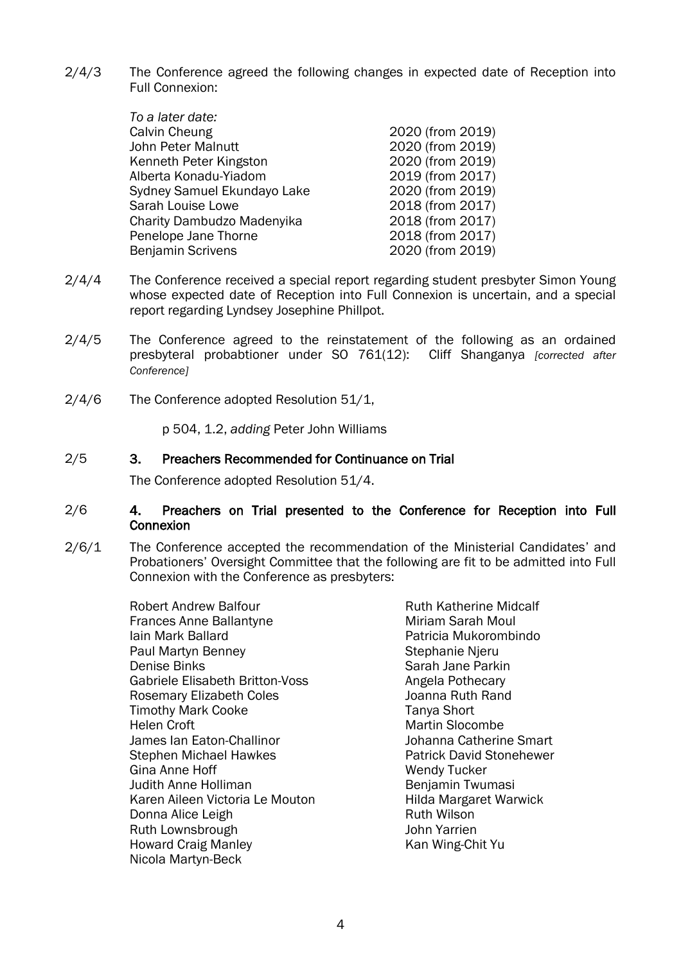2/4/3 The Conference agreed the following changes in expected date of Reception into Full Connexion:

| To a later date:            |                  |
|-----------------------------|------------------|
| Calvin Cheung               | 2020 (from 2019) |
| John Peter Malnutt          | 2020 (from 2019) |
| Kenneth Peter Kingston      | 2020 (from 2019) |
| Alberta Konadu-Yiadom       | 2019 (from 2017) |
| Sydney Samuel Ekundayo Lake | 2020 (from 2019) |
| Sarah Louise Lowe           | 2018 (from 2017) |
| Charity Dambudzo Madenyika  | 2018 (from 2017) |
| Penelope Jane Thorne        | 2018 (from 2017) |
| <b>Benjamin Scrivens</b>    | 2020 (from 2019) |
|                             |                  |

- 2/4/4 The Conference received a special report regarding student presbyter Simon Young whose expected date of Reception into Full Connexion is uncertain, and a special report regarding Lyndsey Josephine Phillpot.
- 2/4/5 The Conference agreed to the reinstatement of the following as an ordained presbyteral probabtioner under SO 761(12): Cliff Shanganya *[corrected after Conference]*
- 2/4/6 The Conference adopted Resolution 51/1,

p 504, 1.2, *adding* Peter John Williams

#### 2/5 3. Preachers Recommended for Continuance on Trial

The Conference adopted Resolution 51/4.

### 2/6 4. Preachers on Trial presented to the Conference for Reception into Full **Connexion**

2/6/1 The Conference accepted the recommendation of the Ministerial Candidates' and Probationers' Oversight Committee that the following are fit to be admitted into Full Connexion with the Conference as presbyters:

> Robert Andrew Balfour Frances Anne Ballantyne Iain Mark Ballard Paul Martyn Benney Denise Binks Gabriele Elisabeth Britton-Voss Rosemary Elizabeth Coles Timothy Mark Cooke Helen Croft James Ian Eaton-Challinor Stephen Michael Hawkes Gina Anne Hoff Judith Anne Holliman Karen Aileen Victoria Le Mouton Donna Alice Leigh Ruth Lownsbrough Howard Craig Manley Nicola Martyn-Beck

Ruth Katherine Midcalf Miriam Sarah Moul Patricia Mukorombindo Stephanie Njeru Sarah Jane Parkin Angela Pothecary Joanna Ruth Rand Tanya Short Martin Slocombe Johanna Catherine Smart Patrick David Stonehewer Wendy Tucker Benjamin Twumasi Hilda Margaret Warwick Ruth Wilson John Yarrien Kan Wing-Chit Yu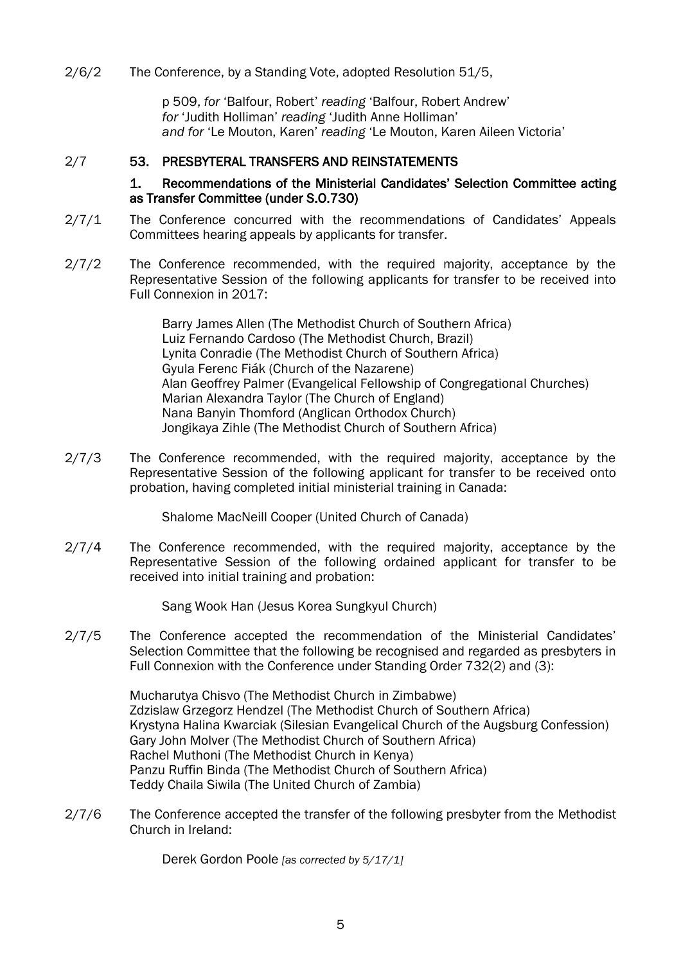2/6/2 The Conference, by a Standing Vote, adopted Resolution 51/5,

p 509, *for* 'Balfour, Robert' *reading* 'Balfour, Robert Andrew' *for* 'Judith Holliman' *reading* 'Judith Anne Holliman' *and for* 'Le Mouton, Karen' *reading* 'Le Mouton, Karen Aileen Victoria'

### 2/7 53. PRESBYTERAL TRANSFERS AND REINSTATEMENTS

### 1. Recommendations of the Ministerial Candidates' Selection Committee acting as Transfer Committee (under S.O.730)

- 2/7/1 The Conference concurred with the recommendations of Candidates' Appeals Committees hearing appeals by applicants for transfer.
- 2/7/2 The Conference recommended, with the required majority, acceptance by the Representative Session of the following applicants for transfer to be received into Full Connexion in 2017:

Barry James Allen (The Methodist Church of Southern Africa) Luiz Fernando Cardoso (The Methodist Church, Brazil) Lynita Conradie (The Methodist Church of Southern Africa) Gyula Ferenc Fiák (Church of the Nazarene) Alan Geoffrey Palmer (Evangelical Fellowship of Congregational Churches) Marian Alexandra Taylor (The Church of England) Nana Banyin Thomford (Anglican Orthodox Church) Jongikaya Zihle (The Methodist Church of Southern Africa)

2/7/3 The Conference recommended, with the required majority, acceptance by the Representative Session of the following applicant for transfer to be received onto probation, having completed initial ministerial training in Canada:

Shalome MacNeill Cooper (United Church of Canada)

2/7/4 The Conference recommended, with the required majority, acceptance by the Representative Session of the following ordained applicant for transfer to be received into initial training and probation:

Sang Wook Han (Jesus Korea Sungkyul Church)

2/7/5 The Conference accepted the recommendation of the Ministerial Candidates' Selection Committee that the following be recognised and regarded as presbyters in Full Connexion with the Conference under Standing Order 732(2) and (3):

> Mucharutya Chisvo (The Methodist Church in Zimbabwe) Zdzislaw Grzegorz Hendzel (The Methodist Church of Southern Africa) Krystyna Halina Kwarciak (Silesian Evangelical Church of the Augsburg Confession) Gary John Molver (The Methodist Church of Southern Africa) Rachel Muthoni (The Methodist Church in Kenya) Panzu Ruffin Binda (The Methodist Church of Southern Africa) Teddy Chaila Siwila (The United Church of Zambia)

2/7/6 The Conference accepted the transfer of the following presbyter from the Methodist Church in Ireland:

Derek Gordon Poole *[as corrected by 5/17/1]*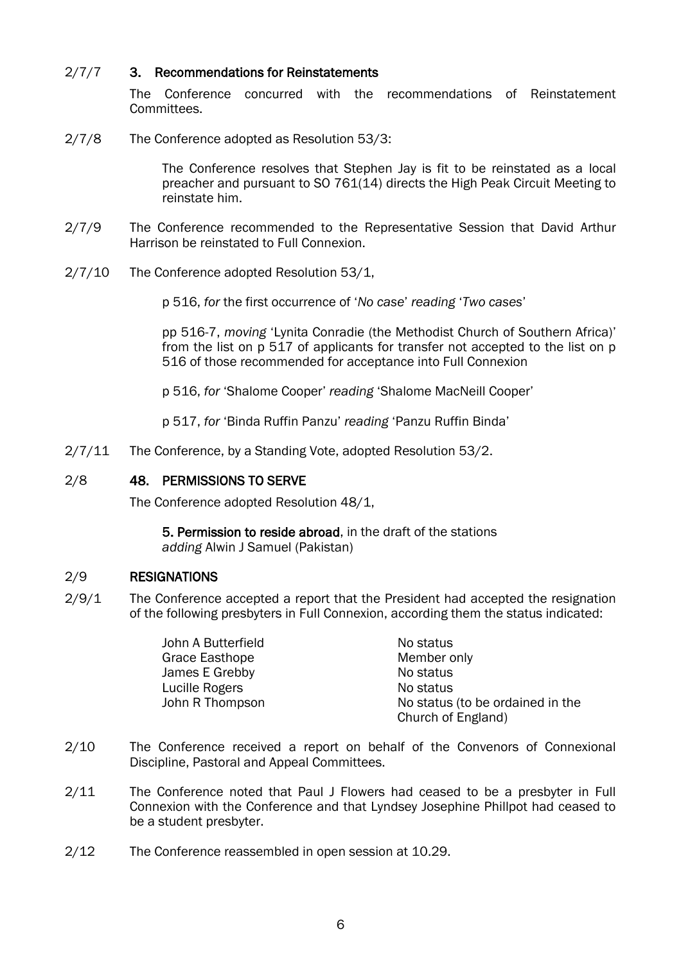### 2/7/7 3. Recommendations for Reinstatements

The Conference concurred with the recommendations of Reinstatement Committees.

2/7/8 The Conference adopted as Resolution 53/3:

The Conference resolves that Stephen Jay is fit to be reinstated as a local preacher and pursuant to SO 761(14) directs the High Peak Circuit Meeting to reinstate him.

- 2/7/9 The Conference recommended to the Representative Session that David Arthur Harrison be reinstated to Full Connexion.
- 2/7/10 The Conference adopted Resolution 53/1,

p 516, *for* the first occurrence of '*No case*' *reading* '*Two cases*'

pp 516-7, *moving* 'Lynita Conradie (the Methodist Church of Southern Africa)' from the list on p 517 of applicants for transfer not accepted to the list on p 516 of those recommended for acceptance into Full Connexion

p 516, *for* 'Shalome Cooper' *reading* 'Shalome MacNeill Cooper'

p 517, *for* 'Binda Ruffin Panzu' *reading* 'Panzu Ruffin Binda'

2/7/11 The Conference, by a Standing Vote, adopted Resolution 53/2.

### 2/8 48. PERMISSIONS TO SERVE

The Conference adopted Resolution 48/1,

5. Permission to reside abroad, in the draft of the stations *adding* Alwin J Samuel (Pakistan)

### 2/9 RESIGNATIONS

2/9/1 The Conference accepted a report that the President had accepted the resignation of the following presbyters in Full Connexion, according them the status indicated:

| John A Butterfield | No status                        |
|--------------------|----------------------------------|
| Grace Easthope     | Member only                      |
| James E Grebby     | No status                        |
| Lucille Rogers     | No status                        |
| John R Thompson    | No status (to be ordained in the |
|                    | Church of England)               |

- 2/10 The Conference received a report on behalf of the Convenors of Connexional Discipline, Pastoral and Appeal Committees.
- 2/11 The Conference noted that Paul J Flowers had ceased to be a presbyter in Full Connexion with the Conference and that Lyndsey Josephine Phillpot had ceased to be a student presbyter.
- 2/12 The Conference reassembled in open session at 10.29.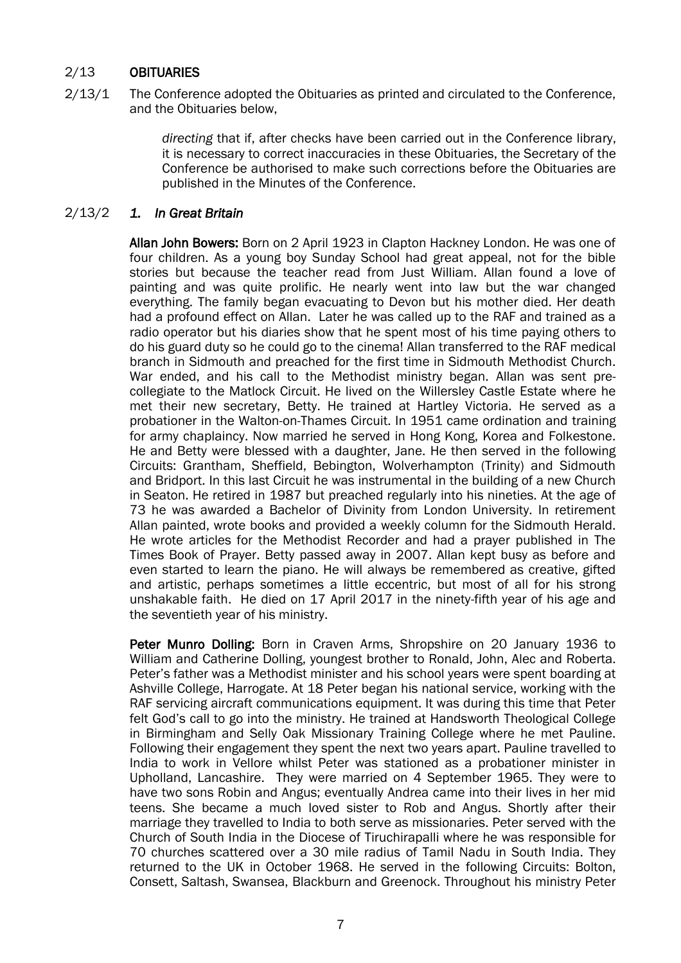### 2/13 OBITUARIES

2/13/1 The Conference adopted the Obituaries as printed and circulated to the Conference, and the Obituaries below,

> *directing* that if, after checks have been carried out in the Conference library, it is necessary to correct inaccuracies in these Obituaries, the Secretary of the Conference be authorised to make such corrections before the Obituaries are published in the Minutes of the Conference.

### 2/13/2 *1. In Great Britain*

Allan John Bowers: Born on 2 April 1923 in Clapton Hackney London. He was one of four children. As a young boy Sunday School had great appeal, not for the bible stories but because the teacher read from Just William. Allan found a love of painting and was quite prolific. He nearly went into law but the war changed everything. The family began evacuating to Devon but his mother died. Her death had a profound effect on Allan. Later he was called up to the RAF and trained as a radio operator but his diaries show that he spent most of his time paying others to do his guard duty so he could go to the cinema! Allan transferred to the RAF medical branch in Sidmouth and preached for the first time in Sidmouth Methodist Church. War ended, and his call to the Methodist ministry began. Allan was sent precollegiate to the Matlock Circuit. He lived on the Willersley Castle Estate where he met their new secretary, Betty. He trained at Hartley Victoria. He served as a probationer in the Walton-on-Thames Circuit. In 1951 came ordination and training for army chaplaincy. Now married he served in Hong Kong, Korea and Folkestone. He and Betty were blessed with a daughter, Jane. He then served in the following Circuits: Grantham, Sheffield, Bebington, Wolverhampton (Trinity) and Sidmouth and Bridport. In this last Circuit he was instrumental in the building of a new Church in Seaton. He retired in 1987 but preached regularly into his nineties. At the age of 73 he was awarded a Bachelor of Divinity from London University. In retirement Allan painted, wrote books and provided a weekly column for the Sidmouth Herald. He wrote articles for the Methodist Recorder and had a prayer published in The Times Book of Prayer. Betty passed away in 2007. Allan kept busy as before and even started to learn the piano. He will always be remembered as creative, gifted and artistic, perhaps sometimes a little eccentric, but most of all for his strong unshakable faith. He died on 17 April 2017 in the ninety-fifth year of his age and the seventieth year of his ministry.

Peter Munro Dolling: Born in Craven Arms, Shropshire on 20 January 1936 to William and Catherine Dolling, youngest brother to Ronald, John, Alec and Roberta. Peter's father was a Methodist minister and his school years were spent boarding at Ashville College, Harrogate. At 18 Peter began his national service, working with the RAF servicing aircraft communications equipment. It was during this time that Peter felt God's call to go into the ministry. He trained at Handsworth Theological College in Birmingham and Selly Oak Missionary Training College where he met Pauline. Following their engagement they spent the next two years apart. Pauline travelled to India to work in Vellore whilst Peter was stationed as a probationer minister in Upholland, Lancashire. They were married on 4 September 1965. They were to have two sons Robin and Angus; eventually Andrea came into their lives in her mid teens. She became a much loved sister to Rob and Angus. Shortly after their marriage they travelled to India to both serve as missionaries. Peter served with the Church of South India in the Diocese of Tiruchirapalli where he was responsible for 70 churches scattered over a 30 mile radius of Tamil Nadu in South India. They returned to the UK in October 1968. He served in the following Circuits: Bolton, Consett, Saltash, Swansea, Blackburn and Greenock. Throughout his ministry Peter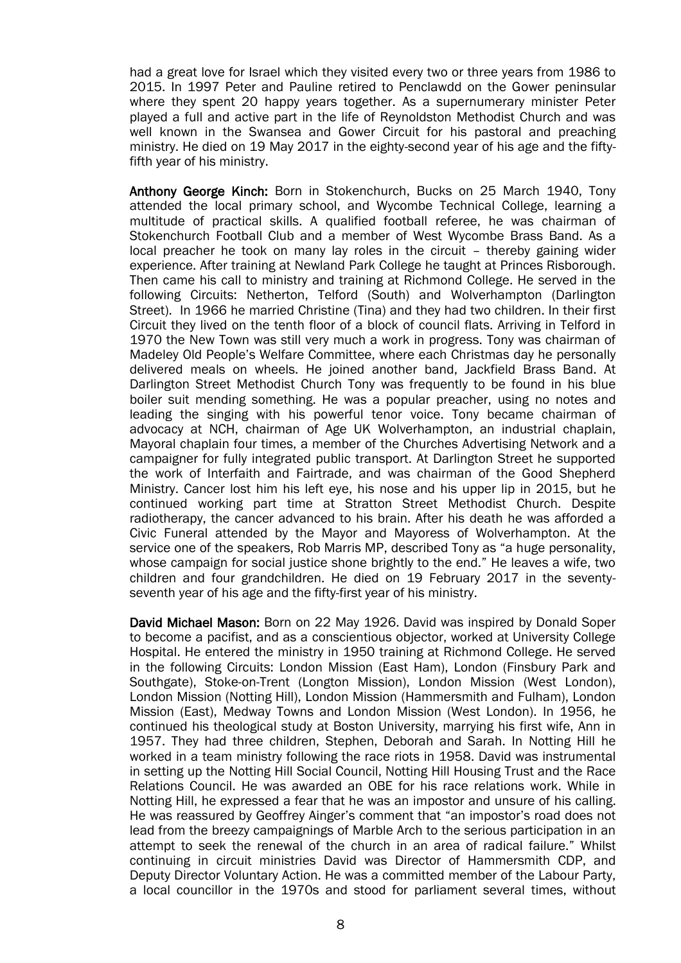had a great love for Israel which they visited every two or three years from 1986 to 2015. In 1997 Peter and Pauline retired to Penclawdd on the Gower peninsular where they spent 20 happy years together. As a supernumerary minister Peter played a full and active part in the life of Reynoldston Methodist Church and was well known in the Swansea and Gower Circuit for his pastoral and preaching ministry. He died on 19 May 2017 in the eighty-second year of his age and the fiftyfifth year of his ministry.

Anthony George Kinch: Born in Stokenchurch, Bucks on 25 March 1940, Tony attended the local primary school, and Wycombe Technical College, learning a multitude of practical skills. A qualified football referee, he was chairman of Stokenchurch Football Club and a member of West Wycombe Brass Band. As a local preacher he took on many lay roles in the circuit – thereby gaining wider experience. After training at Newland Park College he taught at Princes Risborough. Then came his call to ministry and training at Richmond College. He served in the following Circuits: Netherton, Telford (South) and Wolverhampton (Darlington Street). In 1966 he married Christine (Tina) and they had two children. In their first Circuit they lived on the tenth floor of a block of council flats. Arriving in Telford in 1970 the New Town was still very much a work in progress. Tony was chairman of Madeley Old People's Welfare Committee, where each Christmas day he personally delivered meals on wheels. He joined another band, Jackfield Brass Band. At Darlington Street Methodist Church Tony was frequently to be found in his blue boiler suit mending something. He was a popular preacher, using no notes and leading the singing with his powerful tenor voice. Tony became chairman of advocacy at NCH, chairman of Age UK Wolverhampton, an industrial chaplain, Mayoral chaplain four times, a member of the Churches Advertising Network and a campaigner for fully integrated public transport. At Darlington Street he supported the work of Interfaith and Fairtrade, and was chairman of the Good Shepherd Ministry. Cancer lost him his left eye, his nose and his upper lip in 2015, but he continued working part time at Stratton Street Methodist Church. Despite radiotherapy, the cancer advanced to his brain. After his death he was afforded a Civic Funeral attended by the Mayor and Mayoress of Wolverhampton. At the service one of the speakers, Rob Marris MP, described Tony as "a huge personality, whose campaign for social justice shone brightly to the end." He leaves a wife, two children and four grandchildren. He died on 19 February 2017 in the seventyseventh year of his age and the fifty-first year of his ministry.

David Michael Mason: Born on 22 May 1926. David was inspired by Donald Soper to become a pacifist, and as a conscientious objector, worked at University College Hospital. He entered the ministry in 1950 training at Richmond College. He served in the following Circuits: London Mission (East Ham), London (Finsbury Park and Southgate), Stoke-on-Trent (Longton Mission), London Mission (West London), London Mission (Notting Hill), London Mission (Hammersmith and Fulham), London Mission (East), Medway Towns and London Mission (West London). In 1956, he continued his theological study at Boston University, marrying his first wife, Ann in 1957. They had three children, Stephen, Deborah and Sarah. In Notting Hill he worked in a team ministry following the race riots in 1958. David was instrumental in setting up the Notting Hill Social Council, Notting Hill Housing Trust and the Race Relations Council. He was awarded an OBE for his race relations work. While in Notting Hill, he expressed a fear that he was an impostor and unsure of his calling. He was reassured by Geoffrey Ainger's comment that "an impostor's road does not lead from the breezy campaignings of Marble Arch to the serious participation in an attempt to seek the renewal of the church in an area of radical failure." Whilst continuing in circuit ministries David was Director of Hammersmith CDP, and Deputy Director Voluntary Action. He was a committed member of the Labour Party, a local councillor in the 1970s and stood for parliament several times, without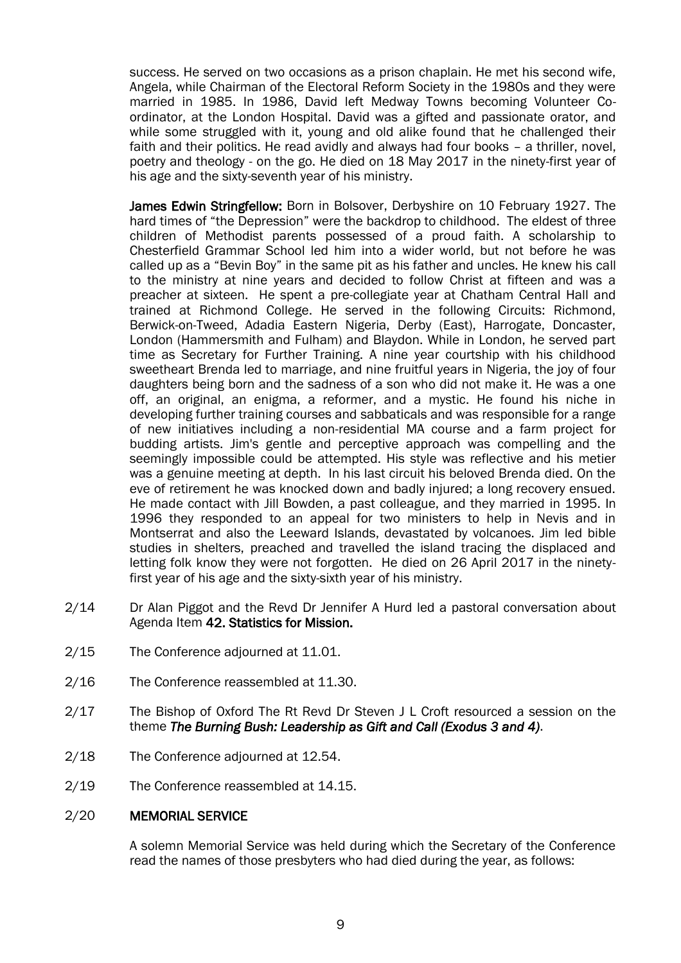success. He served on two occasions as a prison chaplain. He met his second wife, Angela, while Chairman of the Electoral Reform Society in the 1980s and they were married in 1985. In 1986, David left Medway Towns becoming Volunteer Coordinator, at the London Hospital. David was a gifted and passionate orator, and while some struggled with it, young and old alike found that he challenged their faith and their politics. He read avidly and always had four books – a thriller, novel, poetry and theology - on the go. He died on 18 May 2017 in the ninety-first year of his age and the sixty-seventh year of his ministry.

James Edwin Stringfellow: Born in Bolsover, Derbyshire on 10 February 1927. The hard times of "the Depression" were the backdrop to childhood. The eldest of three children of Methodist parents possessed of a proud faith. A scholarship to Chesterfield Grammar School led him into a wider world, but not before he was called up as a "Bevin Boy" in the same pit as his father and uncles. He knew his call to the ministry at nine years and decided to follow Christ at fifteen and was a preacher at sixteen. He spent a pre-collegiate year at Chatham Central Hall and trained at Richmond College. He served in the following Circuits: Richmond, Berwick-on-Tweed, Adadia Eastern Nigeria, Derby (East), Harrogate, Doncaster, London (Hammersmith and Fulham) and Blaydon. While in London, he served part time as Secretary for Further Training. A nine year courtship with his childhood sweetheart Brenda led to marriage, and nine fruitful years in Nigeria, the joy of four daughters being born and the sadness of a son who did not make it. He was a one off, an original, an enigma, a reformer, and a mystic. He found his niche in developing further training courses and sabbaticals and was responsible for a range of new initiatives including a non-residential MA course and a farm project for budding artists. Jim's gentle and perceptive approach was compelling and the seemingly impossible could be attempted. His style was reflective and his metier was a genuine meeting at depth. In his last circuit his beloved Brenda died. On the eve of retirement he was knocked down and badly injured; a long recovery ensued. He made contact with Jill Bowden, a past colleague, and they married in 1995. In 1996 they responded to an appeal for two ministers to help in Nevis and in Montserrat and also the Leeward Islands, devastated by volcanoes. Jim led bible studies in shelters, preached and travelled the island tracing the displaced and letting folk know they were not forgotten. He died on 26 April 2017 in the ninetyfirst year of his age and the sixty-sixth year of his ministry.

- 2/14 Dr Alan Piggot and the Revd Dr Jennifer A Hurd led a pastoral conversation about Agenda Item 42. Statistics for Mission.
- 2/15 The Conference adjourned at 11.01.
- 2/16 The Conference reassembled at 11.30.
- 2/17 The Bishop of Oxford The Rt Revd Dr Steven J L Croft resourced a session on the theme *The Burning Bush: Leadership as Gift and Call (Exodus 3 and 4)*.
- 2/18 The Conference adjourned at 12.54.
- 2/19 The Conference reassembled at 14.15.

### 2/20 MEMORIAL SERVICE

A solemn Memorial Service was held during which the Secretary of the Conference read the names of those presbyters who had died during the year, as follows: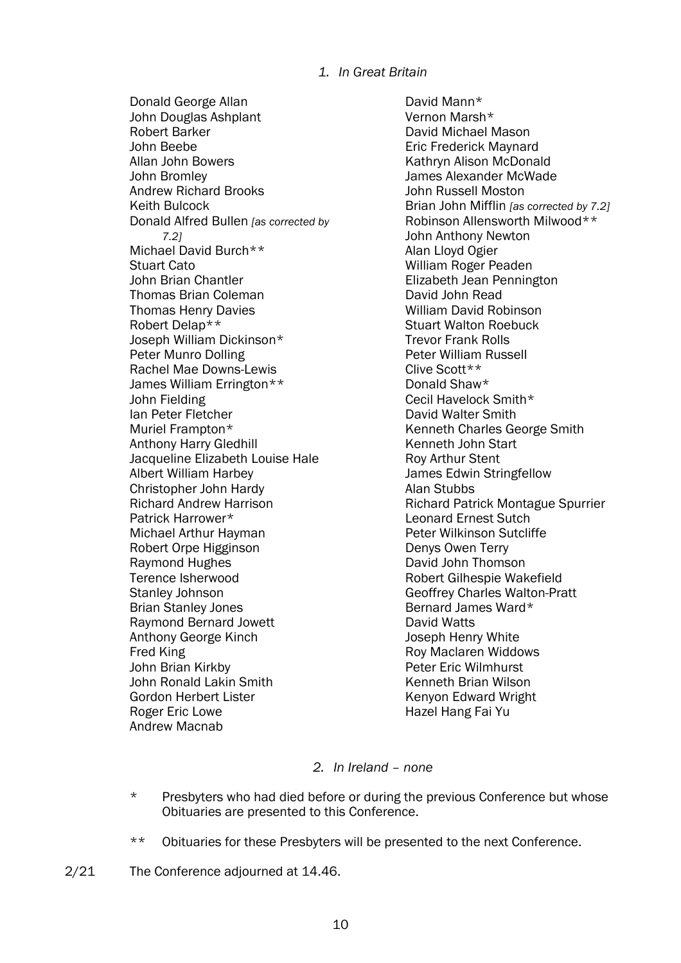### *1. In Great Britain*

Donald George Allan John Douglas Ashplant Robert Barker John Beebe Allan John Bowers John Bromley Andrew Richard Brooks Keith Bulcock Donald Alfred Bullen *[as corrected by 7.2]* Michael David Burch\*\* Stuart Cato John Brian Chantler Thomas Brian Coleman Thomas Henry Davies Robert Delap\*\* Joseph William Dickinson\* Peter Munro Dolling Rachel Mae Downs-Lewis James William Errington\*\* John Fielding Ian Peter Fletcher Muriel Frampton\* Anthony Harry Gledhill Jacqueline Elizabeth Louise Hale Albert William Harbey Christopher John Hardy Richard Andrew Harrison Patrick Harrower\* Michael Arthur Hayman Robert Orpe Higginson Raymond Hughes Terence Isherwood Stanley Johnson Brian Stanley Jones Raymond Bernard Jowett Anthony George Kinch Fred King John Brian Kirkby John Ronald Lakin Smith Gordon Herbert Lister Roger Eric Lowe Andrew Macnab

David Mann\* Vernon Marsh\* David Michael Mason Eric Frederick Maynard Kathryn Alison McDonald James Alexander McWade John Russell Moston Brian John Mifflin *[as corrected by 7.2]* Robinson Allensworth Milwood\*\* John Anthony Newton Alan Lloyd Ogier William Roger Peaden Elizabeth Jean Pennington David John Read William David Robinson Stuart Walton Roebuck Trevor Frank Rolls Peter William Russell Clive Scott\*\* Donald Shaw\* Cecil Havelock Smith\* David Walter Smith Kenneth Charles George Smith Kenneth John Start Roy Arthur Stent James Edwin Stringfellow Alan Stubbs Richard Patrick Montague Spurrier Leonard Ernest Sutch Peter Wilkinson Sutcliffe Denys Owen Terry David John Thomson Robert Gilhespie Wakefield Geoffrey Charles Walton-Pratt Bernard James Ward\* David Watts Joseph Henry White Roy Maclaren Widdows Peter Eric Wilmhurst Kenneth Brian Wilson Kenyon Edward Wright Hazel Hang Fai Yu

### *2. In Ireland – none*

- \* Presbyters who had died before or during the previous Conference but whose Obituaries are presented to this Conference.
- \*\* Obituaries for these Presbyters will be presented to the next Conference.
- 2/21 The Conference adjourned at 14.46.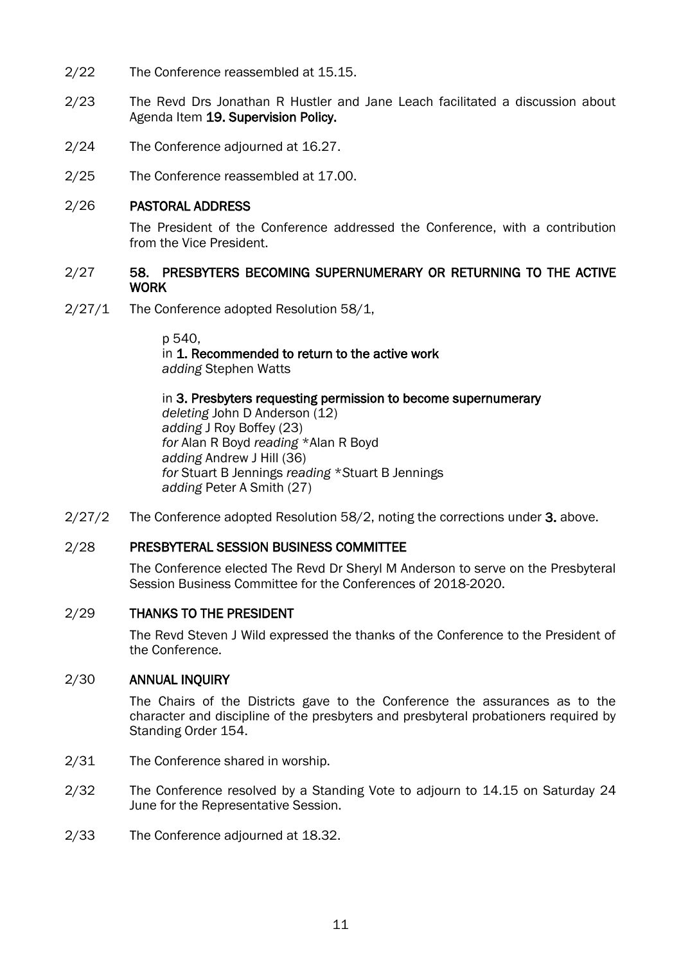- 2/22 The Conference reassembled at 15.15.
- 2/23 The Revd Drs Jonathan R Hustler and Jane Leach facilitated a discussion about Agenda Item 19. Supervision Policy.
- 2/24 The Conference adjourned at 16.27.
- 2/25 The Conference reassembled at 17.00.

### 2/26 PASTORAL ADDRESS

The President of the Conference addressed the Conference, with a contribution from the Vice President.

### 2/27 58. PRESBYTERS BECOMING SUPERNUMERARY OR RETURNING TO THE ACTIVE WORK

2/27/1 The Conference adopted Resolution 58/1,

p 540, in 1. Recommended to return to the active work *adding* Stephen Watts

in 3. Presbyters requesting permission to become supernumerary *deleting* John D Anderson (12) *adding* J Roy Boffey (23) *for* Alan R Boyd *reading* \*Alan R Boyd *adding* Andrew J Hill (36) *for* Stuart B Jennings *reading* \**S*tuart B Jennings *adding* Peter A Smith (27)

2/27/2 The Conference adopted Resolution 58/2, noting the corrections under 3. above.

### 2/28 PRESBYTERAL SESSION BUSINESS COMMITTEE

The Conference elected The Revd Dr Sheryl M Anderson to serve on the Presbyteral Session Business Committee for the Conferences of 2018-2020.

### 2/29 THANKS TO THE PRESIDENT

The Revd Steven J Wild expressed the thanks of the Conference to the President of the Conference.

### 2/30 ANNUAL INQUIRY

The Chairs of the Districts gave to the Conference the assurances as to the character and discipline of the presbyters and presbyteral probationers required by Standing Order 154.

- 2/31 The Conference shared in worship.
- 2/32 The Conference resolved by a Standing Vote to adjourn to 14.15 on Saturday 24 June for the Representative Session.
- 2/33 The Conference adjourned at 18.32.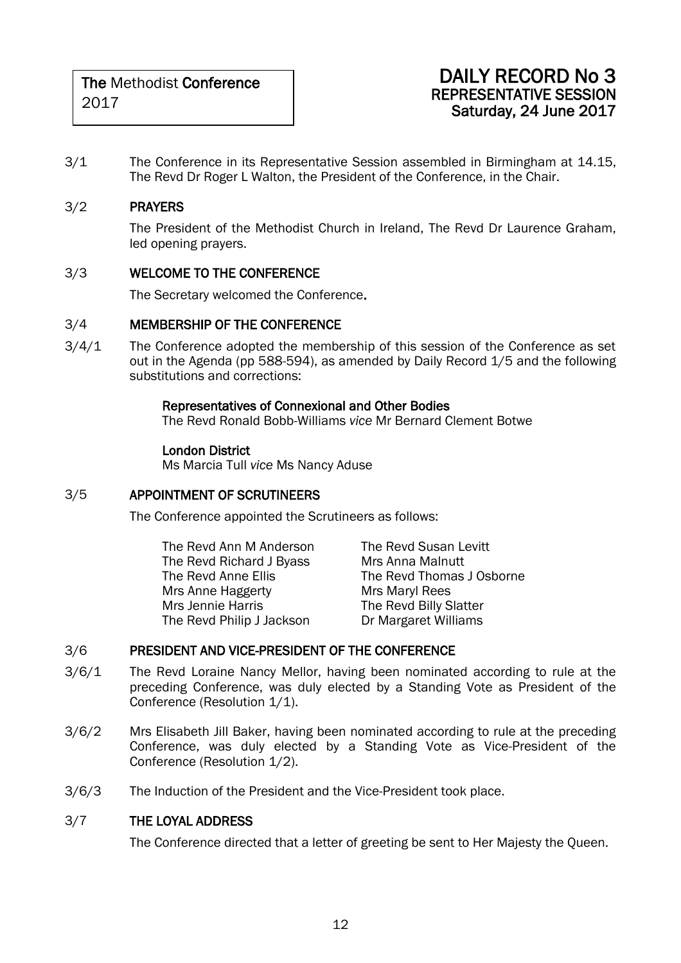### DAILY RECORD No 3 REPRESENTATIVE SESSION Saturday, 24 June 2017

3/1 The Conference in its Representative Session assembled in Birmingham at 14.15, The Revd Dr Roger L Walton, the President of the Conference, in the Chair.

### 3/2 PRAYERS

The President of the Methodist Church in Ireland, The Revd Dr Laurence Graham, led opening prayers.

### 3/3 WELCOME TO THE CONFERENCE

The Secretary welcomed the Conference.

### 3/4 MEMBERSHIP OF THE CONFERENCE

3/4/1 The Conference adopted the membership of this session of the Conference as set out in the Agenda (pp 588-594), as amended by Daily Record 1/5 and the following substitutions and corrections:

### Representatives of Connexional and Other Bodies

The Revd Ronald Bobb-Williams *vice* Mr Bernard Clement Botwe

### London District

Ms Marcia Tull *vice* Ms Nancy Aduse

### 3/5 APPOINTMENT OF SCRUTINEERS

The Conference appointed the Scrutineers as follows:

| The Revd Ann M Anderson   | The Revd Susan Levitt     |
|---------------------------|---------------------------|
| The Revd Richard J Byass  | Mrs Anna Malnutt          |
| The Revd Anne Ellis       | The Revd Thomas J Osborne |
| Mrs Anne Haggerty         | Mrs Maryl Rees            |
| Mrs Jennie Harris         | The Revd Billy Slatter    |
| The Revd Philip J Jackson | Dr Margaret Williams      |
|                           |                           |

### 3/6 PRESIDENT AND VICE-PRESIDENT OF THE CONFERENCE

- 3/6/1 The Revd Loraine Nancy Mellor, having been nominated according to rule at the preceding Conference, was duly elected by a Standing Vote as President of the Conference (Resolution 1/1).
- 3/6/2 Mrs Elisabeth Jill Baker, having been nominated according to rule at the preceding Conference, was duly elected by a Standing Vote as Vice-President of the Conference (Resolution 1/2).
- 3/6/3 The Induction of the President and the Vice-President took place.

### 3/7 THE LOYAL ADDRESS

The Conference directed that a letter of greeting be sent to Her Majesty the Queen.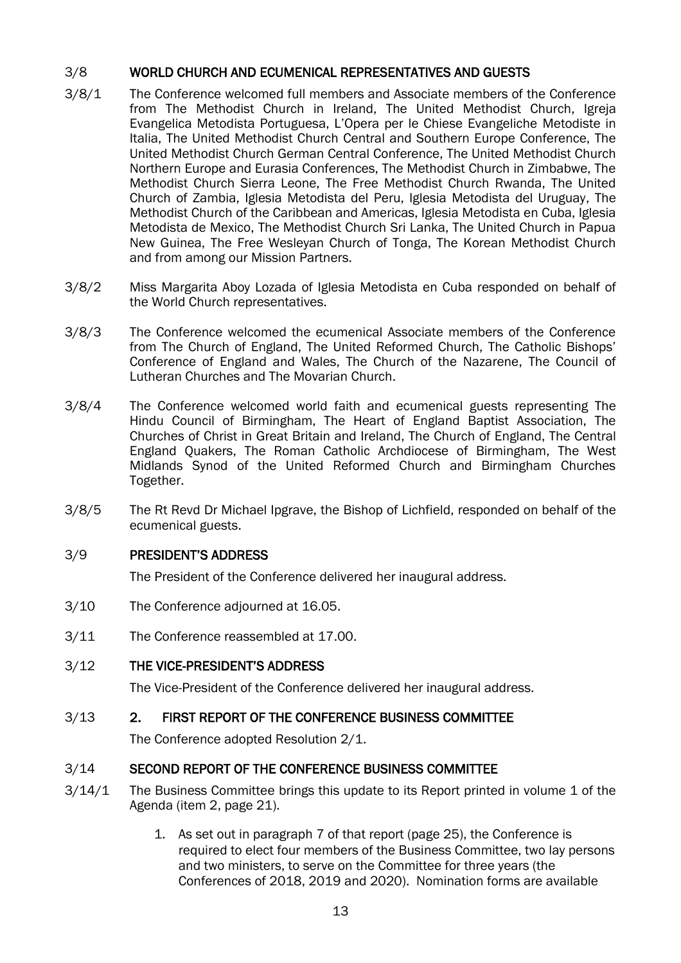### 3/8 WORLD CHURCH AND ECUMENICAL REPRESENTATIVES AND GUESTS

- 3/8/1 The Conference welcomed full members and Associate members of the Conference from The Methodist Church in Ireland, The United Methodist Church, Igreja Evangelica Metodista Portuguesa, L'Opera per le Chiese Evangeliche Metodiste in Italia, The United Methodist Church Central and Southern Europe Conference, The United Methodist Church German Central Conference, The United Methodist Church Northern Europe and Eurasia Conferences, The Methodist Church in Zimbabwe, The Methodist Church Sierra Leone, The Free Methodist Church Rwanda, The United Church of Zambia, Iglesia Metodista del Peru, Iglesia Metodista del Uruguay, The Methodist Church of the Caribbean and Americas, Iglesia Metodista en Cuba, Iglesia Metodista de Mexico, The Methodist Church Sri Lanka, The United Church in Papua New Guinea, The Free Wesleyan Church of Tonga, The Korean Methodist Church and from among our Mission Partners.
- 3/8/2 Miss Margarita Aboy Lozada of Iglesia Metodista en Cuba responded on behalf of the World Church representatives.
- 3/8/3 The Conference welcomed the ecumenical Associate members of the Conference from The Church of England, The United Reformed Church, The Catholic Bishops' Conference of England and Wales, The Church of the Nazarene, The Council of Lutheran Churches and The Movarian Church.
- 3/8/4 The Conference welcomed world faith and ecumenical guests representing The Hindu Council of Birmingham, The Heart of England Baptist Association, The Churches of Christ in Great Britain and Ireland, The Church of England, The Central England Quakers, The Roman Catholic Archdiocese of Birmingham, The West Midlands Synod of the United Reformed Church and Birmingham Churches Together.
- 3/8/5 The Rt Revd Dr Michael Ipgrave, the Bishop of Lichfield, responded on behalf of the ecumenical guests.

### 3/9 PRESIDENT'S ADDRESS

The President of the Conference delivered her inaugural address.

- 3/10 The Conference adjourned at 16.05.
- 3/11 The Conference reassembled at 17.00.
- 3/12 THE VICE-PRESIDENT'S ADDRESS

The Vice-President of the Conference delivered her inaugural address.

### 3/13 2. FIRST REPORT OF THE CONFERENCE BUSINESS COMMITTEE

The Conference adopted Resolution 2/1.

### 3/14 SECOND REPORT OF THE CONFERENCE BUSINESS COMMITTEE

- 3/14/1 The Business Committee brings this update to its Report printed in volume 1 of the Agenda (item 2, page 21).
	- 1. As set out in paragraph 7 of that report (page 25), the Conference is required to elect four members of the Business Committee, two lay persons and two ministers, to serve on the Committee for three years (the Conferences of 2018, 2019 and 2020). Nomination forms are available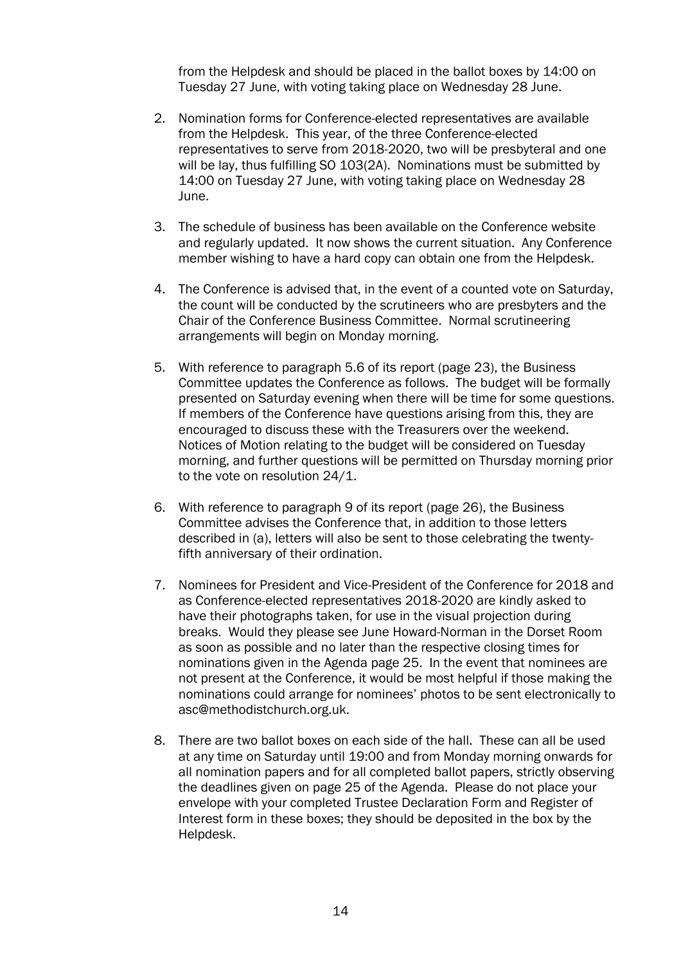from the Helpdesk and should be placed in the ballot boxes by 14:00 on Tuesday 27 June, with voting taking place on Wednesday 28 June.

- 2. Nomination forms for Conference-elected representatives are available from the Helpdesk. This year, of the three Conference-elected representatives to serve from 2018-2020, two will be presbyteral and one will be lay, thus fulfilling SO 103(2A). Nominations must be submitted by 14:00 on Tuesday 27 June, with voting taking place on Wednesday 28 June.
- 3. The schedule of business has been available on the Conference website and regularly updated. It now shows the current situation. Any Conference member wishing to have a hard copy can obtain one from the Helpdesk.
- 4. The Conference is advised that, in the event of a counted vote on Saturday, the count will be conducted by the scrutineers who are presbyters and the Chair of the Conference Business Committee. Normal scrutineering arrangements will begin on Monday morning.
- 5. With reference to paragraph 5.6 of its report (page 23), the Business Committee updates the Conference as follows. The budget will be formally presented on Saturday evening when there will be time for some questions. If members of the Conference have questions arising from this, they are encouraged to discuss these with the Treasurers over the weekend. Notices of Motion relating to the budget will be considered on Tuesday morning, and further questions will be permitted on Thursday morning prior to the vote on resolution 24/1.
- 6. With reference to paragraph 9 of its report (page 26), the Business Committee advises the Conference that, in addition to those letters described in (a), letters will also be sent to those celebrating the twentyfifth anniversary of their ordination.
- 7. Nominees for President and Vice-President of the Conference for 2018 and as Conference-elected representatives 2018-2020 are kindly asked to have their photographs taken, for use in the visual projection during breaks. Would they please see June Howard-Norman in the Dorset Room as soon as possible and no later than the respective closing times for nominations given in the Agenda page 25. In the event that nominees are not present at the Conference, it would be most helpful if those making the nominations could arrange for nominees' photos to be sent electronically to [asc@methodistchurch.org.uk.](mailto:asc@methodistchurch.org.uk)
- 8. There are two ballot boxes on each side of the hall. These can all be used at any time on Saturday until 19:00 and from Monday morning onwards for all nomination papers and for all completed ballot papers, strictly observing the deadlines given on page 25 of the Agenda. Please do not place your envelope with your completed Trustee Declaration Form and Register of Interest form in these boxes; they should be deposited in the box by the Helpdesk.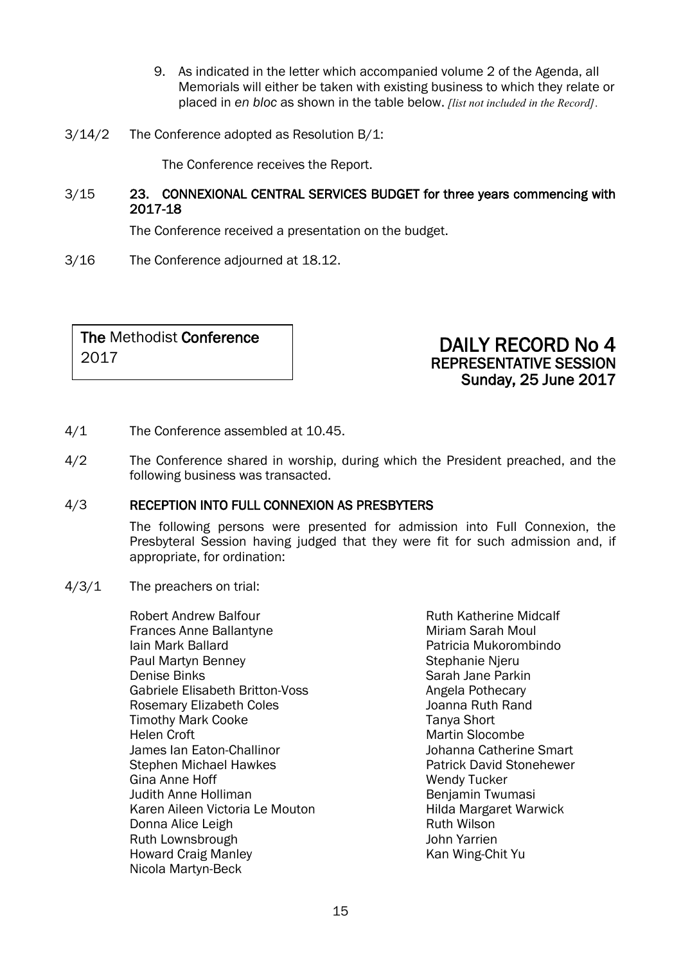- 9. As indicated in the letter which accompanied volume 2 of the Agenda, all Memorials will either be taken with existing business to which they relate or placed in *en bloc* as shown in the table below. *[list not included in the Record]*.
- 3/14/2 The Conference adopted as Resolution B/1:

The Conference receives the Report.

### 3/15 23. CONNEXIONAL CENTRAL SERVICES BUDGET for three years commencing with 2017-18

The Conference received a presentation on the budget.

3/16 The Conference adjourned at 18.12.

The Methodist Conference 2017

### DAILY RECORD No 4 REPRESENTATIVE SESSION Sunday, 25 June 2017

- 4/1 The Conference assembled at 10.45.
- 4/2 The Conference shared in worship, during which the President preached, and the following business was transacted.

### 4/3 RECEPTION INTO FULL CONNEXION AS PRESBYTERS

The following persons were presented for admission into Full Connexion, the Presbyteral Session having judged that they were fit for such admission and, if appropriate, for ordination:

- 4/3/1 The preachers on trial:
	- Robert Andrew Balfour Frances Anne Ballantyne Iain Mark Ballard Paul Martyn Benney Denise Binks Gabriele Elisabeth Britton-Voss Rosemary Elizabeth Coles Timothy Mark Cooke Helen Croft James Ian Eaton-Challinor Stephen Michael Hawkes Gina Anne Hoff Judith Anne Holliman Karen Aileen Victoria Le Mouton Donna Alice Leigh Ruth Lownsbrough Howard Craig Manley Nicola Martyn-Beck

Ruth Katherine Midcalf Miriam Sarah Moul Patricia Mukorombindo Stephanie Njeru Sarah Jane Parkin Angela Pothecary Joanna Ruth Rand Tanya Short Martin Slocombe Johanna Catherine Smart Patrick David Stonehewer Wendy Tucker Benjamin Twumasi Hilda Margaret Warwick Ruth Wilson John Yarrien Kan Wing-Chit Yu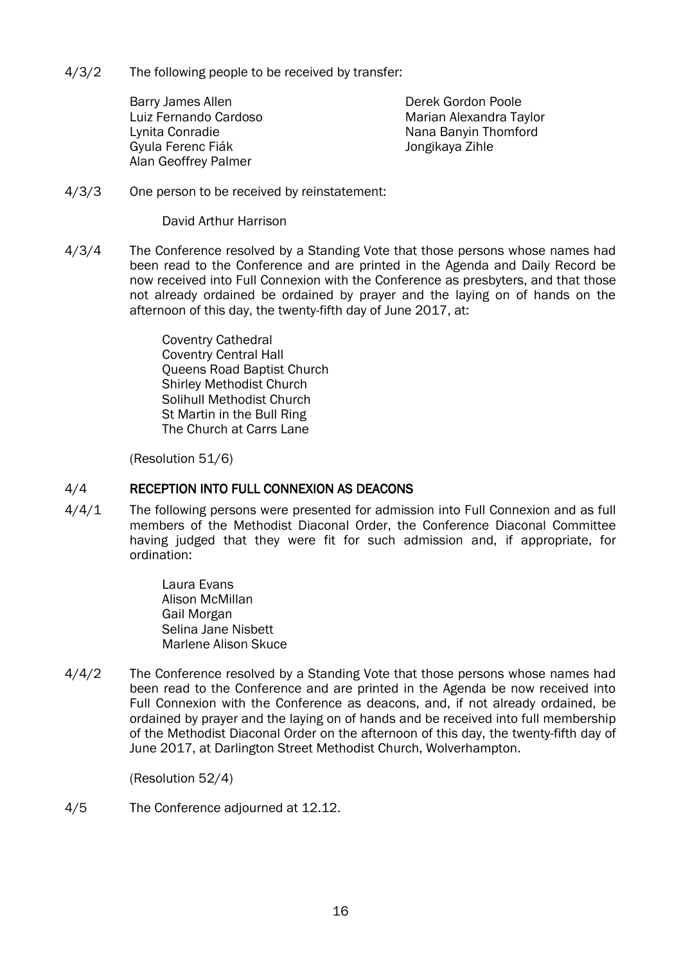4/3/2 The following people to be received by transfer:

Barry James Allen Luiz Fernando Cardoso Lynita Conradie Gyula Ferenc Fiák Alan Geoffrey Palmer

Derek Gordon Poole Marian Alexandra Taylor Nana Banyin Thomford Jongikaya Zihle

4/3/3 One person to be received by reinstatement:

David Arthur Harrison

4/3/4 The Conference resolved by a Standing Vote that those persons whose names had been read to the Conference and are printed in the Agenda and Daily Record be now received into Full Connexion with the Conference as presbyters, and that those not already ordained be ordained by prayer and the laying on of hands on the afternoon of this day, the twenty-fifth day of June 2017, at:

> Coventry Cathedral Coventry Central Hall Queens Road Baptist Church Shirley Methodist Church Solihull Methodist Church St Martin in the Bull Ring The Church at Carrs Lane

(Resolution 51/6)

### 4/4 RECEPTION INTO FULL CONNEXION AS DEACONS

4/4/1 The following persons were presented for admission into Full Connexion and as full members of the Methodist Diaconal Order, the Conference Diaconal Committee having judged that they were fit for such admission and, if appropriate, for ordination:

> Laura Evans Alison McMillan Gail Morgan Selina Jane Nisbett Marlene Alison Skuce

4/4/2 The Conference resolved by a Standing Vote that those persons whose names had been read to the Conference and are printed in the Agenda be now received into Full Connexion with the Conference as deacons, and, if not already ordained, be ordained by prayer and the laying on of hands and be received into full membership of the Methodist Diaconal Order on the afternoon of this day, the twenty-fifth day of June 2017, at Darlington Street Methodist Church, Wolverhampton.

(Resolution 52/4)

4/5 The Conference adjourned at 12.12.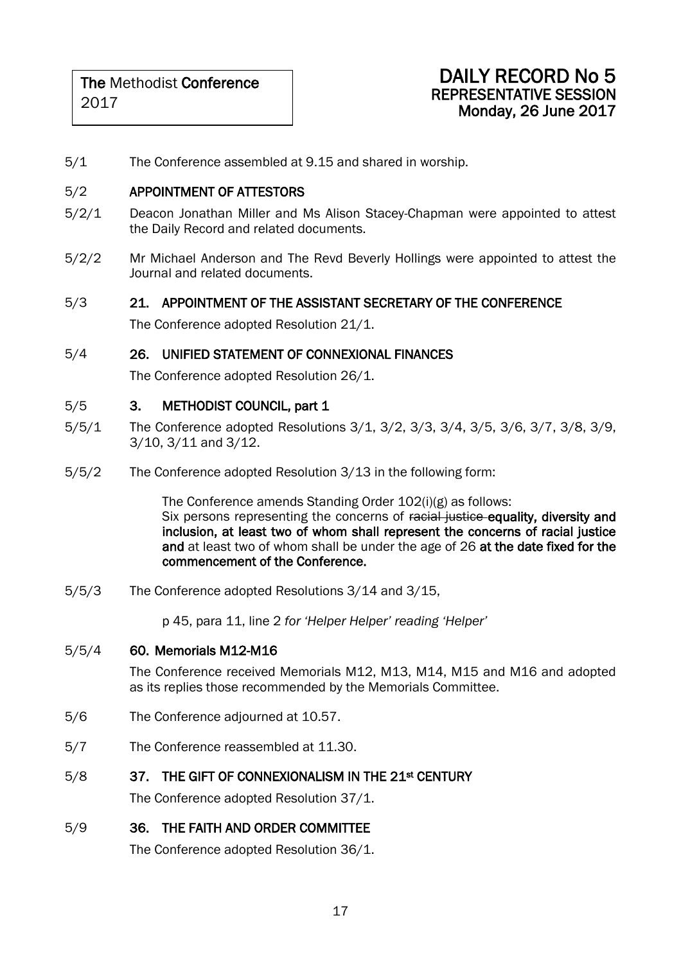### DAILY RECORD No 5 REPRESENTATIVE SESSION Monday, 26 June 2017

5/1 The Conference assembled at 9.15 and shared in worship.

### 5/2 APPOINTMENT OF ATTESTORS

- 5/2/1 Deacon Jonathan Miller and Ms Alison Stacey-Chapman were appointed to attest the Daily Record and related documents.
- 5/2/2 Mr Michael Anderson and The Revd Beverly Hollings were appointed to attest the Journal and related documents.

### 5/3 21. APPOINTMENT OF THE ASSISTANT SECRETARY OF THE CONFERENCE

The Conference adopted Resolution 21/1.

### 5/4 26. UNIFIED STATEMENT OF CONNEXIONAL FINANCES

The Conference adopted Resolution 26/1.

### 5/5 3. METHODIST COUNCIL, part 1

- 5/5/1 The Conference adopted Resolutions 3/1, 3/2, 3/3, 3/4, 3/5, 3/6, 3/7, 3/8, 3/9, 3/10, 3/11 and 3/12.
- 5/5/2 The Conference adopted Resolution 3/13 in the following form:

The Conference amends Standing Order 102(i)(g) as follows: Six persons representing the concerns of racial justice equality, diversity and inclusion, at least two of whom shall represent the concerns of racial justice and at least two of whom shall be under the age of 26 at the date fixed for the commencement of the Conference.

5/5/3 The Conference adopted Resolutions 3/14 and 3/15,

p 45, para 11, line 2 *for 'Helper Helper' reading 'Helper'*

### 5/5/4 60. Memorials M12-M16

The Conference received Memorials M12, M13, M14, M15 and M16 and adopted as its replies those recommended by the Memorials Committee.

- 5/6 The Conference adjourned at 10.57.
- 5/7 The Conference reassembled at 11.30.

### 5/8 37. THE GIFT OF CONNEXIONALISM IN THE 21st CENTURY

The Conference adopted Resolution 37/1.

### 5/9 36. THE FAITH AND ORDER COMMITTEE

The Conference adopted Resolution 36/1.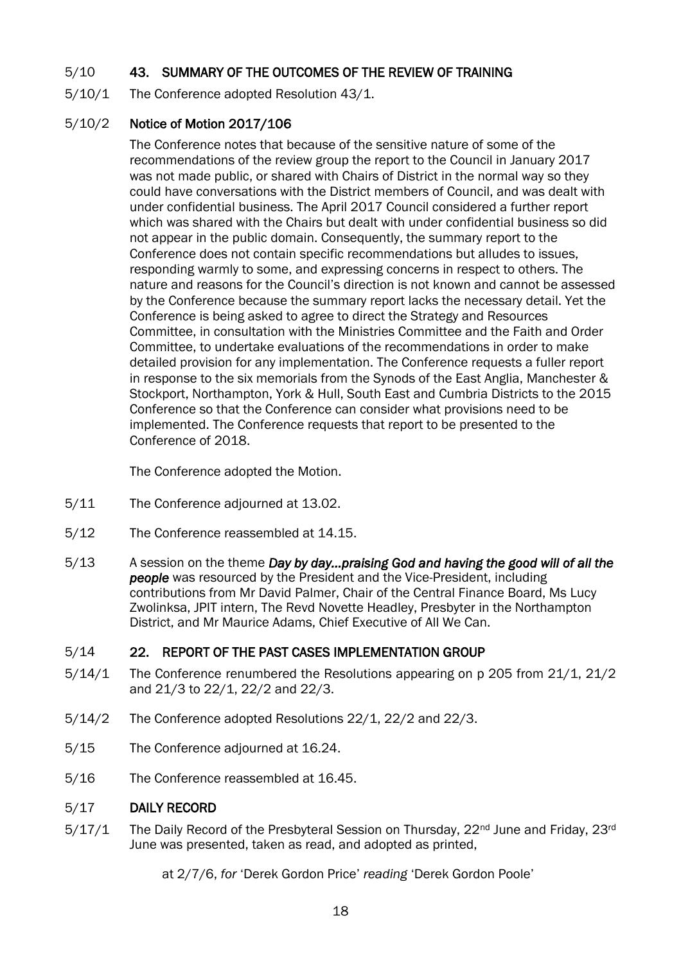### 5/10 43. SUMMARY OF THE OUTCOMES OF THE REVIEW OF TRAINING

5/10/1 The Conference adopted Resolution 43/1.

### 5/10/2 Notice of Motion 2017/106

The Conference notes that because of the sensitive nature of some of the recommendations of the review group the report to the Council in January 2017 was not made public, or shared with Chairs of District in the normal way so they could have conversations with the District members of Council, and was dealt with under confidential business. The April 2017 Council considered a further report which was shared with the Chairs but dealt with under confidential business so did not appear in the public domain. Consequently, the summary report to the Conference does not contain specific recommendations but alludes to issues, responding warmly to some, and expressing concerns in respect to others. The nature and reasons for the Council's direction is not known and cannot be assessed by the Conference because the summary report lacks the necessary detail. Yet the Conference is being asked to agree to direct the Strategy and Resources Committee, in consultation with the Ministries Committee and the Faith and Order Committee, to undertake evaluations of the recommendations in order to make detailed provision for any implementation. The Conference requests a fuller report in response to the six memorials from the Synods of the East Anglia, Manchester & Stockport, Northampton, York & Hull, South East and Cumbria Districts to the 2015 Conference so that the Conference can consider what provisions need to be implemented. The Conference requests that report to be presented to the Conference of 2018.

The Conference adopted the Motion.

- 5/11 The Conference adjourned at 13.02.
- 5/12 The Conference reassembled at 14.15.
- 5/13 A session on the theme *Day by day…praising God and having the good will of all the people* was resourced by the President and the Vice-President, including contributions from Mr David Palmer, Chair of the Central Finance Board, Ms Lucy Zwolinksa, JPIT intern, The Revd Novette Headley, Presbyter in the Northampton District, and Mr Maurice Adams, Chief Executive of All We Can.

### 5/14 22. REPORT OF THE PAST CASES IMPLEMENTATION GROUP

- 5/14/1 The Conference renumbered the Resolutions appearing on p 205 from 21/1, 21/2 and 21/3 to 22/1, 22/2 and 22/3.
- 5/14/2 The Conference adopted Resolutions 22/1, 22/2 and 22/3.
- 5/15 The Conference adjourned at 16.24.
- 5/16 The Conference reassembled at 16.45.

### 5/17 DAILY RECORD

5/17/1 The Daily Record of the Presbyteral Session on Thursday, 22<sup>nd</sup> June and Friday, 23<sup>rd</sup> June was presented, taken as read, and adopted as printed,

at 2/7/6, *for* 'Derek Gordon Price' *reading* 'Derek Gordon Poole'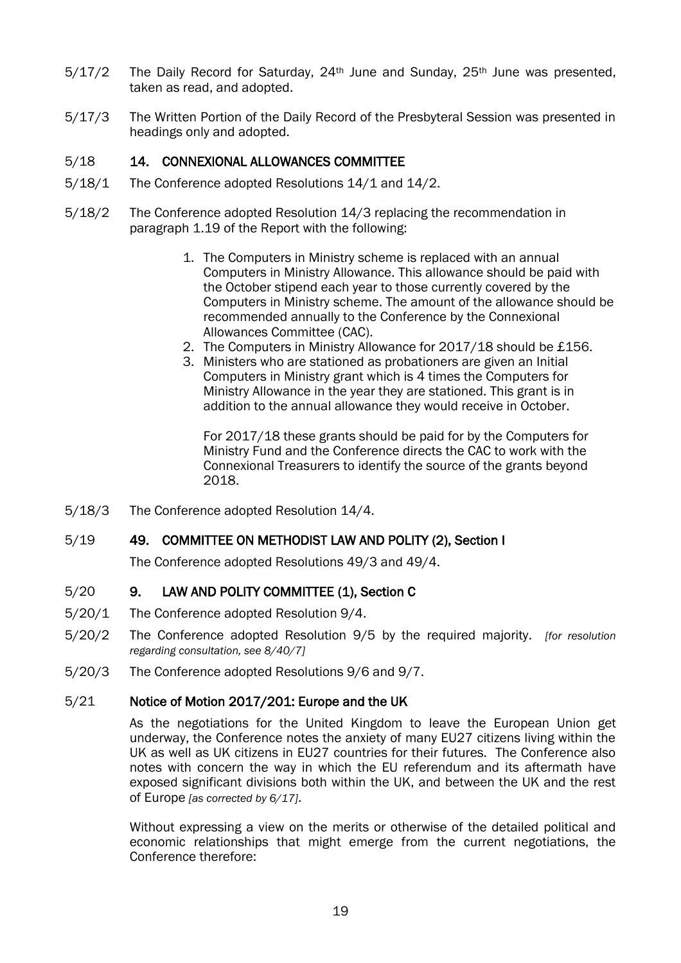- $5/17/2$  The Daily Record for Saturday,  $24<sup>th</sup>$  June and Sunday,  $25<sup>th</sup>$  June was presented, taken as read, and adopted.
- 5/17/3 The Written Portion of the Daily Record of the Presbyteral Session was presented in headings only and adopted.

### 5/18 14. CONNEXIONAL ALLOWANCES COMMITTEE

- 5/18/1 The Conference adopted Resolutions 14/1 and 14/2.
- 5/18/2 The Conference adopted Resolution 14/3 replacing the recommendation in paragraph 1.19 of the Report with the following:
	- 1. The Computers in Ministry scheme is replaced with an annual Computers in Ministry Allowance. This allowance should be paid with the October stipend each year to those currently covered by the Computers in Ministry scheme. The amount of the allowance should be recommended annually to the Conference by the Connexional Allowances Committee (CAC).
	- 2. The Computers in Ministry Allowance for 2017/18 should be £156.
	- 3. Ministers who are stationed as probationers are given an Initial Computers in Ministry grant which is 4 times the Computers for Ministry Allowance in the year they are stationed. This grant is in addition to the annual allowance they would receive in October.

For 2017/18 these grants should be paid for by the Computers for Ministry Fund and the Conference directs the CAC to work with the Connexional Treasurers to identify the source of the grants beyond 2018.

5/18/3 The Conference adopted Resolution 14/4.

### 5/19 49. COMMITTEE ON METHODIST LAW AND POLITY (2), Section I

The Conference adopted Resolutions 49/3 and 49/4.

### 5/20 9. LAW AND POLITY COMMITTEE (1), Section C

- 5/20/1 The Conference adopted Resolution 9/4.
- 5/20/2 The Conference adopted Resolution 9/5 by the required majority. *[for resolution regarding consultation, see 8/40/7]*
- 5/20/3 The Conference adopted Resolutions 9/6 and 9/7.

### 5/21 Notice of Motion 2017/201: Europe and the UK

As the negotiations for the United Kingdom to leave the European Union get underway, the Conference notes the anxiety of many EU27 citizens living within the UK as well as UK citizens in EU27 countries for their futures. The Conference also notes with concern the way in which the EU referendum and its aftermath have exposed significant divisions both within the UK, and between the UK and the rest of Europe *[as corrected by 6/17]*.

Without expressing a view on the merits or otherwise of the detailed political and economic relationships that might emerge from the current negotiations, the Conference therefore: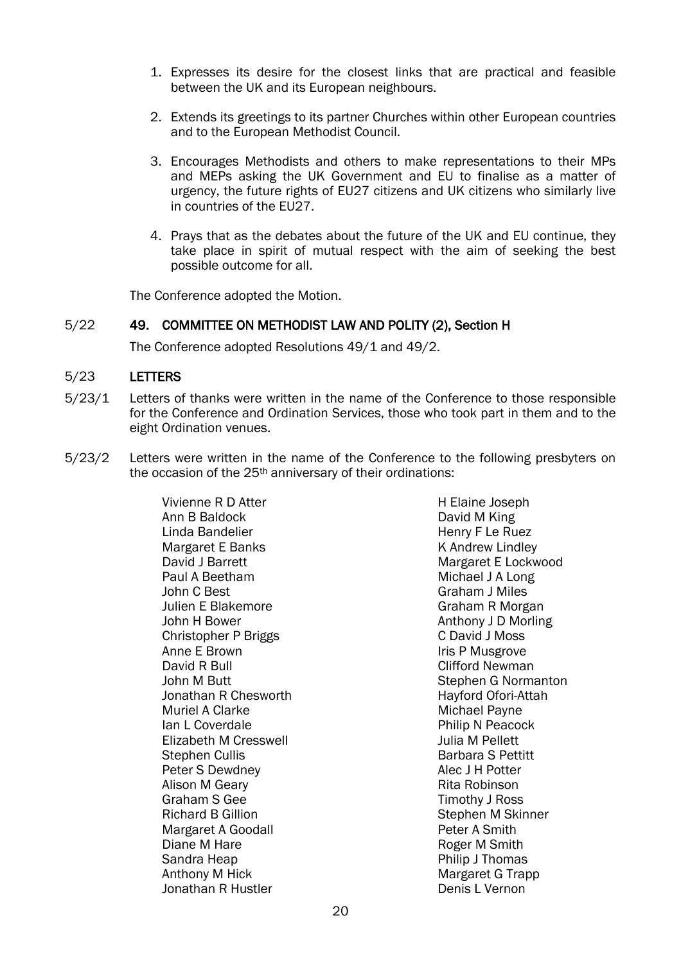- 1. Expresses its desire for the closest links that are practical and feasible between the UK and its European neighbours.
- 2. Extends its greetings to its partner Churches within other European countries and to the European Methodist Council.
- 3. Encourages Methodists and others to make representations to their MPs and MEPs asking the UK Government and EU to finalise as a matter of urgency, the future rights of EU27 citizens and UK citizens who similarly live in countries of the EU27.
- 4. Prays that as the debates about the future of the UK and EU continue, they take place in spirit of mutual respect with the aim of seeking the best possible outcome for all.

The Conference adopted the Motion.

### 5/22 49. COMMITTEE ON METHODIST LAW AND POLITY (2), Section H

The Conference adopted Resolutions 49/1 and 49/2.

### 5/23 LETTERS

- 5/23/1 Letters of thanks were written in the name of the Conference to those responsible for the Conference and Ordination Services, those who took part in them and to the eight Ordination venues.
- 5/23/2 Letters were written in the name of the Conference to the following presbyters on the occasion of the 25th anniversary of their ordinations:

Vivienne R D Atter Ann B Baldock Linda Bandelier Margaret E Banks David J Barrett Paul A Beetham John C Best Julien E Blakemore John H Bower Christopher P Briggs Anne E Brown David R Bull John M Butt Jonathan R Chesworth Muriel A Clarke Ian L Coverdale Elizabeth M Cresswell Stephen Cullis Peter S Dewdney Alison M Geary Graham S Gee Richard B Gillion Margaret A Goodall Diane M Hare Sandra Heap Anthony M Hick Jonathan R Hustler

H Elaine Joseph David M King Henry F Le Ruez K Andrew Lindley Margaret E Lockwood Michael J A Long Graham J Miles Graham R Morgan Anthony J D Morling C David J Moss Iris P Musgrove Clifford Newman Stephen G Normanton Hayford Ofori-Attah Michael Payne Philip N Peacock Julia M Pellett Barbara S Pettitt Alec J H Potter Rita Robinson Timothy J Ross Stephen M Skinner Peter A Smith Roger M Smith Philip J Thomas Margaret G Trapp Denis L Vernon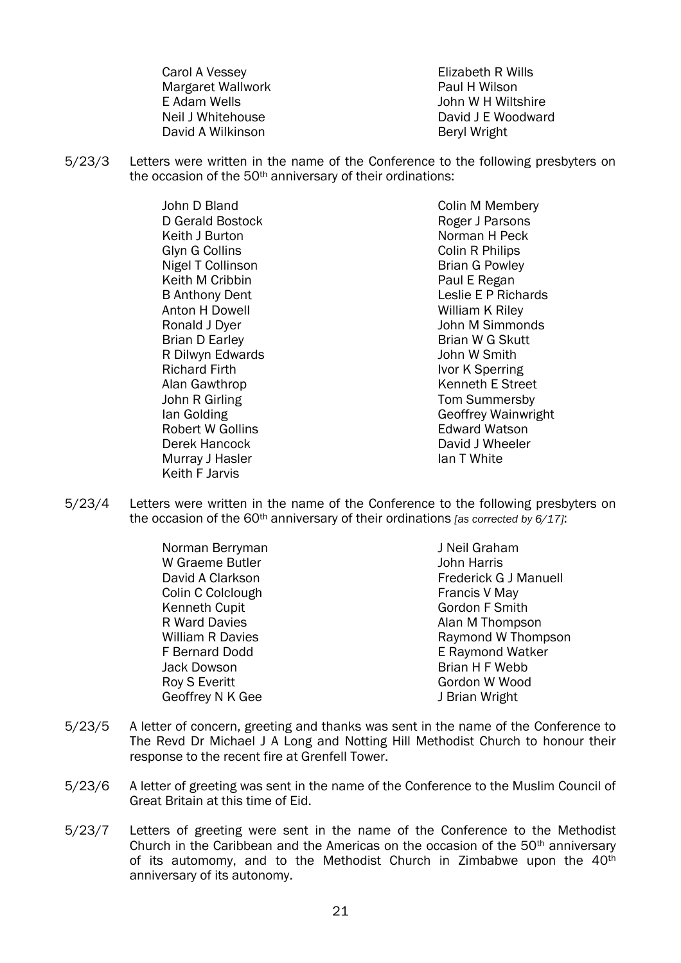Carol A Vessey Margaret Wallwork E Adam Wells Neil J Whitehouse David A Wilkinson

Elizabeth R Wills Paul H Wilson John W H Wiltshire David J E Woodward Beryl Wright

5/23/3 Letters were written in the name of the Conference to the following presbyters on the occasion of the 50<sup>th</sup> anniversary of their ordinations:

> John D Bland D Gerald Bostock Keith J Burton Glyn G Collins Nigel T Collinson Keith M Cribbin B Anthony Dent Anton H Dowell Ronald J Dyer Brian D Earley R Dilwyn Edwards Richard Firth Alan Gawthrop John R Girling Ian Golding Robert W Gollins Derek Hancock Murray J Hasler Keith F Jarvis

Colin M Membery Roger J Parsons Norman H Peck Colin R Philips Brian G Powley Paul E Regan Leslie E P Richards William K Rilev John M Simmonds Brian W G Skutt John W Smith Ivor K Sperring Kenneth E Street Tom Summersby Geoffrey Wainwright Edward Watson David J Wheeler Ian T White

5/23/4 Letters were written in the name of the Conference to the following presbyters on the occasion of the 60th anniversary of their ordinations *[as corrected by 6/17]*:

> Norman Berryman W Graeme Butler David A Clarkson Colin C Colclough Kenneth Cupit R Ward Davies William R Davies F Bernard Dodd Jack Dowson Roy S Everitt Geoffrey N K Gee

J Neil Graham John Harris Frederick G J Manuell Francis V May Gordon F Smith Alan M Thompson Raymond W Thompson E Raymond Watker Brian H F Webb Gordon W Wood J Brian Wright

- 5/23/5 A letter of concern, greeting and thanks was sent in the name of the Conference to The Revd Dr Michael J A Long and Notting Hill Methodist Church to honour their response to the recent fire at Grenfell Tower.
- 5/23/6 A letter of greeting was sent in the name of the Conference to the Muslim Council of Great Britain at this time of Eid.
- 5/23/7 Letters of greeting were sent in the name of the Conference to the Methodist Church in the Caribbean and the Americas on the occasion of the 50<sup>th</sup> anniversary of its automomy, and to the Methodist Church in Zimbabwe upon the 40<sup>th</sup> anniversary of its autonomy.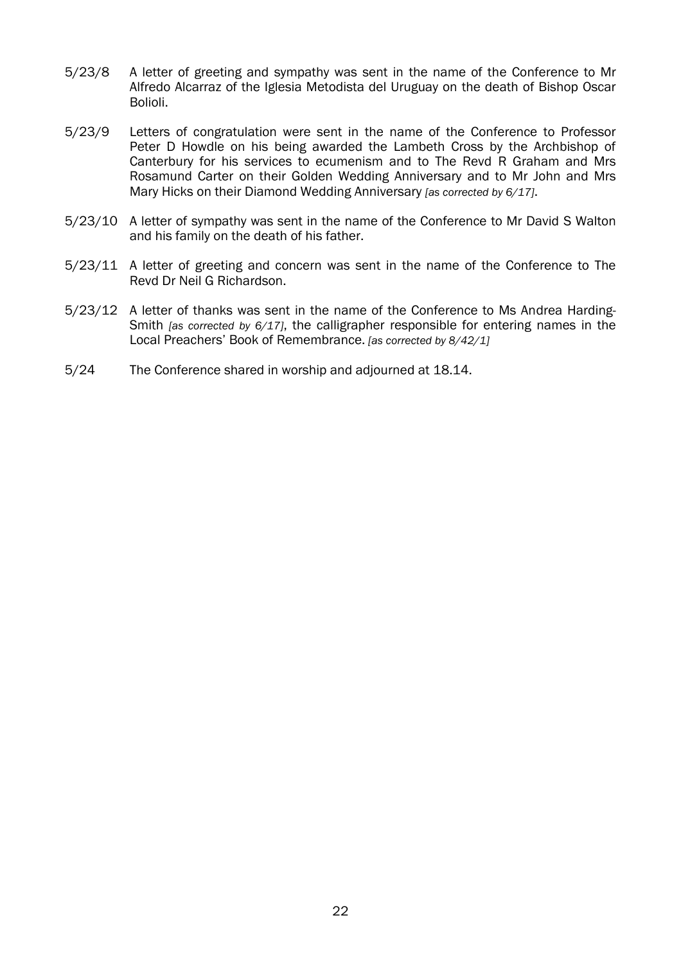- 5/23/8 A letter of greeting and sympathy was sent in the name of the Conference to Mr Alfredo Alcarraz of the Iglesia Metodista del Uruguay on the death of Bishop Oscar Bolioli.
- 5/23/9 Letters of congratulation were sent in the name of the Conference to Professor Peter D Howdle on his being awarded the Lambeth Cross by the Archbishop of Canterbury for his services to ecumenism and to The Revd R Graham and Mrs Rosamund Carter on their Golden Wedding Anniversary and to Mr John and Mrs Mary Hicks on their Diamond Wedding Anniversary *[as corrected by 6/17]*.
- 5/23/10 A letter of sympathy was sent in the name of the Conference to Mr David S Walton and his family on the death of his father.
- 5/23/11 A letter of greeting and concern was sent in the name of the Conference to The Revd Dr Neil G Richardson.
- 5/23/12 A letter of thanks was sent in the name of the Conference to Ms Andrea Harding-Smith *[as corrected by 6/17]*, the calligrapher responsible for entering names in the Local Preachers' Book of Remembrance. *[as corrected by 8/42/1]*
- 5/24 The Conference shared in worship and adjourned at 18.14.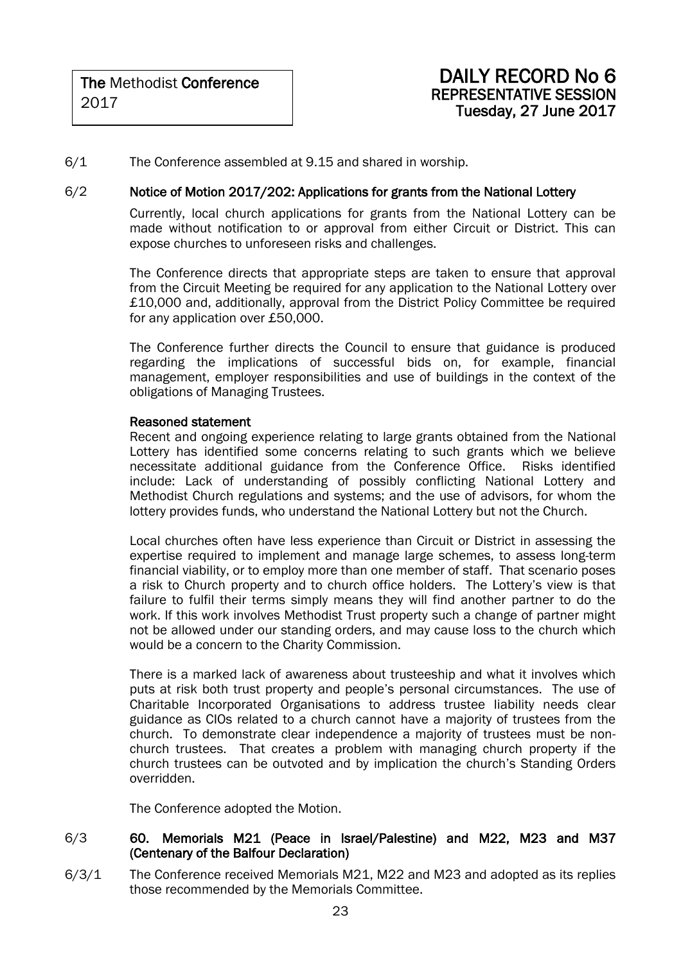6/1 The Conference assembled at 9.15 and shared in worship.

### 6/2 Notice of Motion 2017/202: Applications for grants from the National Lottery

Currently, local church applications for grants from the National Lottery can be made without notification to or approval from either Circuit or District. This can expose churches to unforeseen risks and challenges.

The Conference directs that appropriate steps are taken to ensure that approval from the Circuit Meeting be required for any application to the National Lottery over £10,000 and, additionally, approval from the District Policy Committee be required for any application over £50,000.

The Conference further directs the Council to ensure that guidance is produced regarding the implications of successful bids on, for example, financial management, employer responsibilities and use of buildings in the context of the obligations of Managing Trustees.

#### Reasoned statement

Recent and ongoing experience relating to large grants obtained from the National Lottery has identified some concerns relating to such grants which we believe necessitate additional guidance from the Conference Office. Risks identified include: Lack of understanding of possibly conflicting National Lottery and Methodist Church regulations and systems; and the use of advisors, for whom the lottery provides funds, who understand the National Lottery but not the Church.

Local churches often have less experience than Circuit or District in assessing the expertise required to implement and manage large schemes, to assess long-term financial viability, or to employ more than one member of staff. That scenario poses a risk to Church property and to church office holders. The Lottery's view is that failure to fulfil their terms simply means they will find another partner to do the work. If this work involves Methodist Trust property such a change of partner might not be allowed under our standing orders, and may cause loss to the church which would be a concern to the Charity Commission.

There is a marked lack of awareness about trusteeship and what it involves which puts at risk both trust property and people's personal circumstances. The use of Charitable Incorporated Organisations to address trustee liability needs clear guidance as CIOs related to a church cannot have a majority of trustees from the church. To demonstrate clear independence a majority of trustees must be nonchurch trustees. That creates a problem with managing church property if the church trustees can be outvoted and by implication the church's Standing Orders overridden.

The Conference adopted the Motion.

### 6/3 60. Memorials M21 (Peace in Israel/Palestine) and M22, M23 and M37 (Centenary of the Balfour Declaration)

6/3/1 The Conference received Memorials M21, M22 and M23 and adopted as its replies those recommended by the Memorials Committee.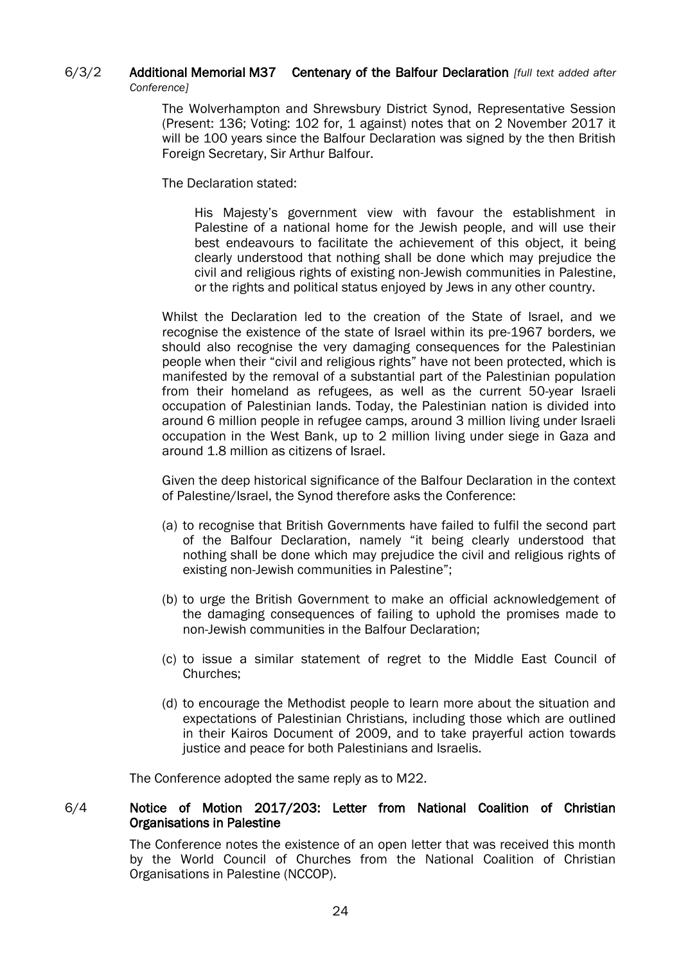### 6/3/2 Additional Memorial M37 Centenary of the Balfour Declaration *[full text added after Conference]*

The Wolverhampton and Shrewsbury District Synod, Representative Session (Present: 136; Voting: 102 for, 1 against) notes that on 2 November 2017 it will be 100 years since the Balfour Declaration was signed by the then British Foreign Secretary, Sir Arthur Balfour.

The Declaration stated:

His Majesty's government view with favour the establishment in Palestine of a national home for the Jewish people, and will use their best endeavours to facilitate the achievement of this object, it being clearly understood that nothing shall be done which may prejudice the civil and religious rights of existing non-Jewish communities in Palestine, or the rights and political status enjoyed by Jews in any other country.

Whilst the Declaration led to the creation of the State of Israel, and we recognise the existence of the state of Israel within its pre-1967 borders, we should also recognise the very damaging consequences for the Palestinian people when their "civil and religious rights" have not been protected, which is manifested by the removal of a substantial part of the Palestinian population from their homeland as refugees, as well as the current 50-year Israeli occupation of Palestinian lands. Today, the Palestinian nation is divided into around 6 million people in refugee camps, around 3 million living under Israeli occupation in the West Bank, up to 2 million living under siege in Gaza and around 1.8 million as citizens of Israel.

Given the deep historical significance of the Balfour Declaration in the context of Palestine/Israel, the Synod therefore asks the Conference:

- (a) to recognise that British Governments have failed to fulfil the second part of the Balfour Declaration, namely "it being clearly understood that nothing shall be done which may prejudice the civil and religious rights of existing non-Jewish communities in Palestine";
- (b) to urge the British Government to make an official acknowledgement of the damaging consequences of failing to uphold the promises made to non-Jewish communities in the Balfour Declaration;
- (c) to issue a similar statement of regret to the Middle East Council of Churches;
- (d) to encourage the Methodist people to learn more about the situation and expectations of Palestinian Christians, including those which are outlined in their Kairos Document of 2009, and to take prayerful action towards justice and peace for both Palestinians and Israelis.

The Conference adopted the same reply as to M22.

### 6/4 Notice of Motion 2017/203: Letter from National Coalition of Christian Organisations in Palestine

The Conference notes the existence of an open letter that was received this month by the World Council of Churches from the National Coalition of Christian Organisations in Palestine (NCCOP).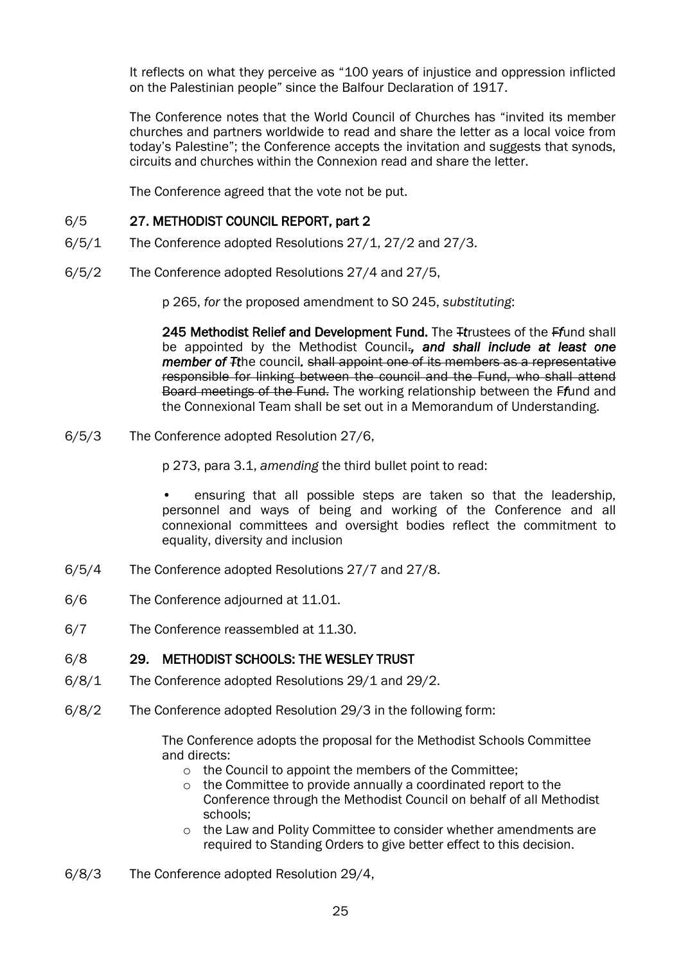It reflects on what they perceive as "100 years of injustice and oppression inflicted on the Palestinian people" since the Balfour Declaration of 1917.

The Conference notes that the World Council of Churches has "invited its member churches and partners worldwide to read and share the letter as a local voice from today's Palestine"; the Conference accepts the invitation and suggests that synods, circuits and churches within the Connexion read and share the letter.

The Conference agreed that the vote not be put.

### 6/5 27. METHODIST COUNCIL REPORT, part 2

- 6/5/1 The Conference adopted Resolutions 27/1, 27/2 and 27/3.
- 6/5/2 The Conference adopted Resolutions 27/4 and 27/5,

p 265, *for* the proposed amendment to SO 245, *substituting*:

245 Methodist Relief and Development Fund. The T*t*rustees of the F*f*und shall be appointed by the Methodist Council.*, and shall include at least one member of Tt*he council*.* shall appoint one of its members as a representative responsible for linking between the council and the Fund, who shall attend Board meetings of the Fund. The working relationship between the F*f*und and the Connexional Team shall be set out in a Memorandum of Understanding.

6/5/3 The Conference adopted Resolution 27/6,

p 273, para 3.1, *amending* the third bullet point to read:

ensuring that all possible steps are taken so that the leadership, personnel and ways of being and working of the Conference and all connexional committees and oversight bodies reflect the commitment to equality, diversity and inclusion

- 6/5/4 The Conference adopted Resolutions 27/7 and 27/8.
- 6/6 The Conference adjourned at 11.01.
- 6/7 The Conference reassembled at 11.30.

### 6/8 29. METHODIST SCHOOLS: THE WESLEY TRUST

- 6/8/1 The Conference adopted Resolutions 29/1 and 29/2.
- 6/8/2 The Conference adopted Resolution 29/3 in the following form:

The Conference adopts the proposal for the Methodist Schools Committee and directs:

- o the Council to appoint the members of the Committee;
- o the Committee to provide annually a coordinated report to the Conference through the Methodist Council on behalf of all Methodist schools;
- o the Law and Polity Committee to consider whether amendments are required to Standing Orders to give better effect to this decision.
- 6/8/3 The Conference adopted Resolution 29/4,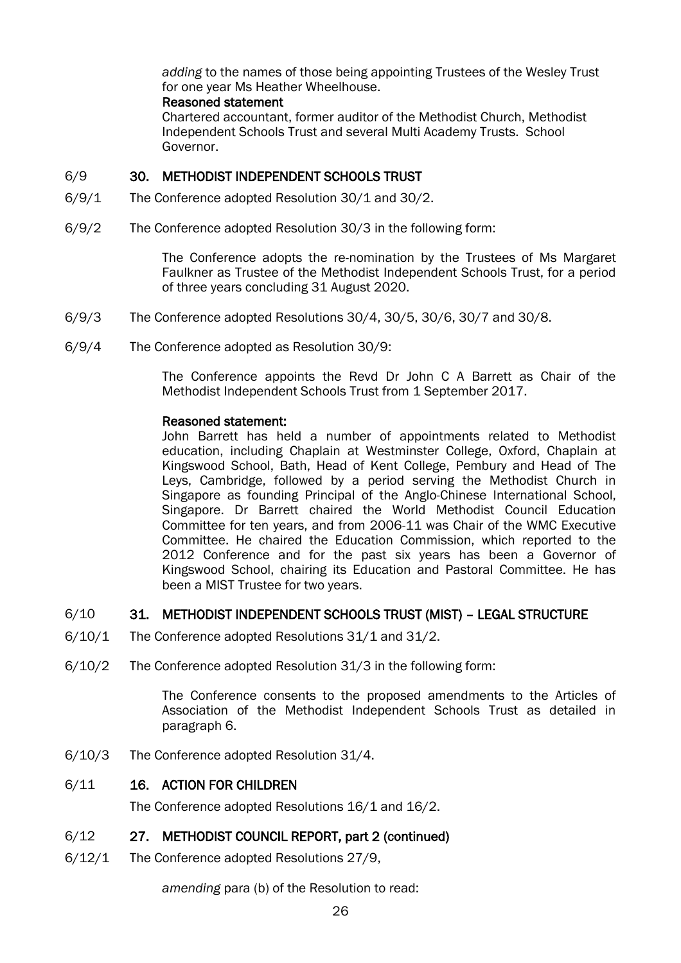*adding* to the names of those being appointing Trustees of the Wesley Trust for one year Ms Heather Wheelhouse.

### Reasoned statement

Chartered accountant, former auditor of the Methodist Church, Methodist Independent Schools Trust and several Multi Academy Trusts. School Governor.

### 6/9 30. METHODIST INDEPENDENT SCHOOLS TRUST

- 6/9/1 The Conference adopted Resolution 30/1 and 30/2.
- 6/9/2 The Conference adopted Resolution 30/3 in the following form:

The Conference adopts the re-nomination by the Trustees of Ms Margaret Faulkner as Trustee of the Methodist Independent Schools Trust, for a period of three years concluding 31 August 2020.

- 6/9/3 The Conference adopted Resolutions 30/4, 30/5, 30/6, 30/7 and 30/8.
- 6/9/4 The Conference adopted as Resolution 30/9:

The Conference appoints the Revd Dr John C A Barrett as Chair of the Methodist Independent Schools Trust from 1 September 2017.

### Reasoned statement:

John Barrett has held a number of appointments related to Methodist education, including Chaplain at Westminster College, Oxford, Chaplain at Kingswood School, Bath, Head of Kent College, Pembury and Head of The Leys, Cambridge, followed by a period serving the Methodist Church in Singapore as founding Principal of the Anglo-Chinese International School, Singapore. Dr Barrett chaired the World Methodist Council Education Committee for ten years, and from 2006-11 was Chair of the WMC Executive Committee. He chaired the Education Commission, which reported to the 2012 Conference and for the past six years has been a Governor of Kingswood School, chairing its Education and Pastoral Committee. He has been a MIST Trustee for two years.

### 6/10 31. METHODIST INDEPENDENT SCHOOLS TRUST (MIST) – LEGAL STRUCTURE

- 6/10/1 The Conference adopted Resolutions 31/1 and 31/2.
- 6/10/2 The Conference adopted Resolution 31/3 in the following form:

The Conference consents to the proposed amendments to the Articles of Association of the Methodist Independent Schools Trust as detailed in paragraph 6.

6/10/3 The Conference adopted Resolution 31/4.

### 6/11 16. ACTION FOR CHILDREN

The Conference adopted Resolutions 16/1 and 16/2.

### 6/12 27. METHODIST COUNCIL REPORT, part 2 (continued)

6/12/1 The Conference adopted Resolutions 27/9,

*amending* para (b) of the Resolution to read: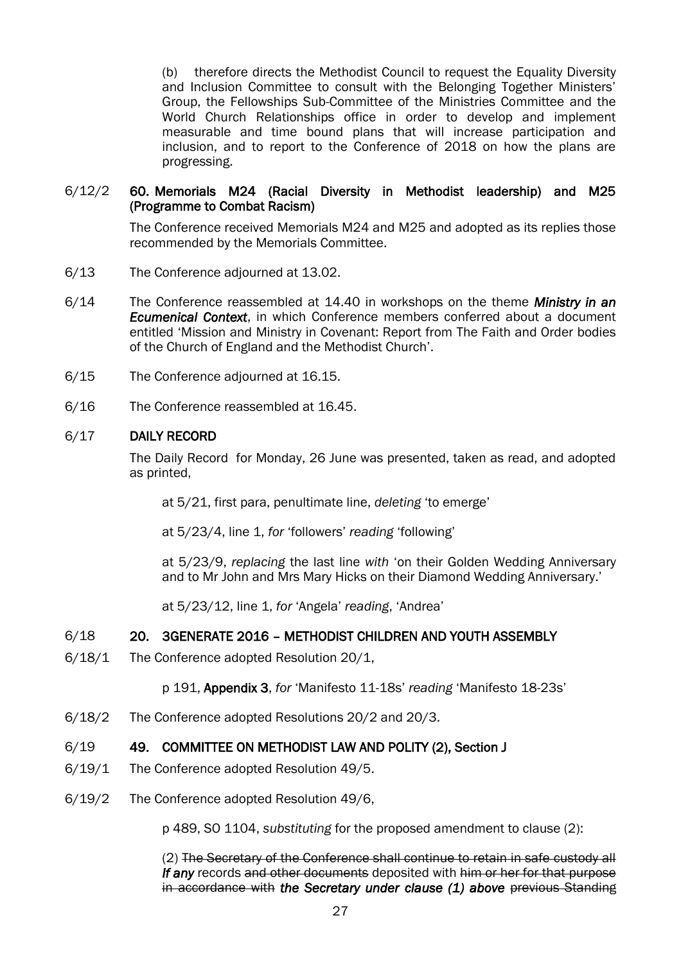(b) therefore directs the Methodist Council to request the Equality Diversity and Inclusion Committee to consult with the Belonging Together Ministers' Group, the Fellowships Sub-Committee of the Ministries Committee and the World Church Relationships office in order to develop and implement measurable and time bound plans that will increase participation and inclusion, and to report to the Conference of 2018 on how the plans are progressing.

### 6/12/2 60. Memorials M24 (Racial Diversity in Methodist leadership) and M25 (Programme to Combat Racism)

The Conference received Memorials M24 and M25 and adopted as its replies those recommended by the Memorials Committee.

- 6/13 The Conference adjourned at 13.02.
- 6/14 The Conference reassembled at 14.40 in workshops on the theme *Ministry in an Ecumenical Context*, in which Conference members conferred about a document entitled 'Mission and Ministry in Covenant: Report from The Faith and Order bodies of the Church of England and the Methodist Church'.
- 6/15 The Conference adjourned at 16.15.
- 6/16 The Conference reassembled at 16.45.

#### 6/17 DAILY RECORD

The Daily Record for Monday, 26 June was presented, taken as read, and adopted as printed,

at 5/21, first para, penultimate line, *deleting* 'to emerge'

at 5/23/4, line 1, *for* 'followers' *reading* 'following'

at 5/23/9, *replacing* the last line *with* 'on their Golden Wedding Anniversary and to Mr John and Mrs Mary Hicks on their Diamond Wedding Anniversary.'

at 5/23/12, line 1, *for* 'Angela' *reading*, 'Andrea'

### 6/18 20. 3GENERATE 2016 – METHODIST CHILDREN AND YOUTH ASSEMBLY

6/18/1 The Conference adopted Resolution 20/1,

p 191, Appendix 3, *for* 'Manifesto 11-18s' *reading* 'Manifesto 18-23s'

6/18/2 The Conference adopted Resolutions 20/2 and 20/3.

### 6/19 49. COMMITTEE ON METHODIST LAW AND POLITY (2), Section J

- 6/19/1 The Conference adopted Resolution 49/5.
- 6/19/2 The Conference adopted Resolution 49/6,

p 489, SO 1104, *substituting* for the proposed amendment to clause (2):

(2) The Secretary of the Conference shall continue to retain in safe custody all **If any** records and other documents deposited with him or her for that purpose in accordance with *the Secretary under clause (1) above* previous Standing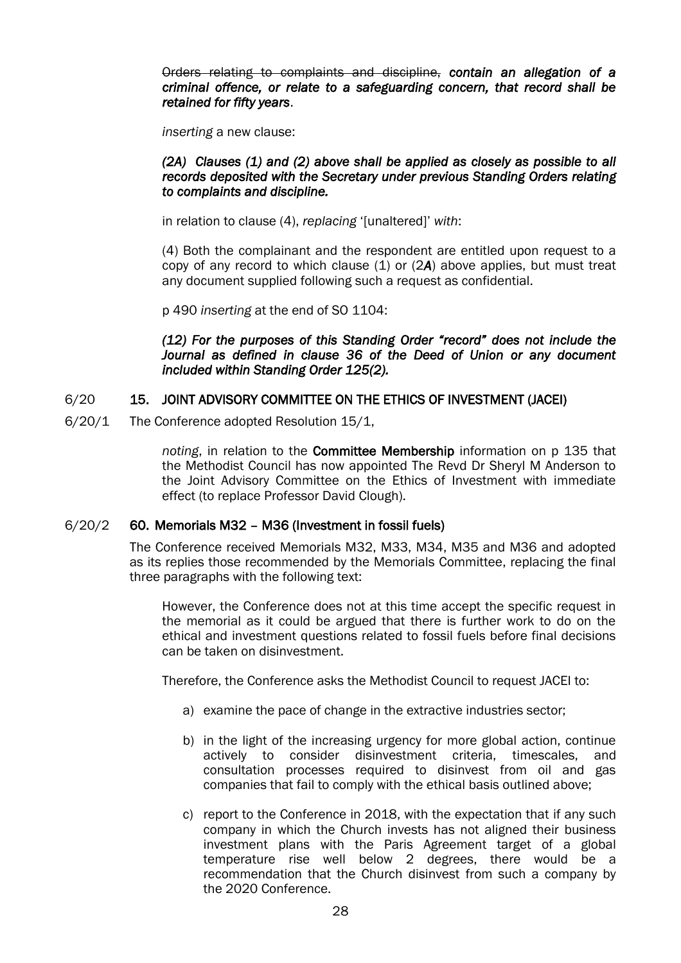Orders relating to complaints and discipline, *contain an allegation of a criminal offence, or relate to a safeguarding concern, that record shall be retained for fifty years*.

*inserting* a new clause:

#### *(2A) Clauses (1) and (2) above shall be applied as closely as possible to all records deposited with the Secretary under previous Standing Orders relating to complaints and discipline.*

in relation to clause (4), *replacing* '[unaltered]' *with*:

(4) Both the complainant and the respondent are entitled upon request to a copy of any record to which clause (1) or (2*A*) above applies, but must treat any document supplied following such a request as confidential.

p 490 *inserting* at the end of SO 1104:

*(12) For the purposes of this Standing Order "record" does not include the Journal as defined in clause 36 of the Deed of Union or any document included within Standing Order 125(2).* 

### 6/20 15. JOINT ADVISORY COMMITTEE ON THE ETHICS OF INVESTMENT (JACEI)

6/20/1 The Conference adopted Resolution 15/1,

*noting*, in relation to the Committee Membership information on p 135 that the Methodist Council has now appointed The Revd Dr Sheryl M Anderson to the Joint Advisory Committee on the Ethics of Investment with immediate effect (to replace Professor David Clough).

### 6/20/2 60. Memorials M32 – M36 (Investment in fossil fuels)

The Conference received Memorials M32, M33, M34, M35 and M36 and adopted as its replies those recommended by the Memorials Committee, replacing the final three paragraphs with the following text:

However, the Conference does not at this time accept the specific request in the memorial as it could be argued that there is further work to do on the ethical and investment questions related to fossil fuels before final decisions can be taken on disinvestment.

Therefore, the Conference asks the Methodist Council to request JACEI to:

- a) examine the pace of change in the extractive industries sector;
- b) in the light of the increasing urgency for more global action, continue actively to consider disinvestment criteria, timescales, and consultation processes required to disinvest from oil and gas companies that fail to comply with the ethical basis outlined above;
- c) report to the Conference in 2018, with the expectation that if any such company in which the Church invests has not aligned their business investment plans with the Paris Agreement target of a global temperature rise well below 2 degrees, there would be a recommendation that the Church disinvest from such a company by the 2020 Conference.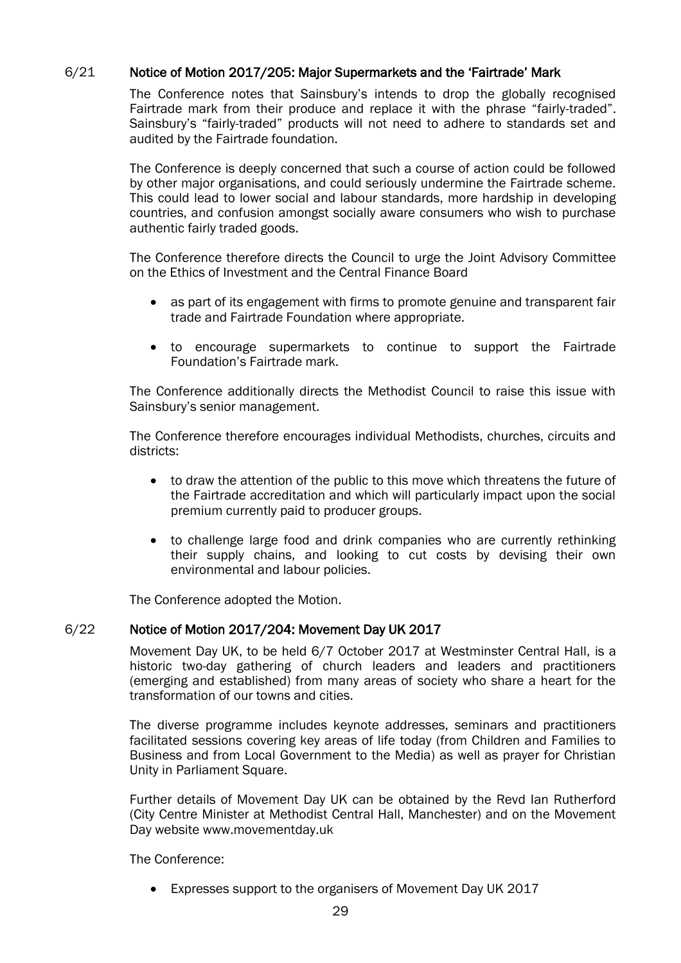### 6/21 Notice of Motion 2017/205: Major Supermarkets and the 'Fairtrade' Mark

The Conference notes that Sainsbury's intends to drop the globally recognised Fairtrade mark from their produce and replace it with the phrase "fairly-traded". Sainsbury's "fairly-traded" products will not need to adhere to standards set and audited by the Fairtrade foundation.

The Conference is deeply concerned that such a course of action could be followed by other major organisations, and could seriously undermine the Fairtrade scheme. This could lead to lower social and labour standards, more hardship in developing countries, and confusion amongst socially aware consumers who wish to purchase authentic fairly traded goods.

The Conference therefore directs the Council to urge the Joint Advisory Committee on the Ethics of Investment and the Central Finance Board

- as part of its engagement with firms to promote genuine and transparent fair trade and Fairtrade Foundation where appropriate.
- to encourage supermarkets to continue to support the Fairtrade Foundation's Fairtrade mark.

The Conference additionally directs the Methodist Council to raise this issue with Sainsbury's senior management.

The Conference therefore encourages individual Methodists, churches, circuits and districts:

- to draw the attention of the public to this move which threatens the future of the Fairtrade accreditation and which will particularly impact upon the social premium currently paid to producer groups.
- to challenge large food and drink companies who are currently rethinking their supply chains, and looking to cut costs by devising their own environmental and labour policies.

The Conference adopted the Motion.

### 6/22 Notice of Motion 2017/204: Movement Day UK 2017

Movement Day UK, to be held 6/7 October 2017 at Westminster Central Hall, is a historic two-day gathering of church leaders and leaders and practitioners (emerging and established) from many areas of society who share a heart for the transformation of our towns and cities.

The diverse programme includes keynote addresses, seminars and practitioners facilitated sessions covering key areas of life today (from Children and Families to Business and from Local Government to the Media) as well as prayer for Christian Unity in Parliament Square.

Further details of Movement Day UK can be obtained by the Revd Ian Rutherford (City Centre Minister at Methodist Central Hall, Manchester) and on the Movement Day website www.movementday.uk

The Conference:

Expresses support to the organisers of Movement Day UK 2017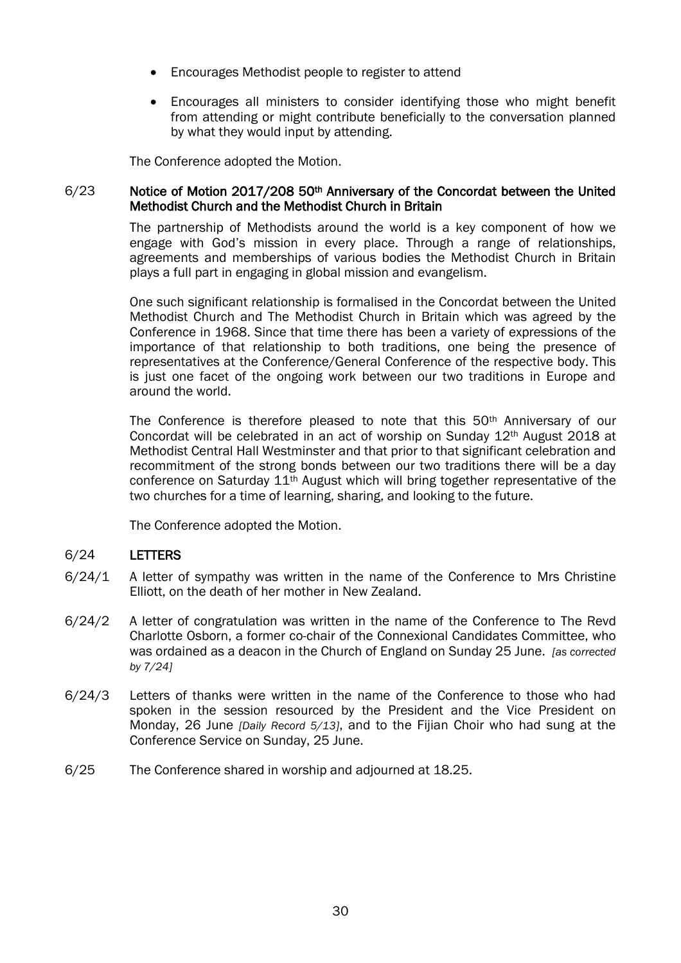- Encourages Methodist people to register to attend
- Encourages all ministers to consider identifying those who might benefit from attending or might contribute beneficially to the conversation planned by what they would input by attending.

The Conference adopted the Motion.

### 6/23 Notice of Motion 2017/208 50<sup>th</sup> Anniversary of the Concordat between the United Methodist Church and the Methodist Church in Britain

The partnership of Methodists around the world is a key component of how we engage with God's mission in every place. Through a range of relationships, agreements and memberships of various bodies the Methodist Church in Britain plays a full part in engaging in global mission and evangelism.

One such significant relationship is formalised in the Concordat between the United Methodist Church and The Methodist Church in Britain which was agreed by the Conference in 1968. Since that time there has been a variety of expressions of the importance of that relationship to both traditions, one being the presence of representatives at the Conference/General Conference of the respective body. This is just one facet of the ongoing work between our two traditions in Europe and around the world.

The Conference is therefore pleased to note that this 50<sup>th</sup> Anniversary of our Concordat will be celebrated in an act of worship on Sunday 12th August 2018 at Methodist Central Hall Westminster and that prior to that significant celebration and recommitment of the strong bonds between our two traditions there will be a day conference on Saturday 11th August which will bring together representative of the two churches for a time of learning, sharing, and looking to the future.

The Conference adopted the Motion.

### 6/24 LETTERS

- $6/24/1$  A letter of sympathy was written in the name of the Conference to Mrs Christine Elliott, on the death of her mother in New Zealand.
- 6/24/2 A letter of congratulation was written in the name of the Conference to The Revd Charlotte Osborn, a former co-chair of the Connexional Candidates Committee, who was ordained as a deacon in the Church of England on Sunday 25 June. *[as corrected by 7/24]*
- 6/24/3 Letters of thanks were written in the name of the Conference to those who had spoken in the session resourced by the President and the Vice President on Monday, 26 June *[Daily Record 5/13]*, and to the Fijian Choir who had sung at the Conference Service on Sunday, 25 June.
- 6/25 The Conference shared in worship and adjourned at 18.25.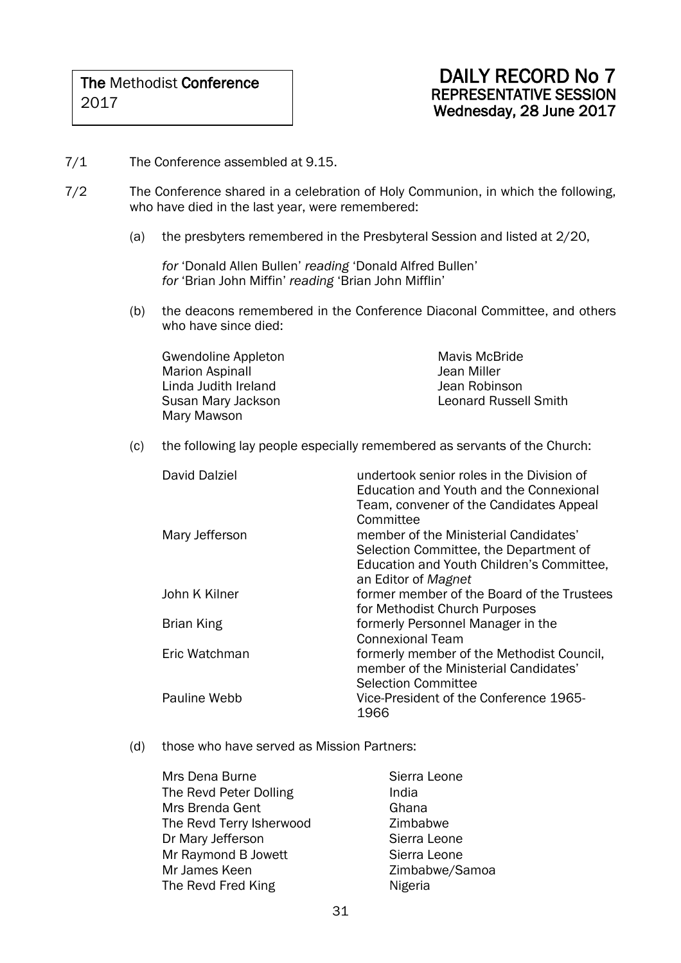- 7/1 The Conference assembled at 9.15.
- 7/2 The Conference shared in a celebration of Holy Communion, in which the following, who have died in the last year, were remembered:
	- (a) the presbyters remembered in the Presbyteral Session and listed at 2/20,

*for* 'Donald Allen Bullen' *reading* 'Donald Alfred Bullen' *for* 'Brian John Miffin' *reading* 'Brian John Mifflin'

(b) the deacons remembered in the Conference Diaconal Committee, and others who have since died:

Gwendoline Appleton Marion Aspinall Linda Judith Ireland Susan Mary Jackson Mary Mawson

Mavis McBride Jean Miller Jean Robinson Leonard Russell Smith

(c) the following lay people especially remembered as servants of the Church:

| David Dalziel  | undertook senior roles in the Division of<br>Education and Youth and the Connexional<br>Team, convener of the Candidates Appeal<br>Committee        |
|----------------|-----------------------------------------------------------------------------------------------------------------------------------------------------|
| Mary Jefferson | member of the Ministerial Candidates'<br>Selection Committee, the Department of<br>Education and Youth Children's Committee,<br>an Editor of Magnet |
| John K Kilner  | former member of the Board of the Trustees<br>for Methodist Church Purposes                                                                         |
| Brian King     | formerly Personnel Manager in the<br><b>Connexional Team</b>                                                                                        |
| Eric Watchman  | formerly member of the Methodist Council,<br>member of the Ministerial Candidates'<br><b>Selection Committee</b>                                    |
| Pauline Webb   | Vice-President of the Conference 1965-<br>1966                                                                                                      |

(d) those who have served as Mission Partners:

| Sierra Leone   |
|----------------|
| India          |
| Ghana          |
| Zimbabwe       |
| Sierra Leone   |
| Sierra Leone   |
| Zimbabwe/Samoa |
| Nigeria        |
|                |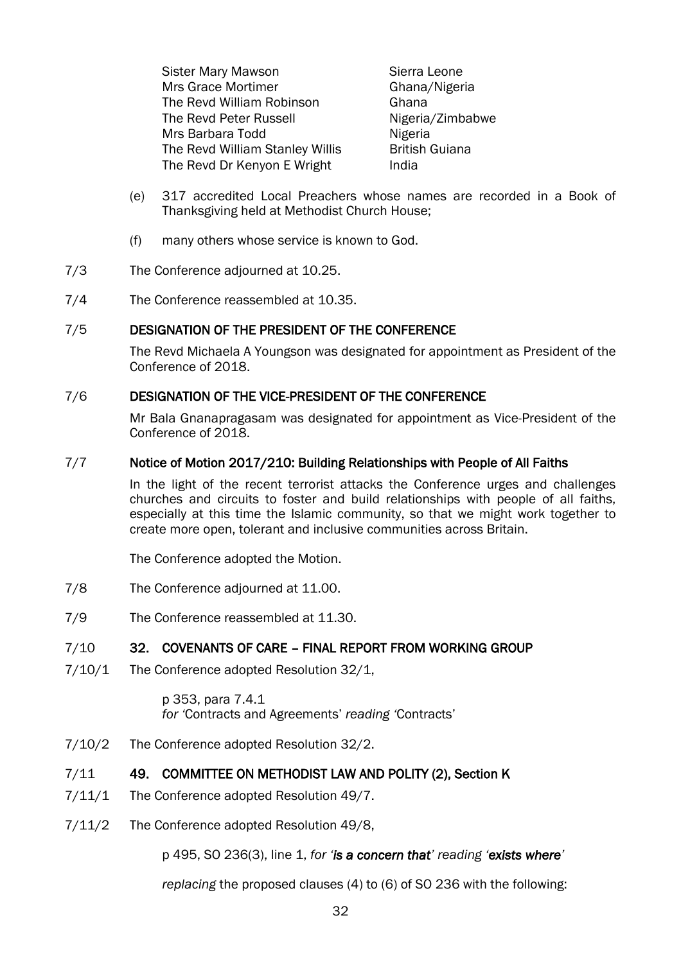Sister Mary Mawson Sierra Leone Mrs Grace Mortimer Ghana/Nigeria The Revd William Robinson **Ghana** The Revd Peter Russell Nigeria/Zimbabwe Mrs Barbara Todd Nigeria The Revd William Stanley Willis British Guiana The Revd Dr Kenyon E Wright India

- (e) 317 accredited Local Preachers whose names are recorded in a Book of Thanksgiving held at Methodist Church House;
- (f) many others whose service is known to God.
- 7/3 The Conference adjourned at 10.25.
- 7/4 The Conference reassembled at 10.35.

### 7/5 DESIGNATION OF THE PRESIDENT OF THE CONFERENCE

The Revd Michaela A Youngson was designated for appointment as President of the Conference of 2018.

### 7/6 DESIGNATION OF THE VICE-PRESIDENT OF THE CONFERENCE

Mr Bala Gnanapragasam was designated for appointment as Vice-President of the Conference of 2018.

### 7/7 Notice of Motion 2017/210: Building Relationships with People of All Faiths

In the light of the recent terrorist attacks the Conference urges and challenges churches and circuits to foster and build relationships with people of all faiths, especially at this time the Islamic community, so that we might work together to create more open, tolerant and inclusive communities across Britain.

The Conference adopted the Motion.

- 7/8 The Conference adjourned at 11.00.
- 7/9 The Conference reassembled at 11.30.

### 7/10 32. COVENANTS OF CARE – FINAL REPORT FROM WORKING GROUP

7/10/1 The Conference adopted Resolution 32/1,

p 353, para 7.4.1 *for '*Contracts and Agreements' *reading '*Contracts'

7/10/2 The Conference adopted Resolution 32/2.

### 7/11 49. COMMITTEE ON METHODIST LAW AND POLITY (2), Section K

- 7/11/1 The Conference adopted Resolution 49/7.
- 7/11/2 The Conference adopted Resolution 49/8,

p 495, SO 236(3), line 1, *for 'is a concern that' reading 'exists where'* 

*replacing* the proposed clauses (4) to (6) of SO 236 with the following: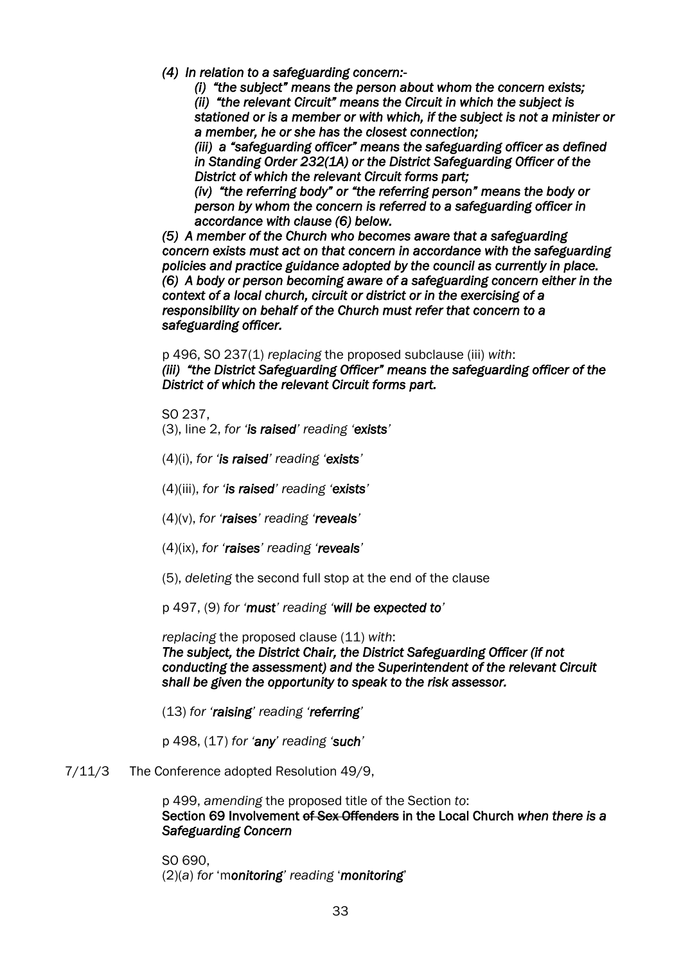*(4) In relation to a safeguarding concern:-* 

*(i) "the subject" means the person about whom the concern exists; (ii) "the relevant Circuit" means the Circuit in which the subject is stationed or is a member or with which, if the subject is not a minister or a member, he or she has the closest connection;* 

*(iii) a "safeguarding officer" means the safeguarding officer as defined in Standing Order 232(1A) or the District Safeguarding Officer of the District of which the relevant Circuit forms part;* 

*(iv) "the referring body" or "the referring person" means the body or person by whom the concern is referred to a safeguarding officer in accordance with clause (6) below.* 

*(5) A member of the Church who becomes aware that a safeguarding concern exists must act on that concern in accordance with the safeguarding policies and practice guidance adopted by the council as currently in place. (6) A body or person becoming aware of a safeguarding concern either in the context of a local church, circuit or district or in the exercising of a responsibility on behalf of the Church must refer that concern to a safeguarding officer.* 

p 496, SO 237(1) *replacing* the proposed subclause (iii) *with*:

*(iii) "the District Safeguarding Officer" means the safeguarding officer of the District of which the relevant Circuit forms part.* 

SO 237,

- (3), line 2, *for 'is raised' reading 'exists'*
- (4)(i), *for 'is raised' reading 'exists'*
- (4)(iii), *for 'is raised' reading 'exists'*
- (4)(v), *for 'raises' reading 'reveals'*
- (4)(ix), *for 'raises' reading 'reveals'*
- (5), *deleting* the second full stop at the end of the clause

p 497, (9) *for 'must' reading 'will be expected to'*

*replacing* the proposed clause (11) *with*: *The subject, the District Chair, the District Safeguarding Officer (if not conducting the assessment) and the Superintendent of the relevant Circuit shall be given the opportunity to speak to the risk assessor.*

(13) *for 'raising' reading 'referring'*

p 498, (17) *for 'any' reading 'such'*

7/11/3 The Conference adopted Resolution 49/9,

p 499, *amending* the proposed title of the Section *to*: Section 69 Involvement of Sex Offenders in the Local Church *when there is a Safeguarding Concern* 

SO 690, (2)(*a*) *for* 'm*onitoring' reading* '*monitoring*'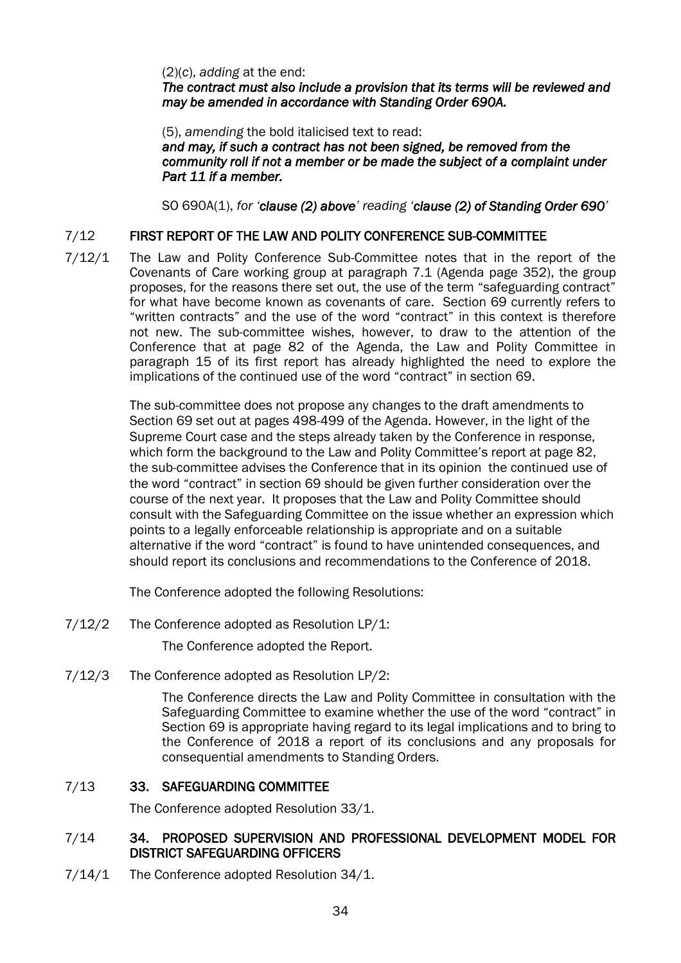(2)(*c*), *adding* at the end:

*The contract must also include a provision that its terms will be reviewed and may be amended in accordance with Standing Order 690A.*

(5), *amending* the bold italicised text to read: *and may, if such a contract has not been signed, be removed from the community roll if not a member or be made the subject of a complaint under Part 11 if a member.* 

SO 690A(1), *for 'clause (2) above' reading 'clause (2) of Standing Order 690'*

### 7/12 FIRST REPORT OF THE LAW AND POLITY CONFERENCE SUB-COMMITTEE

7/12/1 The Law and Polity Conference Sub-Committee notes that in the report of the Covenants of Care working group at paragraph 7.1 (Agenda page 352), the group proposes, for the reasons there set out, the use of the term "safeguarding contract" for what have become known as covenants of care. Section 69 currently refers to "written contracts" and the use of the word "contract" in this context is therefore not new. The sub-committee wishes, however, to draw to the attention of the Conference that at page 82 of the Agenda, the Law and Polity Committee in paragraph 15 of its first report has already highlighted the need to explore the implications of the continued use of the word "contract" in section 69.

> The sub-committee does not propose any changes to the draft amendments to Section 69 set out at pages 498-499 of the Agenda. However, in the light of the Supreme Court case and the steps already taken by the Conference in response, which form the background to the Law and Polity Committee's report at page 82, the sub-committee advises the Conference that in its opinion the continued use of the word "contract" in section 69 should be given further consideration over the course of the next year. It proposes that the Law and Polity Committee should consult with the Safeguarding Committee on the issue whether an expression which points to a legally enforceable relationship is appropriate and on a suitable alternative if the word "contract" is found to have unintended consequences, and should report its conclusions and recommendations to the Conference of 2018.

The Conference adopted the following Resolutions:

7/12/2 The Conference adopted as Resolution LP/1:

The Conference adopted the Report.

7/12/3 The Conference adopted as Resolution LP/2:

The Conference directs the Law and Polity Committee in consultation with the Safeguarding Committee to examine whether the use of the word "contract" in Section 69 is appropriate having regard to its legal implications and to bring to the Conference of 2018 a report of its conclusions and any proposals for consequential amendments to Standing Orders.

### 7/13 33. SAFEGUARDING COMMITTEE

The Conference adopted Resolution 33/1.

### 7/14 34. PROPOSED SUPERVISION AND PROFESSIONAL DEVELOPMENT MODEL FOR DISTRICT SAFEGUARDING OFFICERS

7/14/1 The Conference adopted Resolution 34/1.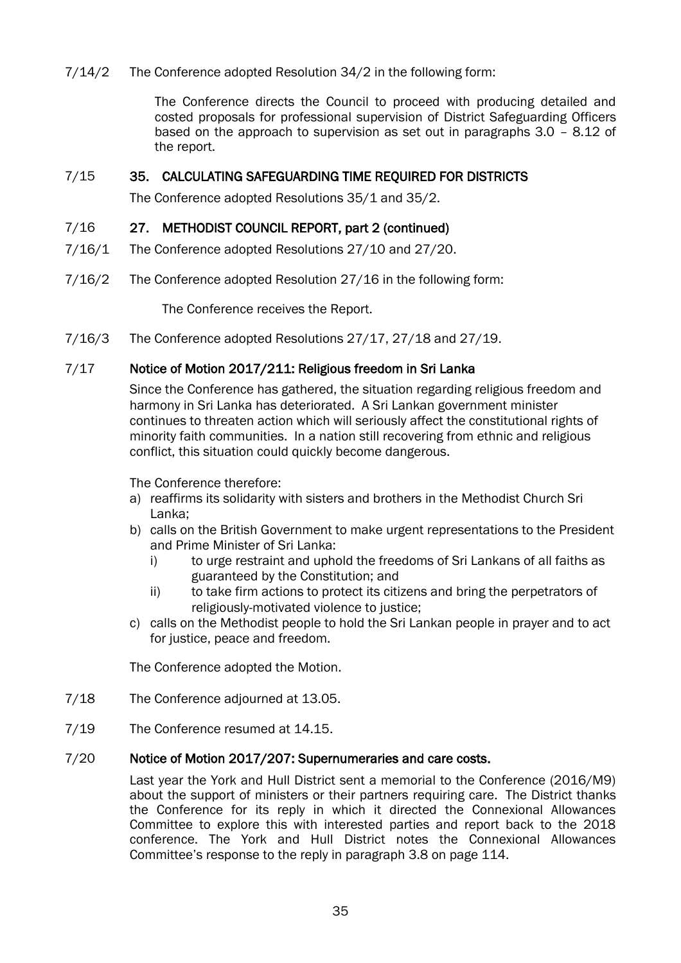### 7/14/2 The Conference adopted Resolution 34/2 in the following form:

The Conference directs the Council to proceed with producing detailed and costed proposals for professional supervision of District Safeguarding Officers based on the approach to supervision as set out in paragraphs 3.0 – 8.12 of the report.

### 7/15 35. CALCULATING SAFEGUARDING TIME REQUIRED FOR DISTRICTS

The Conference adopted Resolutions 35/1 and 35/2.

### 7/16 27. METHODIST COUNCIL REPORT, part 2 (continued)

- 7/16/1 The Conference adopted Resolutions 27/10 and 27/20.
- 7/16/2 The Conference adopted Resolution 27/16 in the following form:

The Conference receives the Report.

7/16/3 The Conference adopted Resolutions 27/17, 27/18 and 27/19.

### 7/17 Notice of Motion 2017/211: Religious freedom in Sri Lanka

Since the Conference has gathered, the situation regarding religious freedom and harmony in Sri Lanka has deteriorated. A Sri Lankan government minister continues to threaten action which will seriously affect the constitutional rights of minority faith communities. In a nation still recovering from ethnic and religious conflict, this situation could quickly become dangerous.

The Conference therefore:

- a) reaffirms its solidarity with sisters and brothers in the Methodist Church Sri Lanka;
- b) calls on the British Government to make urgent representations to the President and Prime Minister of Sri Lanka:
	- i) to urge restraint and uphold the freedoms of Sri Lankans of all faiths as guaranteed by the Constitution; and
	- ii) to take firm actions to protect its citizens and bring the perpetrators of religiously-motivated violence to justice;
- c) calls on the Methodist people to hold the Sri Lankan people in prayer and to act for justice, peace and freedom.

The Conference adopted the Motion.

- 7/18 The Conference adjourned at 13.05.
- 7/19 The Conference resumed at 14.15.

### 7/20 Notice of Motion 2017/207: Supernumeraries and care costs.

Last year the York and Hull District sent a memorial to the Conference (2016/M9) about the support of ministers or their partners requiring care. The District thanks the Conference for its reply in which it directed the Connexional Allowances Committee to explore this with interested parties and report back to the 2018 conference. The York and Hull District notes the Connexional Allowances Committee's response to the reply in paragraph 3.8 on page 114.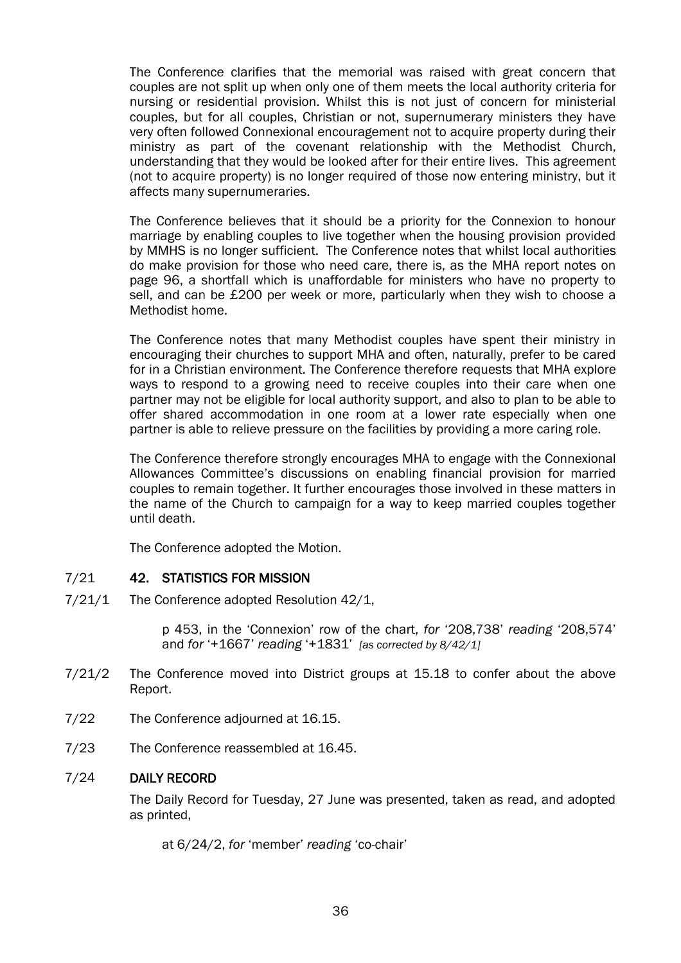The Conference clarifies that the memorial was raised with great concern that couples are not split up when only one of them meets the local authority criteria for nursing or residential provision. Whilst this is not just of concern for ministerial couples, but for all couples, Christian or not, supernumerary ministers they have very often followed Connexional encouragement not to acquire property during their ministry as part of the covenant relationship with the Methodist Church, understanding that they would be looked after for their entire lives. This agreement (not to acquire property) is no longer required of those now entering ministry, but it affects many supernumeraries.

The Conference believes that it should be a priority for the Connexion to honour marriage by enabling couples to live together when the housing provision provided by MMHS is no longer sufficient. The Conference notes that whilst local authorities do make provision for those who need care, there is, as the MHA report notes on page 96, a shortfall which is unaffordable for ministers who have no property to sell, and can be £200 per week or more, particularly when they wish to choose a Methodist home.

The Conference notes that many Methodist couples have spent their ministry in encouraging their churches to support MHA and often, naturally, prefer to be cared for in a Christian environment. The Conference therefore requests that MHA explore ways to respond to a growing need to receive couples into their care when one partner may not be eligible for local authority support, and also to plan to be able to offer shared accommodation in one room at a lower rate especially when one partner is able to relieve pressure on the facilities by providing a more caring role.

The Conference therefore strongly encourages MHA to engage with the Connexional Allowances Committee's discussions on enabling financial provision for married couples to remain together. It further encourages those involved in these matters in the name of the Church to campaign for a way to keep married couples together until death.

The Conference adopted the Motion.

### 7/21 42. STATISTICS FOR MISSION

7/21/1 The Conference adopted Resolution 42/1,

p 453, in the 'Connexion' row of the chart, *for* '208,738' *reading* '208,574' and *for* '+1667' *reading* '+1831' *[as corrected by 8/42/1]*

- 7/21/2 The Conference moved into District groups at 15.18 to confer about the above Report.
- 7/22 The Conference adjourned at 16.15.
- 7/23 The Conference reassembled at 16.45.

### 7/24 DAILY RECORD

The Daily Record for Tuesday, 27 June was presented, taken as read, and adopted as printed,

at 6/24/2, *for* 'member' *reading* 'co-chair'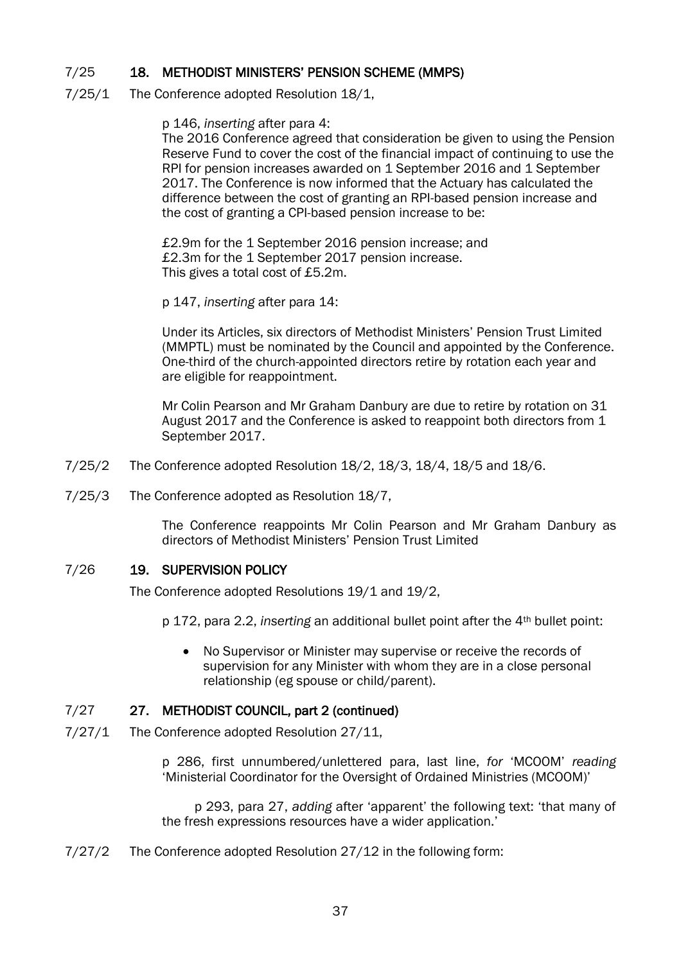### 7/25 18. METHODIST MINISTERS' PENSION SCHEME (MMPS)

7/25/1 The Conference adopted Resolution 18/1,

p 146, *inserting* after para 4:

The 2016 Conference agreed that consideration be given to using the Pension Reserve Fund to cover the cost of the financial impact of continuing to use the RPI for pension increases awarded on 1 September 2016 and 1 September 2017. The Conference is now informed that the Actuary has calculated the difference between the cost of granting an RPI-based pension increase and the cost of granting a CPI-based pension increase to be:

£2.9m for the 1 September 2016 pension increase; and £2.3m for the 1 September 2017 pension increase. This gives a total cost of £5.2m.

p 147, *inserting* after para 14:

Under its Articles, six directors of Methodist Ministers' Pension Trust Limited (MMPTL) must be nominated by the Council and appointed by the Conference. One-third of the church-appointed directors retire by rotation each year and are eligible for reappointment.

Mr Colin Pearson and Mr Graham Danbury are due to retire by rotation on 31 August 2017 and the Conference is asked to reappoint both directors from 1 September 2017.

- 7/25/2 The Conference adopted Resolution 18/2, 18/3, 18/4, 18/5 and 18/6.
- 7/25/3 The Conference adopted as Resolution 18/7,

The Conference reappoints Mr Colin Pearson and Mr Graham Danbury as directors of Methodist Ministers' Pension Trust Limited

### 7/26 19. SUPERVISION POLICY

The Conference adopted Resolutions 19/1 and 19/2,

p 172, para 2.2, *inserting* an additional bullet point after the 4th bullet point:

 No Supervisor or Minister may supervise or receive the records of supervision for any Minister with whom they are in a close personal relationship (eg spouse or child/parent).

### 7/27 27. METHODIST COUNCIL, part 2 (continued)

7/27/1 The Conference adopted Resolution 27/11,

p 286, first unnumbered/unlettered para, last line, *for* 'MCOOM' *reading* 'Ministerial Coordinator for the Oversight of Ordained Ministries (MCOOM)'

p 293, para 27, *adding* after 'apparent' the following text: 'that many of the fresh expressions resources have a wider application.'

7/27/2 The Conference adopted Resolution 27/12 in the following form: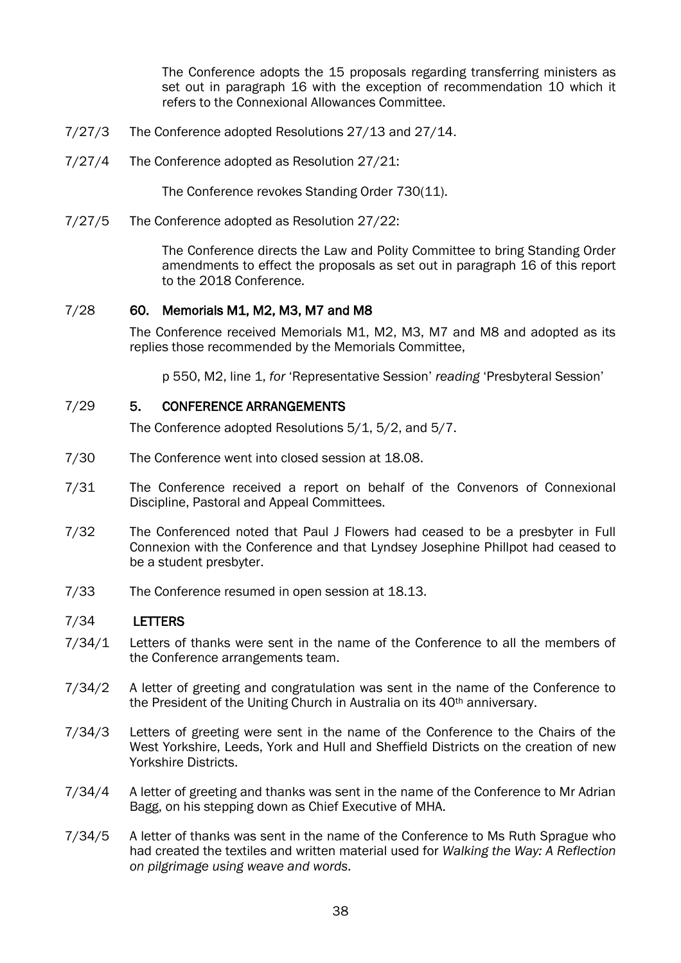The Conference adopts the 15 proposals regarding transferring ministers as set out in paragraph 16 with the exception of recommendation 10 which it refers to the Connexional Allowances Committee.

- 7/27/3 The Conference adopted Resolutions 27/13 and 27/14.
- 7/27/4 The Conference adopted as Resolution 27/21:

The Conference revokes Standing Order 730(11).

7/27/5 The Conference adopted as Resolution 27/22:

The Conference directs the Law and Polity Committee to bring Standing Order amendments to effect the proposals as set out in paragraph 16 of this report to the 2018 Conference.

### 7/28 60. Memorials M1, M2, M3, M7 and M8

The Conference received Memorials M1, M2, M3, M7 and M8 and adopted as its replies those recommended by the Memorials Committee,

p 550, M2, line 1, *for* 'Representative Session' *reading* 'Presbyteral Session'

### 7/29 5. CONFERENCE ARRANGEMENTS

The Conference adopted Resolutions 5/1, 5/2, and 5/7.

- 7/30 The Conference went into closed session at 18.08.
- 7/31 The Conference received a report on behalf of the Convenors of Connexional Discipline, Pastoral and Appeal Committees.
- 7/32 The Conferenced noted that Paul J Flowers had ceased to be a presbyter in Full Connexion with the Conference and that Lyndsey Josephine Phillpot had ceased to be a student presbyter.
- 7/33 The Conference resumed in open session at 18.13.

### 7/34 LETTERS

- 7/34/1 Letters of thanks were sent in the name of the Conference to all the members of the Conference arrangements team.
- 7/34/2 A letter of greeting and congratulation was sent in the name of the Conference to the President of the Uniting Church in Australia on its 40th anniversary.
- 7/34/3 Letters of greeting were sent in the name of the Conference to the Chairs of the West Yorkshire, Leeds, York and Hull and Sheffield Districts on the creation of new Yorkshire Districts.
- 7/34/4 A letter of greeting and thanks was sent in the name of the Conference to Mr Adrian Bagg, on his stepping down as Chief Executive of MHA.
- 7/34/5 A letter of thanks was sent in the name of the Conference to Ms Ruth Sprague who had created the textiles and written material used for *Walking the Way: A Reflection on pilgrimage using weave and words.*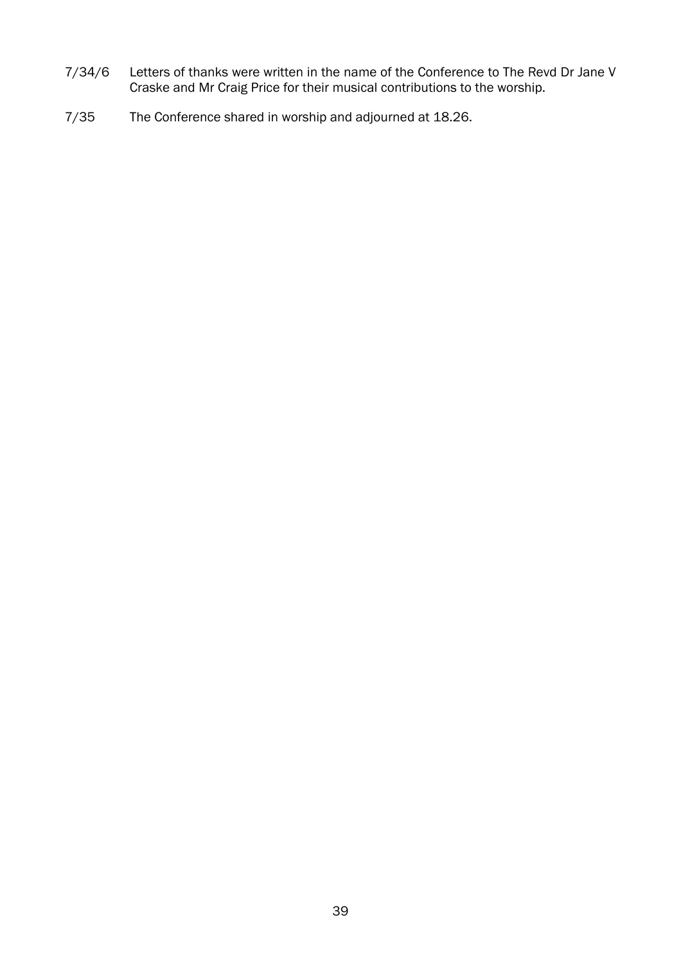- 7/34/6 Letters of thanks were written in the name of the Conference to The Revd Dr Jane V Craske and Mr Craig Price for their musical contributions to the worship.
- 7/35 The Conference shared in worship and adjourned at 18.26.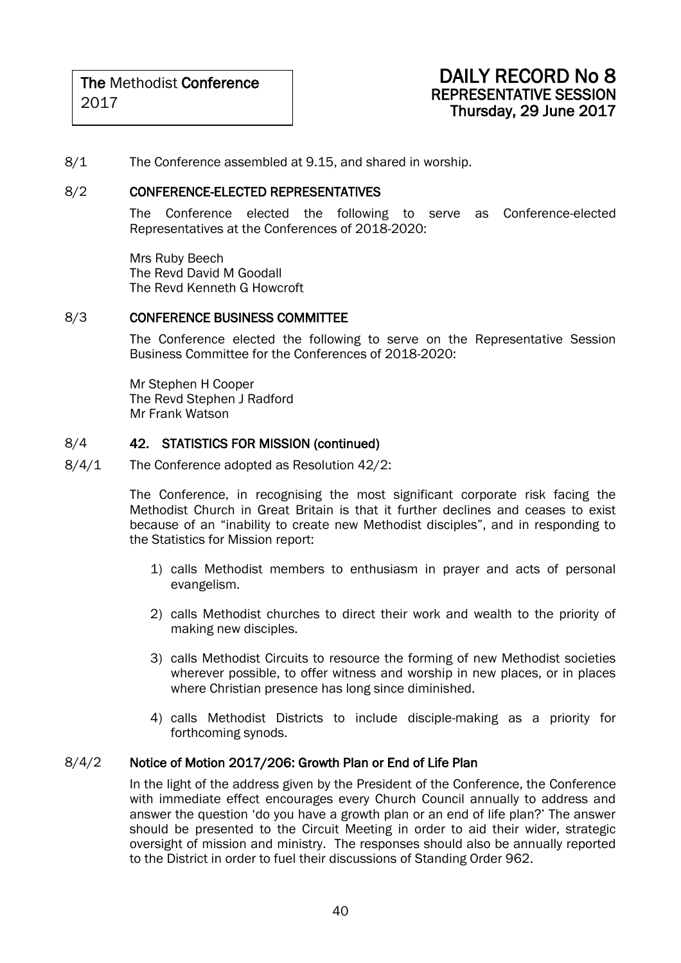8/1 The Conference assembled at 9.15, and shared in worship.

### 8/2 CONFERENCE-ELECTED REPRESENTATIVES

The Conference elected the following to serve as Conference-elected Representatives at the Conferences of 2018-2020:

Mrs Ruby Beech The Revd David M Goodall The Revd Kenneth G Howcroft

### 8/3 CONFERENCE BUSINESS COMMITTEE

The Conference elected the following to serve on the Representative Session Business Committee for the Conferences of 2018-2020:

Mr Stephen H Cooper The Revd Stephen J Radford Mr Frank Watson

### 8/4 42. STATISTICS FOR MISSION (continued)

8/4/1 The Conference adopted as Resolution 42/2:

The Conference, in recognising the most significant corporate risk facing the Methodist Church in Great Britain is that it further declines and ceases to exist because of an "inability to create new Methodist disciples", and in responding to the Statistics for Mission report:

- 1) calls Methodist members to enthusiasm in prayer and acts of personal evangelism.
- 2) calls Methodist churches to direct their work and wealth to the priority of making new disciples.
- 3) calls Methodist Circuits to resource the forming of new Methodist societies wherever possible, to offer witness and worship in new places, or in places where Christian presence has long since diminished.
- 4) calls Methodist Districts to include disciple-making as a priority for forthcoming synods.

### 8/4/2 Notice of Motion 2017/206: Growth Plan or End of Life Plan

In the light of the address given by the President of the Conference, the Conference with immediate effect encourages every Church Council annually to address and answer the question 'do you have a growth plan or an end of life plan?' The answer should be presented to the Circuit Meeting in order to aid their wider, strategic oversight of mission and ministry. The responses should also be annually reported to the District in order to fuel their discussions of Standing Order 962.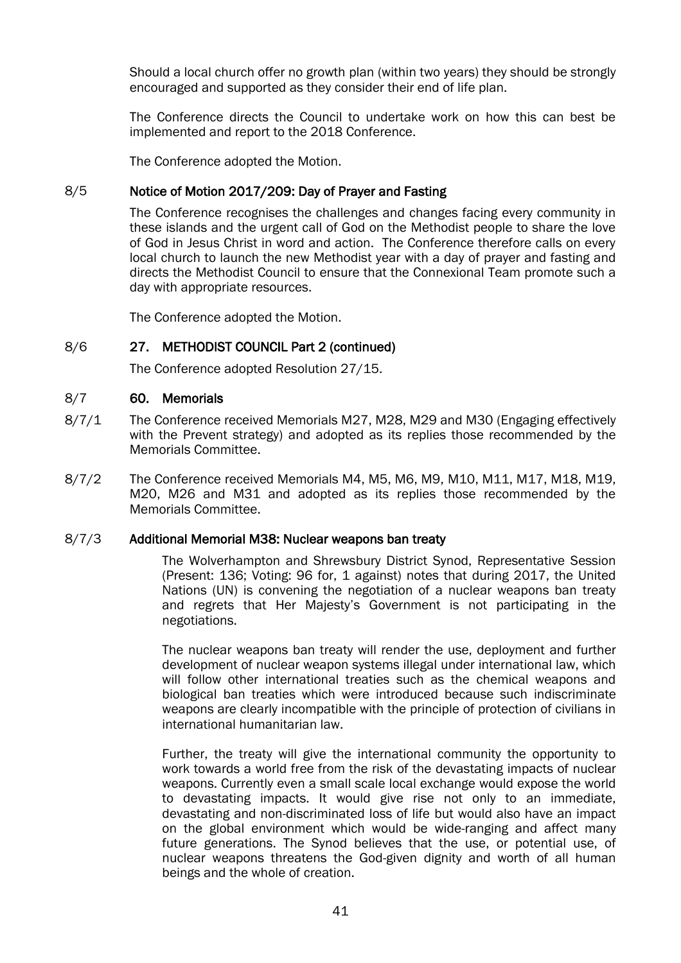Should a local church offer no growth plan (within two years) they should be strongly encouraged and supported as they consider their end of life plan.

The Conference directs the Council to undertake work on how this can best be implemented and report to the 2018 Conference.

The Conference adopted the Motion.

### 8/5 Notice of Motion 2017/209: Day of Prayer and Fasting

The Conference recognises the challenges and changes facing every community in these islands and the urgent call of God on the Methodist people to share the love of God in Jesus Christ in word and action. The Conference therefore calls on every local church to launch the new Methodist year with a day of prayer and fasting and directs the Methodist Council to ensure that the Connexional Team promote such a day with appropriate resources.

The Conference adopted the Motion.

### 8/6 27. METHODIST COUNCIL Part 2 (continued)

The Conference adopted Resolution 27/15.

### 8/7 60. Memorials

- 8/7/1 The Conference received Memorials M27, M28, M29 and M30 (Engaging effectively with the Prevent strategy) and adopted as its replies those recommended by the Memorials Committee.
- 8/7/2 The Conference received Memorials M4, M5, M6, M9, M10, M11, M17, M18, M19, M20, M26 and M31 and adopted as its replies those recommended by the Memorials Committee.

### 8/7/3 Additional Memorial M38: Nuclear weapons ban treaty

The Wolverhampton and Shrewsbury District Synod, Representative Session (Present: 136; Voting: 96 for, 1 against) notes that during 2017, the United Nations (UN) is convening the negotiation of a nuclear weapons ban treaty and regrets that Her Majesty's Government is not participating in the negotiations.

The nuclear weapons ban treaty will render the use, deployment and further development of nuclear weapon systems illegal under international law, which will follow other international treaties such as the chemical weapons and biological ban treaties which were introduced because such indiscriminate weapons are clearly incompatible with the principle of protection of civilians in international humanitarian law.

Further, the treaty will give the international community the opportunity to work towards a world free from the risk of the devastating impacts of nuclear weapons. Currently even a small scale local exchange would expose the world to devastating impacts. It would give rise not only to an immediate, devastating and non-discriminated loss of life but would also have an impact on the global environment which would be wide-ranging and affect many future generations. The Synod believes that the use, or potential use, of nuclear weapons threatens the God-given dignity and worth of all human beings and the whole of creation.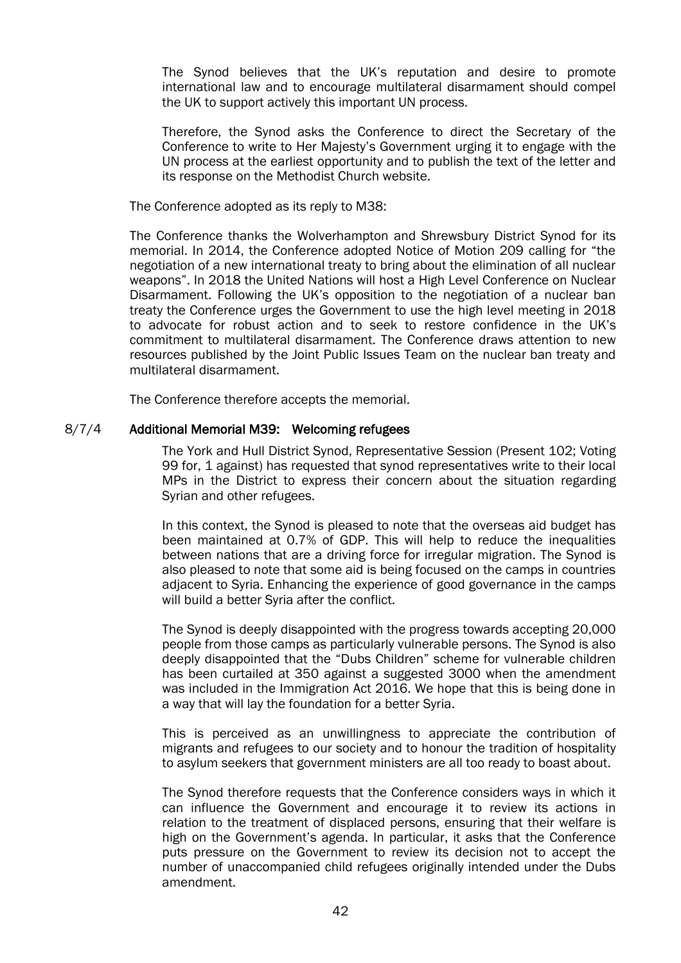The Synod believes that the UK's reputation and desire to promote international law and to encourage multilateral disarmament should compel the UK to support actively this important UN process.

Therefore, the Synod asks the Conference to direct the Secretary of the Conference to write to Her Majesty's Government urging it to engage with the UN process at the earliest opportunity and to publish the text of the letter and its response on the Methodist Church website.

The Conference adopted as its reply to M38:

The Conference thanks the Wolverhampton and Shrewsbury District Synod for its memorial. In 2014, the Conference adopted Notice of Motion 209 calling for "the negotiation of a new international treaty to bring about the elimination of all nuclear weapons". In 2018 the United Nations will host a High Level Conference on Nuclear Disarmament. Following the UK's opposition to the negotiation of a nuclear ban treaty the Conference urges the Government to use the high level meeting in 2018 to advocate for robust action and to seek to restore confidence in the UK's commitment to multilateral disarmament. The Conference draws attention to new resources published by the Joint Public Issues Team on the nuclear ban treaty and multilateral disarmament.

The Conference therefore accepts the memorial.

### 8/7/4 Additional Memorial M39: Welcoming refugees

The York and Hull District Synod, Representative Session (Present 102; Voting 99 for, 1 against) has requested that synod representatives write to their local MPs in the District to express their concern about the situation regarding Syrian and other refugees.

In this context, the Synod is pleased to note that the overseas aid budget has been maintained at 0.7% of GDP. This will help to reduce the inequalities between nations that are a driving force for irregular migration. The Synod is also pleased to note that some aid is being focused on the camps in countries adjacent to Syria. Enhancing the experience of good governance in the camps will build a better Syria after the conflict.

The Synod is deeply disappointed with the progress towards accepting 20,000 people from those camps as particularly vulnerable persons. The Synod is also deeply disappointed that the "Dubs Children" scheme for vulnerable children has been curtailed at 350 against a suggested 3000 when the amendment was included in the Immigration Act 2016. We hope that this is being done in a way that will lay the foundation for a better Syria.

This is perceived as an unwillingness to appreciate the contribution of migrants and refugees to our society and to honour the tradition of hospitality to asylum seekers that government ministers are all too ready to boast about.

The Synod therefore requests that the Conference considers ways in which it can influence the Government and encourage it to review its actions in relation to the treatment of displaced persons, ensuring that their welfare is high on the Government's agenda. In particular, it asks that the Conference puts pressure on the Government to review its decision not to accept the number of unaccompanied child refugees originally intended under the Dubs amendment.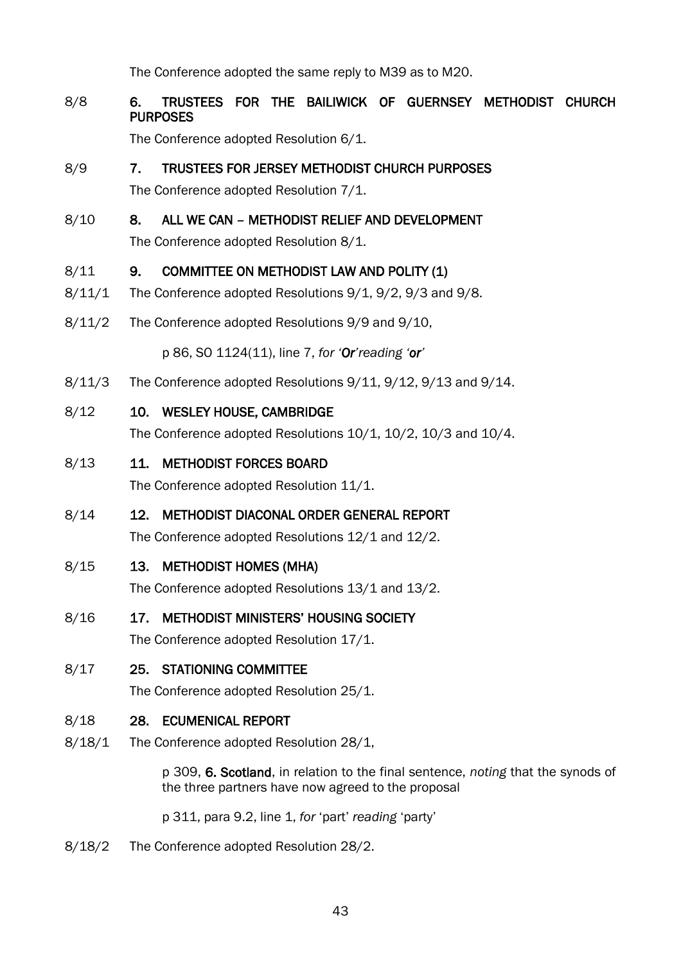The Conference adopted the same reply to M39 as to M20.

### 8/8 6. TRUSTEES FOR THE BAILIWICK OF GUERNSEY METHODIST CHURCH PURPOSES

The Conference adopted Resolution 6/1.

### 8/9 7. TRUSTEES FOR JERSEY METHODIST CHURCH PURPOSES

The Conference adopted Resolution 7/1.

### 8/10 8. ALL WE CAN – METHODIST RELIEF AND DEVELOPMENT

The Conference adopted Resolution 8/1.

### 8/11 9. COMMITTEE ON METHODIST LAW AND POLITY (1)

- 8/11/1 The Conference adopted Resolutions 9/1, 9/2, 9/3 and 9/8.
- 8/11/2 The Conference adopted Resolutions 9/9 and 9/10,

p 86, SO 1124(11), line 7, *for 'Or'reading 'or'*

- 8/11/3 The Conference adopted Resolutions 9/11, 9/12, 9/13 and 9/14.
- 8/12 10. WESLEY HOUSE, CAMBRIDGE

The Conference adopted Resolutions 10/1, 10/2, 10/3 and 10/4.

8/13 11. METHODIST FORCES BOARD

The Conference adopted Resolution 11/1.

### 8/14 12. METHODIST DIACONAL ORDER GENERAL REPORT

The Conference adopted Resolutions 12/1 and 12/2.

8/15 13. METHODIST HOMES (MHA)

The Conference adopted Resolutions 13/1 and 13/2.

### 8/16 17. METHODIST MINISTERS' HOUSING SOCIETY

The Conference adopted Resolution 17/1.

8/17 25. STATIONING COMMITTEE

The Conference adopted Resolution 25/1.

### 8/18 28. ECUMENICAL REPORT

8/18/1 The Conference adopted Resolution 28/1,

p 309, 6. Scotland, in relation to the final sentence, *noting* that the synods of the three partners have now agreed to the proposal

p 311, para 9.2, line 1, *for* 'part' *reading* 'party'

8/18/2 The Conference adopted Resolution 28/2.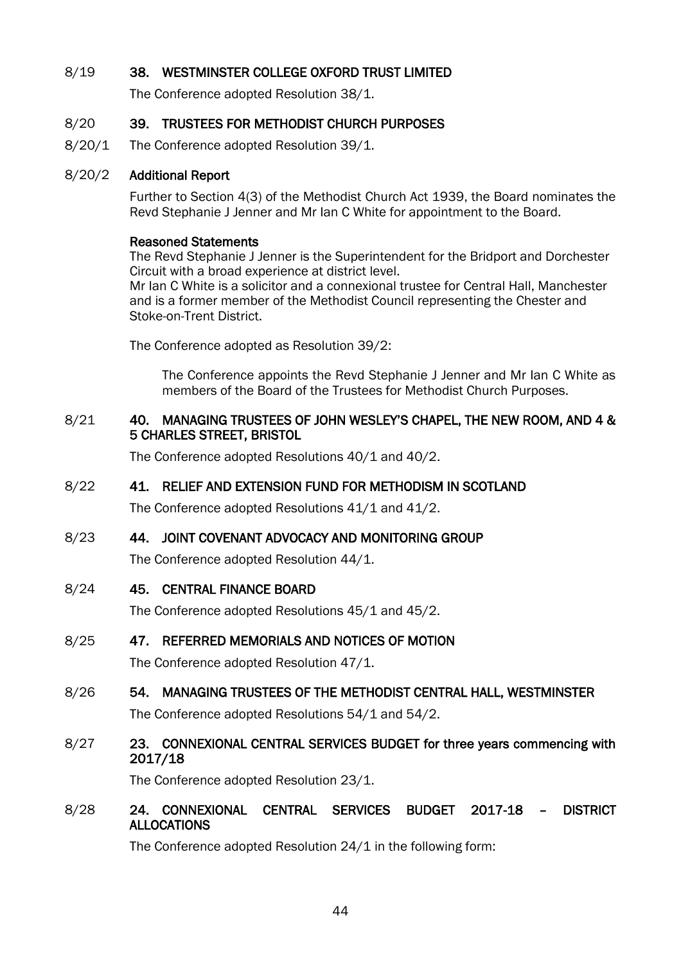### 8/19 38. WESTMINSTER COLLEGE OXFORD TRUST LIMITED

The Conference adopted Resolution 38/1.

### 8/20 39. TRUSTEES FOR METHODIST CHURCH PURPOSES

8/20/1 The Conference adopted Resolution 39/1.

### 8/20/2 Additional Report

Further to Section 4(3) of the Methodist Church Act 1939, the Board nominates the Revd Stephanie J Jenner and Mr Ian C White for appointment to the Board.

### Reasoned Statements

The Revd Stephanie J Jenner is the Superintendent for the Bridport and Dorchester Circuit with a broad experience at district level. Mr Ian C White is a solicitor and a connexional trustee for Central Hall, Manchester and is a former member of the Methodist Council representing the Chester and Stoke-on-Trent District.

The Conference adopted as Resolution 39/2:

The Conference appoints the Revd Stephanie J Jenner and Mr Ian C White as members of the Board of the Trustees for Methodist Church Purposes.

### 8/21 40. MANAGING TRUSTEES OF JOHN WESLEY'S CHAPEL, THE NEW ROOM, AND 4 & 5 CHARLES STREET, BRISTOL

The Conference adopted Resolutions 40/1 and 40/2.

### 8/22 41. RELIEF AND EXTENSION FUND FOR METHODISM IN SCOTLAND

The Conference adopted Resolutions 41/1 and 41/2.

### 8/23 44. JOINT COVENANT ADVOCACY AND MONITORING GROUP

The Conference adopted Resolution 44/1.

8/24 45. CENTRAL FINANCE BOARD

The Conference adopted Resolutions 45/1 and 45/2.

### 8/25 47. REFERRED MEMORIALS AND NOTICES OF MOTION

The Conference adopted Resolution 47/1.

### 8/26 54. MANAGING TRUSTEES OF THE METHODIST CENTRAL HALL, WESTMINSTER

The Conference adopted Resolutions 54/1 and 54/2.

### 8/27 23. CONNEXIONAL CENTRAL SERVICES BUDGET for three years commencing with 2017/18

The Conference adopted Resolution 23/1.

### 8/28 24. CONNEXIONAL CENTRAL SERVICES BUDGET 2017-18 – DISTRICT ALLOCATIONS

The Conference adopted Resolution 24/1 in the following form: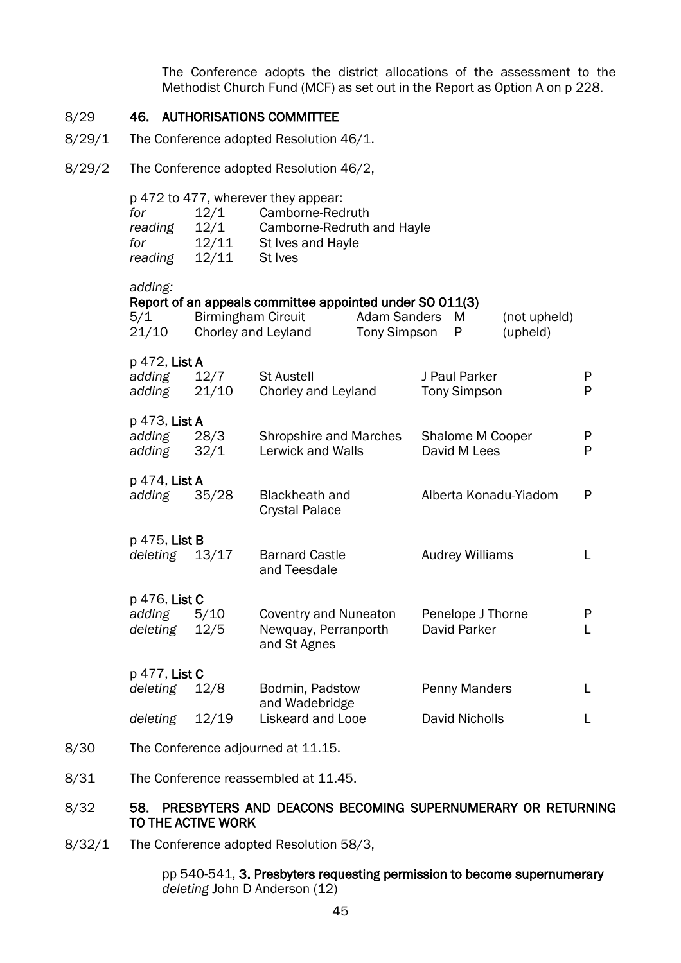The Conference adopts the district allocations of the assessment to the Methodist Church Fund (MCF) as set out in the Report as Option A on p 228.

### 8/29 46. AUTHORISATIONS COMMITTEE

- 8/29/1 The Conference adopted Resolution 46/1.
- 8/29/2 The Conference adopted Resolution 46/2,

| for<br>reading<br>for<br>reading    | 12/1<br>12/1<br>12/11<br>12/11 | p 472 to 477, wherever they appear:<br>Camborne-Redruth<br>Camborne-Redruth and Hayle<br>St Ives and Hayle<br>St Ives |                                     |                                      |                          |        |
|-------------------------------------|--------------------------------|-----------------------------------------------------------------------------------------------------------------------|-------------------------------------|--------------------------------------|--------------------------|--------|
| adding:<br>5/1<br>21/10             | <b>Birmingham Circuit</b>      | Report of an appeals committee appointed under SO 011(3)<br>Chorley and Leyland                                       | <b>Adam Sanders</b><br>Tony Simpson | M<br>P                               | (not upheld)<br>(upheld) |        |
| p 472, List A<br>adding<br>adding   | 12/7<br>21/10                  | <b>St Austell</b><br>Chorley and Leyland                                                                              |                                     | J Paul Parker<br><b>Tony Simpson</b> |                          | P<br>P |
| p 473, List A<br>adding<br>adding   | 28/3<br>32/1                   | <b>Shropshire and Marches</b><br>Lerwick and Walls                                                                    |                                     | Shalome M Cooper<br>David M Lees     |                          | P<br>P |
| p 474, <b>List A</b><br>adding      | 35/28                          | <b>Blackheath and</b><br><b>Crystal Palace</b>                                                                        |                                     |                                      | Alberta Konadu-Yiadom    | P      |
| p 475, List B<br>deleting 13/17     |                                | <b>Barnard Castle</b><br>and Teesdale                                                                                 |                                     | <b>Audrey Williams</b>               |                          | L      |
| p 476, List C<br>adding<br>deleting | 5/10<br>12/5                   | <b>Coventry and Nuneaton</b><br>Newquay, Perranporth<br>and St Agnes                                                  |                                     | Penelope J Thorne<br>David Parker    |                          | P<br>L |
| p 477, <b>List C</b><br>deleting    | 12/8                           | Bodmin, Padstow                                                                                                       |                                     | Penny Manders                        |                          | L      |
| deleting                            | 12/19                          | and Wadebridge<br>Liskeard and Looe                                                                                   |                                     | David Nicholls                       |                          | L      |
|                                     |                                |                                                                                                                       |                                     |                                      |                          |        |

- 8/30 The Conference adjourned at 11.15.
- 8/31 The Conference reassembled at 11.45.

### 8/32 58. PRESBYTERS AND DEACONS BECOMING SUPERNUMERARY OR RETURNING TO THE ACTIVE WORK

8/32/1 The Conference adopted Resolution 58/3,

pp 540-541, 3. Presbyters requesting permission to become supernumerary *deleting* John D Anderson (12)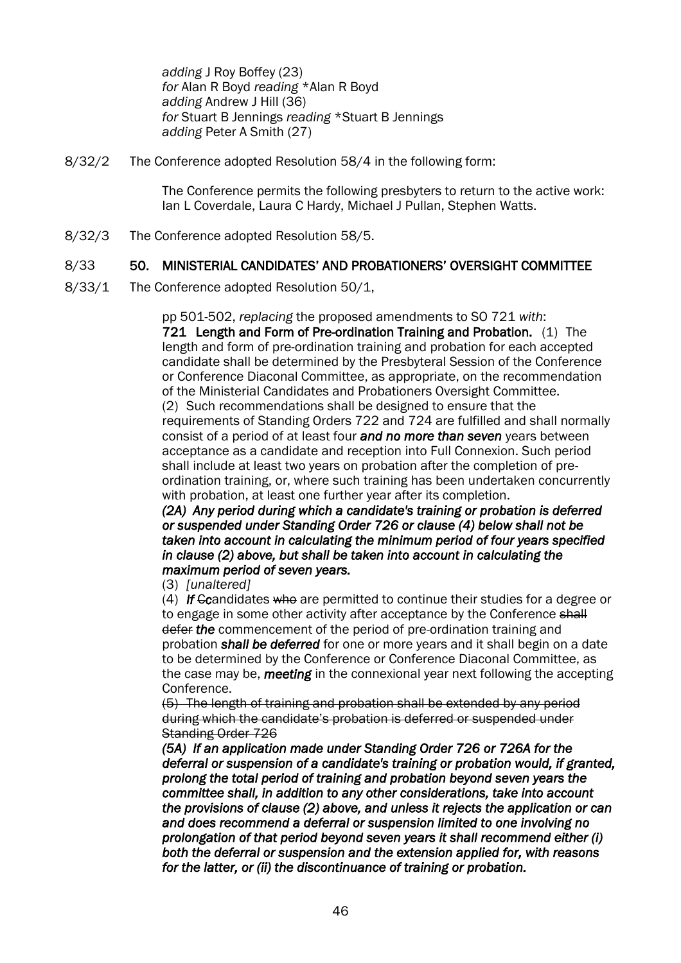*adding* J Roy Boffey (23) *for* Alan R Boyd *reading* \*Alan R Boyd *adding* Andrew J Hill (36) *for* Stuart B Jennings *reading* \*Stuart B Jennings *adding* Peter A Smith (27)

8/32/2 The Conference adopted Resolution 58/4 in the following form:

The Conference permits the following presbyters to return to the active work: Ian L Coverdale, Laura C Hardy, Michael J Pullan, Stephen Watts.

8/32/3 The Conference adopted Resolution 58/5.

### 8/33 50. MINISTERIAL CANDIDATES' AND PROBATIONERS' OVERSIGHT COMMITTEE

8/33/1 The Conference adopted Resolution 50/1,

pp 501-502, *replacing* the proposed amendments to SO 721 *with*: 721 Length and Form of Pre-ordination Training and Probation. (1) The length and form of pre-ordination training and probation for each accepted candidate shall be determined by the Presbyteral Session of the Conference or Conference Diaconal Committee, as appropriate, on the recommendation of the Ministerial Candidates and Probationers Oversight Committee.

(2) Such recommendations shall be designed to ensure that the requirements of Standing Orders 722 and 724 are fulfilled and shall normally consist of a period of at least four *and no more than seven* years between acceptance as a candidate and reception into Full Connexion. Such period shall include at least two years on probation after the completion of preordination training, or, where such training has been undertaken concurrently with probation, at least one further year after its completion.

*(2A) Any period during which a candidate's training or probation is deferred or suspended under Standing Order 726 or clause (4) below shall not be taken into account in calculating the minimum period of four years specified in clause (2) above, but shall be taken into account in calculating the maximum period of seven years.* 

(3) *[unaltered]*

(4) *If* C*c*andidates who are permitted to continue their studies for a degree or to engage in some other activity after acceptance by the Conference shall defer *the* commencement of the period of pre-ordination training and probation *shall be deferred* for one or more years and it shall begin on a date to be determined by the Conference or Conference Diaconal Committee, as the case may be, *meeting* in the connexional year next following the accepting Conference.

(5) The length of training and probation shall be extended by any period during which the candidate's probation is deferred or suspended under Standing Order 726

*(5A) If an application made under Standing Order 726 or 726A for the deferral or suspension of a candidate's training or probation would, if granted, prolong the total period of training and probation beyond seven years the committee shall, in addition to any other considerations, take into account the provisions of clause (2) above, and unless it rejects the application or can and does recommend a deferral or suspension limited to one involving no prolongation of that period beyond seven years it shall recommend either (i) both the deferral or suspension and the extension applied for, with reasons for the latter, or (ii) the discontinuance of training or probation.*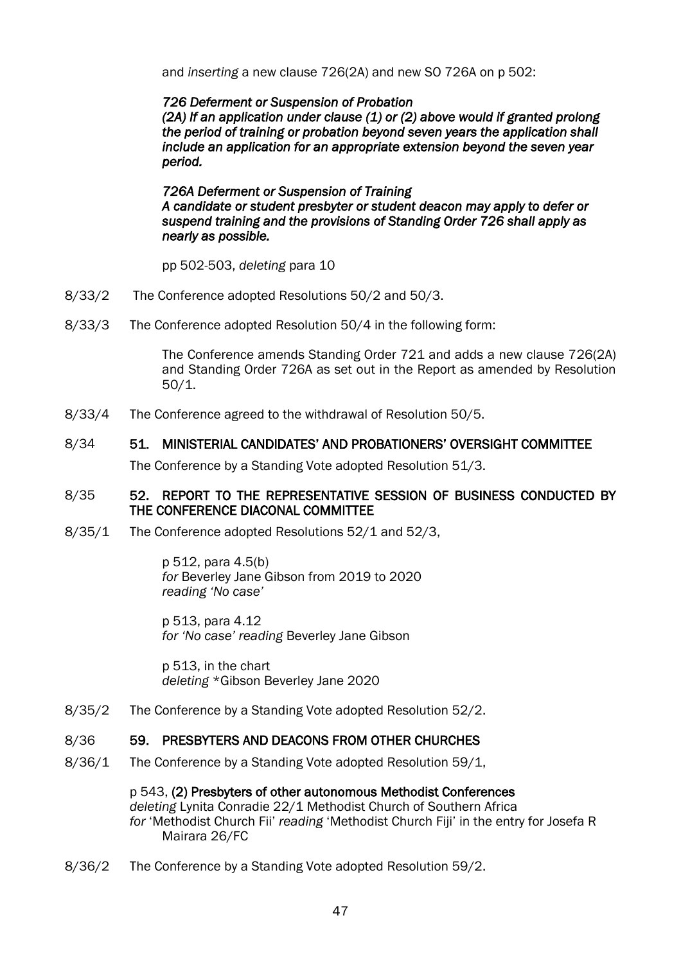and *inserting* a new clause 726(2A) and new SO 726A on p 502:

### *726 Deferment or Suspension of Probation*

*(2A) If an application under clause (1) or (2) above would if granted prolong the period of training or probation beyond seven years the application shall include an application for an appropriate extension beyond the seven year period.* 

### *726A Deferment or Suspension of Training A candidate or student presbyter or student deacon may apply to defer or suspend training and the provisions of Standing Order 726 shall apply as nearly as possible.*

pp 502-503, *deleting* para 10

- 8/33/2 The Conference adopted Resolutions 50/2 and 50/3.
- 8/33/3 The Conference adopted Resolution 50/4 in the following form:

The Conference amends Standing Order 721 and adds a new clause 726(2A) and Standing Order 726A as set out in the Report as amended by Resolution 50/1.

8/33/4 The Conference agreed to the withdrawal of Resolution 50/5.

### 8/34 51. MINISTERIAL CANDIDATES' AND PROBATIONERS' OVERSIGHT COMMITTEE

The Conference by a Standing Vote adopted Resolution 51/3.

### 8/35 52. REPORT TO THE REPRESENTATIVE SESSION OF BUSINESS CONDUCTED BY THE CONFERENCE DIACONAL COMMITTEE

8/35/1 The Conference adopted Resolutions 52/1 and 52/3,

p 512, para 4.5(b) *for* Beverley Jane Gibson from 2019 to 2020 *reading 'No case'*

p 513, para 4.12 *for 'No case' reading* Beverley Jane Gibson

p 513, in the chart *deleting* \*Gibson Beverley Jane 2020

8/35/2 The Conference by a Standing Vote adopted Resolution 52/2.

### 8/36 59. PRESBYTERS AND DEACONS FROM OTHER CHURCHES

8/36/1 The Conference by a Standing Vote adopted Resolution 59/1,

p 543, (2) Presbyters of other autonomous Methodist Conferences *deleting* Lynita Conradie 22/1 Methodist Church of Southern Africa *for* 'Methodist Church Fii' *reading* 'Methodist Church Fiji' in the entry for Josefa R Mairara 26/FC

8/36/2 The Conference by a Standing Vote adopted Resolution 59/2.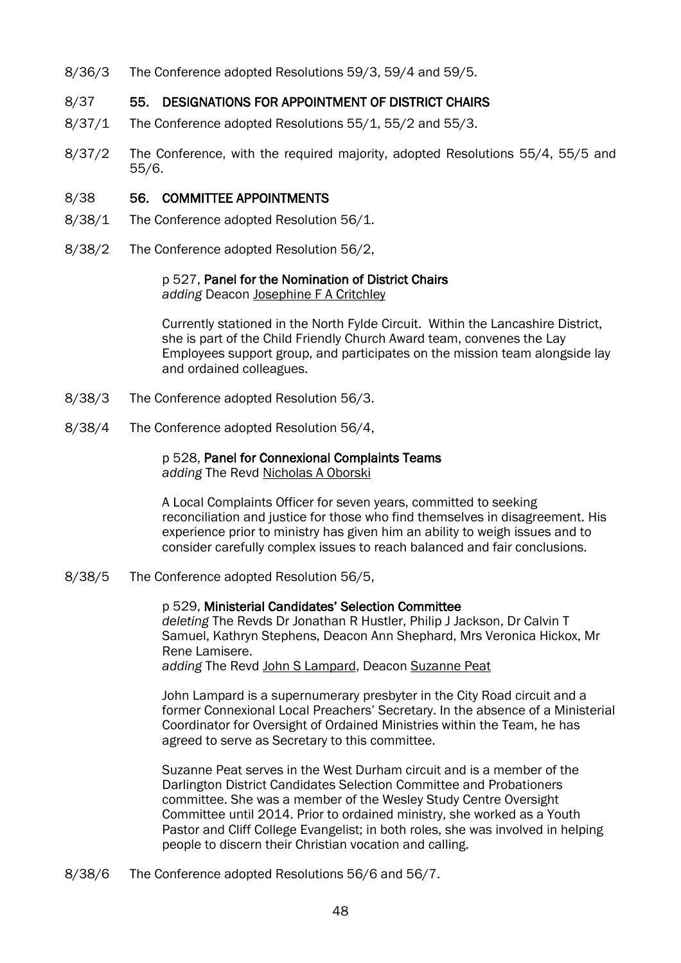8/36/3 The Conference adopted Resolutions 59/3, 59/4 and 59/5.

### 8/37 55. DESIGNATIONS FOR APPOINTMENT OF DISTRICT CHAIRS

- 8/37/1 The Conference adopted Resolutions 55/1, 55/2 and 55/3.
- 8/37/2 The Conference, with the required majority, adopted Resolutions 55/4, 55/5 and 55/6.

### 8/38 56. COMMITTEE APPOINTMENTS

- 8/38/1 The Conference adopted Resolution 56/1.
- 8/38/2 The Conference adopted Resolution 56/2,

#### p 527, Panel for the Nomination of District Chairs *adding* Deacon Josephine F A Critchley

Currently stationed in the North Fylde Circuit. Within the Lancashire District, she is part of the Child Friendly Church Award team, convenes the Lay Employees support group, and participates on the mission team alongside lay and ordained colleagues.

- 8/38/3 The Conference adopted Resolution 56/3.
- 8/38/4 The Conference adopted Resolution 56/4,

### p 528, Panel for Connexional Complaints Teams

*adding* The Revd Nicholas A Oborski

A Local Complaints Officer for seven years, committed to seeking reconciliation and justice for those who find themselves in disagreement. His experience prior to ministry has given him an ability to weigh issues and to consider carefully complex issues to reach balanced and fair conclusions.

8/38/5 The Conference adopted Resolution 56/5,

#### p 529, Ministerial Candidates' Selection Committee *deleting* The Revds Dr Jonathan R Hustler, Philip J Jackson, Dr Calvin T Samuel, Kathryn Stephens, Deacon Ann Shephard, Mrs Veronica Hickox, Mr Rene Lamisere. *adding* The Revd John S Lampard, Deacon Suzanne Peat

John Lampard is a supernumerary presbyter in the City Road circuit and a former Connexional Local Preachers' Secretary. In the absence of a Ministerial Coordinator for Oversight of Ordained Ministries within the Team, he has agreed to serve as Secretary to this committee.

Suzanne Peat serves in the West Durham circuit and is a member of the Darlington District Candidates Selection Committee and Probationers committee. She was a member of the Wesley Study Centre Oversight Committee until 2014. Prior to ordained ministry, she worked as a Youth Pastor and Cliff College Evangelist; in both roles, she was involved in helping people to discern their Christian vocation and calling.

8/38/6 The Conference adopted Resolutions 56/6 and 56/7.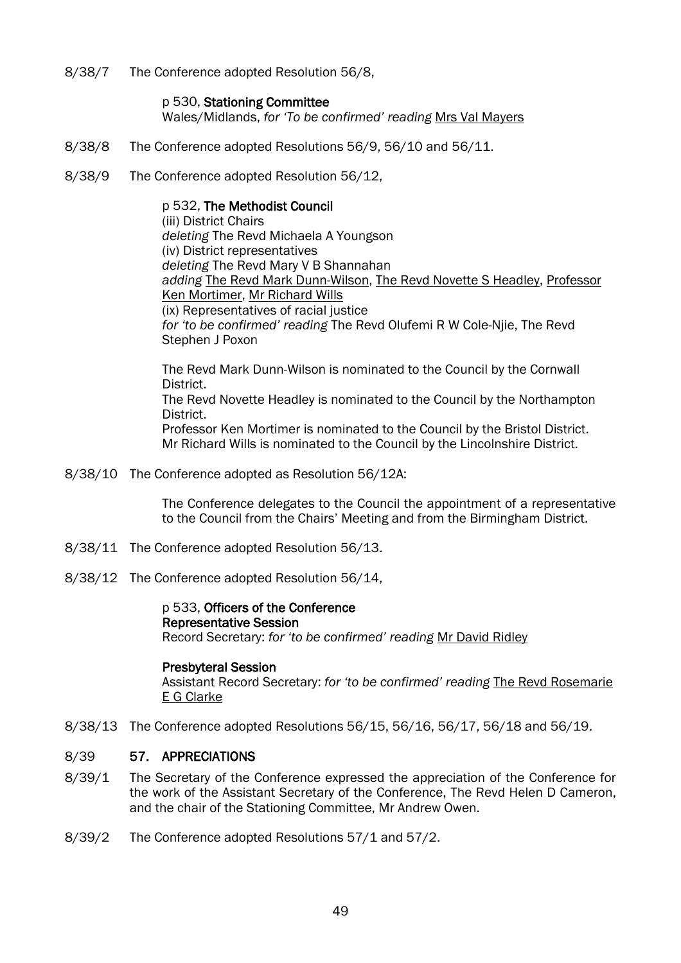8/38/7 The Conference adopted Resolution 56/8,

#### p 530, Stationing Committee

Wales/Midlands, *for 'To be confirmed' reading* Mrs Val Mayers

- 8/38/8 The Conference adopted Resolutions 56/9, 56/10 and 56/11.
- 8/38/9 The Conference adopted Resolution 56/12,

#### p 532, The Methodist Council

(iii) District Chairs *deleting* The Revd Michaela A Youngson (iv) District representatives *deleting* The Revd Mary V B Shannahan *adding* The Revd Mark Dunn-Wilson, The Revd Novette S Headley, Professor Ken Mortimer, Mr Richard Wills (ix) Representatives of racial justice *for 'to be confirmed' reading* The Revd Olufemi R W Cole-Njie, The Revd Stephen J Poxon

The Revd Mark Dunn-Wilson is nominated to the Council by the Cornwall District. The Revd Novette Headley is nominated to the Council by the Northampton

District. Professor Ken Mortimer is nominated to the Council by the Bristol District. Mr Richard Wills is nominated to the Council by the Lincolnshire District.

8/38/10 The Conference adopted as Resolution 56/12A:

The Conference delegates to the Council the appointment of a representative to the Council from the Chairs' Meeting and from the Birmingham District.

- 8/38/11 The Conference adopted Resolution 56/13.
- 8/38/12 The Conference adopted Resolution 56/14,

#### p 533, Officers of the Conference Representative Session Record Secretary: *for 'to be confirmed' reading* Mr David Ridley

#### Presbyteral Session

Assistant Record Secretary: *for 'to be confirmed' reading* The Revd Rosemarie E G Clarke

8/38/13 The Conference adopted Resolutions 56/15, 56/16, 56/17, 56/18 and 56/19.

### 8/39 57. APPRECIATIONS

- 8/39/1 The Secretary of the Conference expressed the appreciation of the Conference for the work of the Assistant Secretary of the Conference, The Revd Helen D Cameron, and the chair of the Stationing Committee, Mr Andrew Owen.
- 8/39/2 The Conference adopted Resolutions 57/1 and 57/2.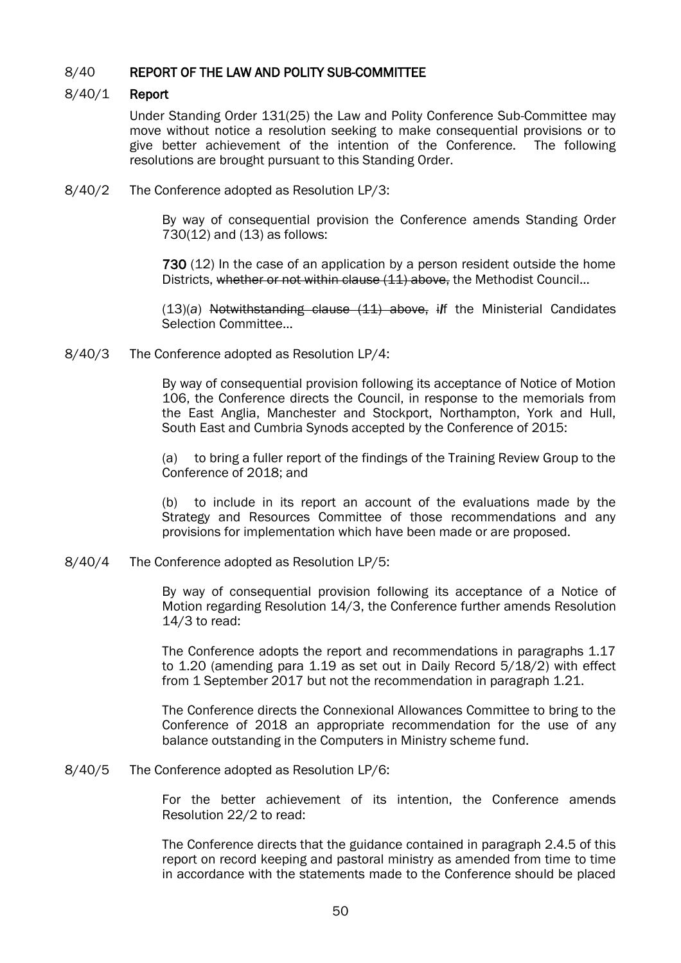### 8/40 REPORT OF THE LAW AND POLITY SUB-COMMITTEE

### 8/40/1 Report

Under Standing Order 131(25) the Law and Polity Conference Sub-Committee may move without notice a resolution seeking to make consequential provisions or to give better achievement of the intention of the Conference. The following resolutions are brought pursuant to this Standing Order.

8/40/2 The Conference adopted as Resolution LP/3:

By way of consequential provision the Conference amends Standing Order 730(12) and (13) as follows:

730 (12) In the case of an application by a person resident outside the home Districts, whether or not within clause (11) above, the Methodist Council...

(13)(*a*) Notwithstanding clause (11) above, i*I*f the Ministerial Candidates Selection Committee...

8/40/3 The Conference adopted as Resolution LP/4:

By way of consequential provision following its acceptance of Notice of Motion 106, the Conference directs the Council, in response to the memorials from the East Anglia, Manchester and Stockport, Northampton, York and Hull, South East and Cumbria Synods accepted by the Conference of 2015:

(a) to bring a fuller report of the findings of the Training Review Group to the Conference of 2018; and

(b) to include in its report an account of the evaluations made by the Strategy and Resources Committee of those recommendations and any provisions for implementation which have been made or are proposed.

8/40/4 The Conference adopted as Resolution LP/5:

By way of consequential provision following its acceptance of a Notice of Motion regarding Resolution 14/3, the Conference further amends Resolution 14/3 to read:

The Conference adopts the report and recommendations in paragraphs 1.17 to 1.20 (amending para 1.19 as set out in Daily Record 5/18/2) with effect from 1 September 2017 but not the recommendation in paragraph 1.21.

The Conference directs the Connexional Allowances Committee to bring to the Conference of 2018 an appropriate recommendation for the use of any balance outstanding in the Computers in Ministry scheme fund.

8/40/5 The Conference adopted as Resolution LP/6:

For the better achievement of its intention, the Conference amends Resolution 22/2 to read:

The Conference directs that the guidance contained in paragraph 2.4.5 of this report on record keeping and pastoral ministry as amended from time to time in accordance with the statements made to the Conference should be placed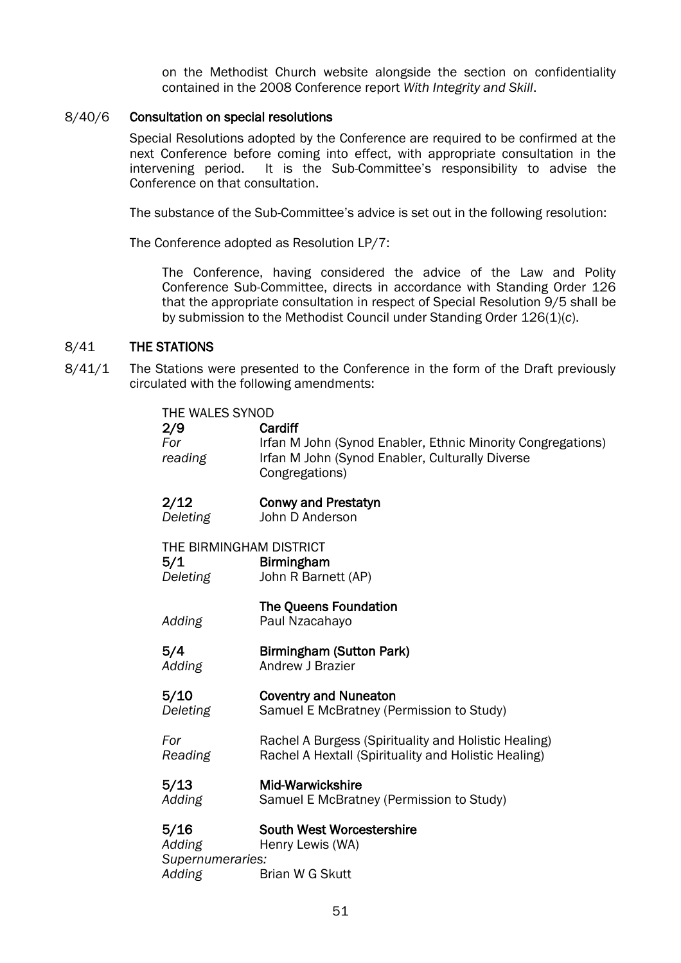on the Methodist Church website alongside the section on confidentiality contained in the 2008 Conference report *With Integrity and Skill*.

#### 8/40/6 Consultation on special resolutions

Special Resolutions adopted by the Conference are required to be confirmed at the next Conference before coming into effect, with appropriate consultation in the intervening period. It is the Sub-Committee's responsibility to advise the It is the Sub-Committee's responsibility to advise the Conference on that consultation.

The substance of the Sub-Committee's advice is set out in the following resolution:

The Conference adopted as Resolution LP/7:

The Conference, having considered the advice of the Law and Polity Conference Sub-Committee, directs in accordance with Standing Order 126 that the appropriate consultation in respect of Special Resolution 9/5 shall be by submission to the Methodist Council under Standing Order 126(1)(*c*).

### 8/41 THE STATIONS

8/41/1 The Stations were presented to the Conference in the form of the Draft previously circulated with the following amendments:

| THE WALES SYNOD                              | Cardiff                                                                        |
|----------------------------------------------|--------------------------------------------------------------------------------|
| 2/9                                          | Irfan M John (Synod Enabler, Ethnic Minority Congregations)                    |
| For                                          | Irfan M John (Synod Enabler, Culturally Diverse                                |
| reading                                      | Congregations)                                                                 |
| 2/12                                         | <b>Conwy and Prestatyn</b>                                                     |
| Deleting                                     | John D Anderson                                                                |
| THE BIRMINGHAM DISTRICT<br>5/1<br>Deleting   | <b>Birmingham</b><br>John R Barnett (AP)                                       |
| Adding                                       | <b>The Queens Foundation</b><br>Paul Nzacahayo                                 |
| 5/4                                          | <b>Birmingham (Sutton Park)</b>                                                |
| Adding                                       | Andrew J Brazier                                                               |
| 5/10                                         | <b>Coventry and Nuneaton</b>                                                   |
| <b>Deleting</b>                              | Samuel E McBratney (Permission to Study)                                       |
| For                                          | Rachel A Burgess (Spirituality and Holistic Healing)                           |
| <b>Reading</b>                               | Rachel A Hextall (Spirituality and Holistic Healing)                           |
| 5/13                                         | Mid-Warwickshire                                                               |
| Adding                                       | Samuel E McBratney (Permission to Study)                                       |
| 5/16<br>Adding<br>Supernumeraries:<br>Adding | <b>South West Worcestershire</b><br>Henry Lewis (WA)<br><b>Brian W G Skutt</b> |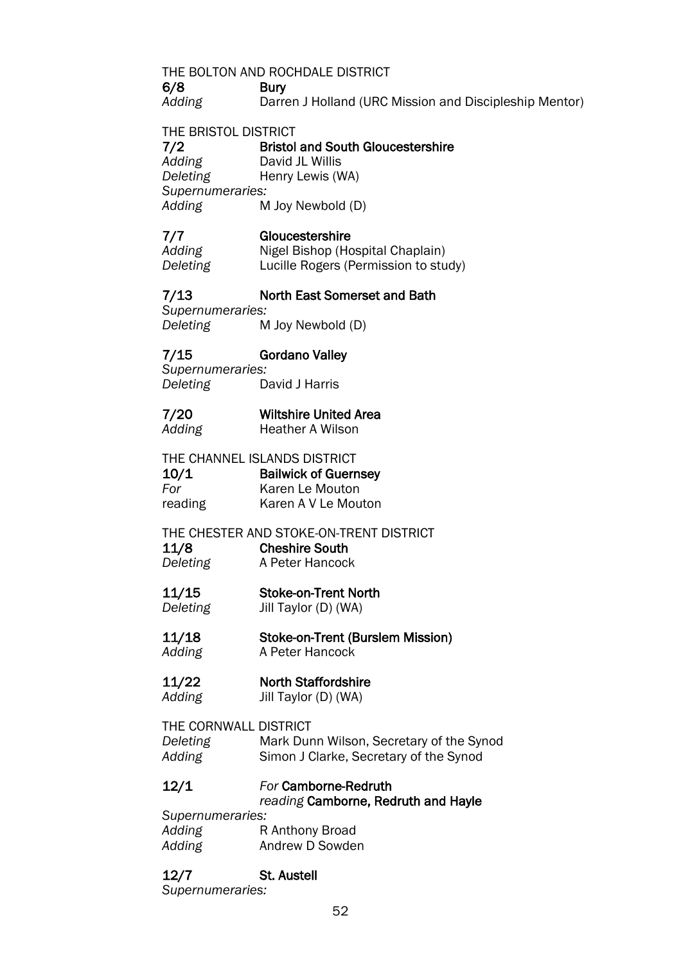### THE BOLTON AND ROCHDALE DISTRICT

6/8 Bury

*Adding* Darren J Holland (URC Mission and Discipleship Mentor)

### THE BRISTOL DISTRICT

#### 7/2 Bristol and South Gloucestershire *Adding* David JL Willis

*Deleting* Henry Lewis (WA) *Supernumeraries:*

*Adding* M Joy Newbold (D)

### 7/7 Gloucestershire

Adding Nigel Bishop (Hospital Chaplain) *Deleting* Lucille Rogers (Permission to study)

### 7/13 North East Somerset and Bath

*Supernumeraries: Deleting* M Joy Newbold (D)

### 7/15 Gordano Valley

*Supernumeraries: Deleting* David J Harris

### 7/20 Wiltshire United Area Adding **Heather A Wilson**

THE CHANNEL ISLANDS DISTRICT

| 10/1    | <b>Bailwick of Guernsey</b> |
|---------|-----------------------------|
| For     | Karen Le Mouton             |
| reading | Karen A V Le Mouton         |

### THE CHESTER AND STOKE-ON-TRENT DISTRICT

11/8 Cheshire South **Deleting** A Peter Hancock

### 11/15 Stoke-on-Trent North

*Deleting* Jill Taylor (D) (WA)

#### 11/18 Stoke-on-Trent (Burslem Mission) *Adding* A Peter Hancock

# 11/22 North Staffordshire

*Adding* Jill Taylor (D) (WA)

THE CORNWALL DISTRICT *Deleting* Mark Dunn Wilson, Secretary of the Synod *Adding* Simon J Clarke, Secretary of the Synod

### 12/1 *For* Camborne-Redruth

### *reading* Camborne, Redruth and Hayle

*Supernumeraries:* Adding **R** Anthony Broad *Adding* Andrew D Sowden

### 12/7 St. Austell

*Supernumeraries:*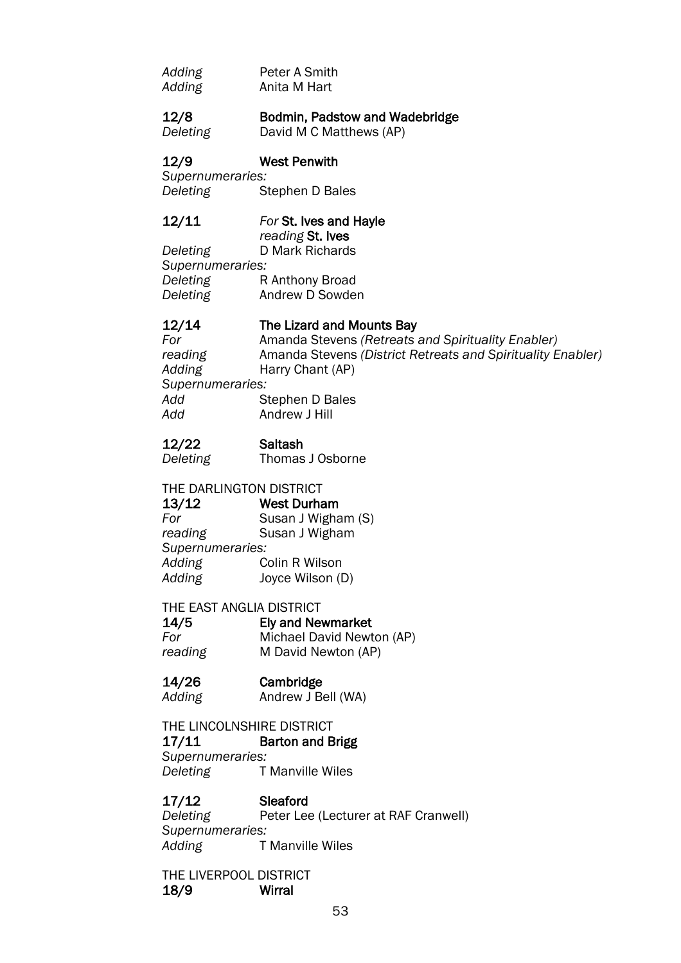| Adding | Peter A Smith |
|--------|---------------|
| Adding | Anita M Hart  |

#### 12/8 Bodmin, Padstow and Wadebridge *Deleting* David M C Matthews (AP)

### 12/9 West Penwith

*Supernumeraries:* **Stephen D Bales** 

#### 12/11 *For* St. Ives and Hayle *reading* St. Ives

*Deleting* D Mark Richards *Supernumeraries:* **Deleting R Anthony Broad** *Deleting* Andrew D Sowden

### 12/14 The Lizard and Mounts Bay

*For* Amanda Stevens *(Retreats and Spirituality Enabler) reading* Amanda Stevens *(District Retreats and Spirituality Enabler) Adding* Harry Chant (AP) *Supernumeraries: Add* Stephen D Bales *Add* Andrew J Hill

### 12/22 Saltash

*Deleting* Thomas J Osborne

### THE DARLINGTON DISTRICT

13/12 West Durham **For** Susan J Wigham (S)<br>
reading Susan J Wigham **Susan J Wigham** *Supernumeraries: Adding* Colin R Wilson *Adding* Joyce Wilson (D)

### THE EAST ANGLIA DISTRICT

14/5 Ely and Newmarket *For* Michael David Newton (AP) *reading* M David Newton (AP)

### 14/26 Cambridge

*Adding* Andrew J Bell (WA)

THE LINCOLNSHIRE DISTRICT 17/11 Barton and Brigg *Supernumeraries: Deleting* T Manville Wiles

### 17/12 Sleaford

**Deleting** Peter Lee (Lecturer at RAF Cranwell) *Supernumeraries: Adding* T Manville Wiles

THE LIVERPOOL DISTRICT 18/9 Wirral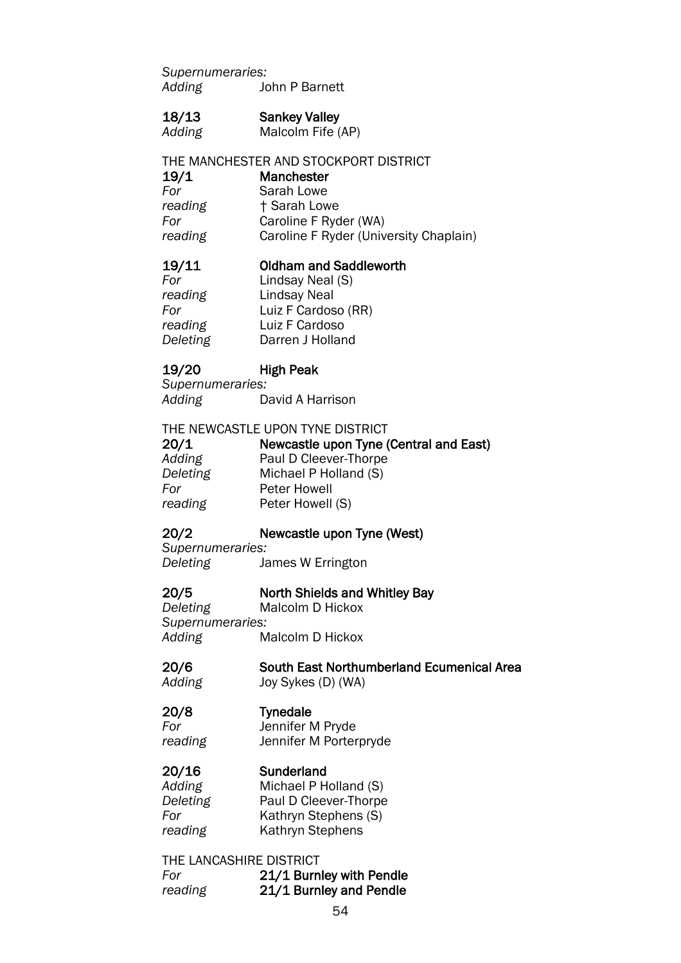*Supernumeraries: Adding* John P Barnett

#### 18/13 Sankey Valley

*Adding* Malcolm Fife (AP)

### THE MANCHESTER AND STOCKPORT DISTRICT

19/1 Manchester

| For     | Sarah Lowe                             |
|---------|----------------------------------------|
| reading | + Sarah Lowe                           |
| For     | Caroline F Ryder (WA)                  |
| reading | Caroline F Ryder (University Chaplain) |

### 19/11 Oldham and Saddleworth

*For* Lindsay Neal (S) *reading* Lindsay Neal<br> *For* Luiz F Cardoso (RR) *For* Luiz F Cardoso (RR) *reading* Luiz F Cardoso *Deleting* Darren J Holland

### 19/20 High Peak

*Supernumeraries: Adding* David A Harrison

THE NEWCASTLE UPON TYNE DISTRICT

| 20/1     | Newcastle upon Tyne (Central and East) |
|----------|----------------------------------------|
| Adding   | Paul D Cleever-Thorpe                  |
| Deleting | Michael P Holland (S)                  |
| For      | Peter Howell                           |
| reading  | Peter Howell (S)                       |

### 20/2 Newcastle upon Tyne (West)

*Supernumeraries: Deleting* James W Errington

# 20/5 **North Shields and Whitley Bay**<br>Deleting Malcolm D Hickox

**Malcolm D Hickox** *Supernumeraries: Adding* Malcolm D Hickox

#### 20/6 South East Northumberland Ecumenical Area

*Adding* Joy Sykes (D) (WA)

#### 20/8 Tynedale

*For* Jennifer M Pryde *reading* Jennifer M Porterpryde

### 20/16 Sunderland

*Adding* Michael P Holland (S) *Deleting* Paul D Cleever-Thorpe **For** Kathryn Stephens (S) reading Kathryn Stephens

#### THE LANCASHIRE DISTRICT

*For* 21/1 Burnley with Pendle *reading* 21/1 Burnley and Pendle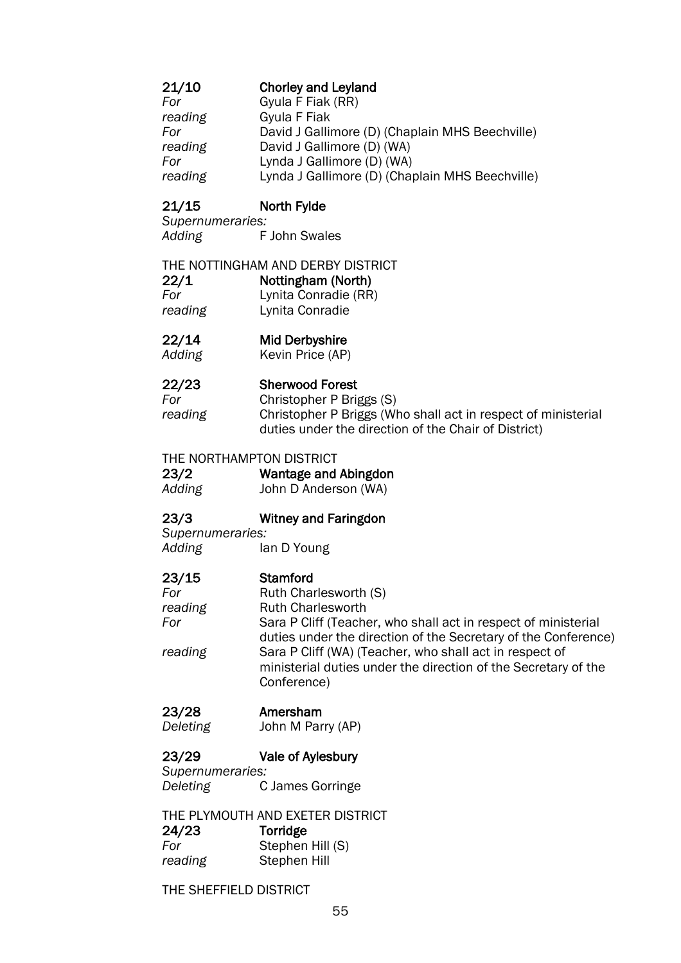### 21/10 Chorley and Leyland

| For     | Gyula F Fiak (RR)                               |
|---------|-------------------------------------------------|
| reading | Gyula F Fiak                                    |
| For     | David J Gallimore (D) (Chaplain MHS Beechville) |
| reading | David J Gallimore (D) (WA)                      |
| For     | Lynda J Gallimore (D) (WA)                      |
| reading | Lynda J Gallimore (D) (Chaplain MHS Beechville) |

### 21/15 North Fylde

*Supernumeraries: Adding* F John Swales

### THE NOTTINGHAM AND DERBY DISTRICT

22/1 Nottingham (North)

*For* Lynita Conradie (RR) *reading* Lynita Conradie

### 22/14 Mid Derbyshire

*Adding* Kevin Price (AP)

### 22/23 Sherwood Forest

*For* Christopher P Briggs (S) *reading* Christopher P Briggs (Who shall act in respect of ministerial duties under the direction of the Chair of District)

### THE NORTHAMPTON DISTRICT

23/2 Wantage and Abingdon

*Adding* John D Anderson (WA)

### 23/3 Witney and Faringdon

*Supernumeraries: Adding* Ian D Young

### 23/15 Stamford

**For Ruth Charlesworth (S)** reading **Ruth Charlesworth** *For* Sara P Cliff (Teacher, who shall act in respect of ministerial duties under the direction of the Secretary of the Conference) *reading* Sara P Cliff (WA) (Teacher, who shall act in respect of ministerial duties under the direction of the Secretary of the Conference)

### 23/28 Amersham

*Deleting* John M Parry (AP)

### 23/29 Vale of Aylesbury

*Supernumeraries: Deleting* C James Gorringe

#### THE PLYMOUTH AND EXETER DISTRICT 24/23 Torridge *For* Stephen Hill (S) *reading* Stephen Hill

THE SHEFFIELD DISTRICT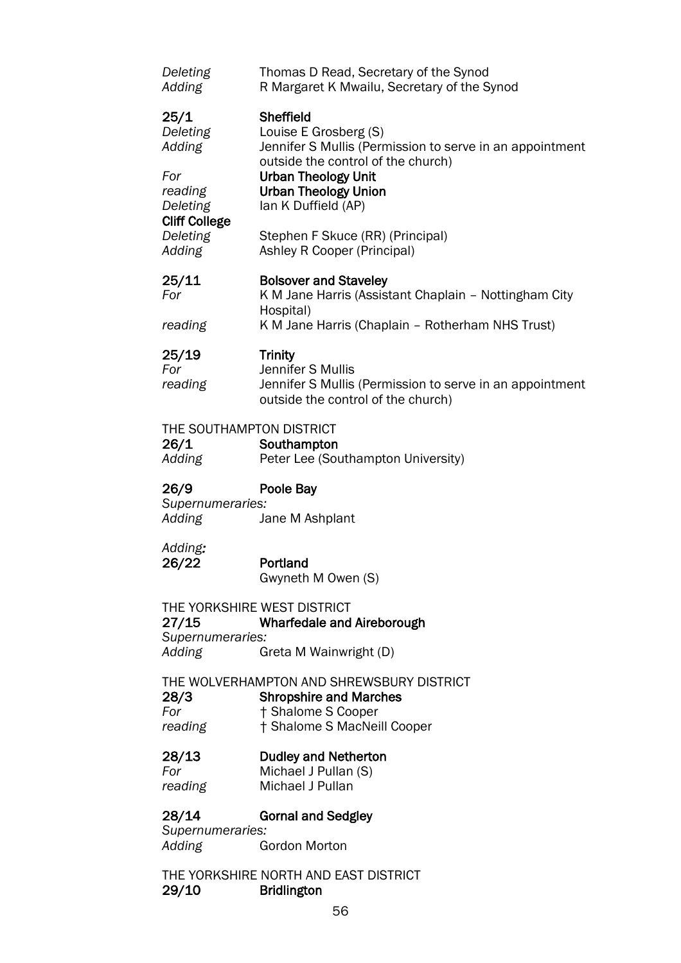| Deleting<br>Adding                         | Thomas D Read, Secretary of the Synod<br>R Margaret K Mwailu, Secretary of the Synod                                                        |
|--------------------------------------------|---------------------------------------------------------------------------------------------------------------------------------------------|
| 25/1<br>Deleting<br>Adding                 | <b>Sheffield</b><br>Louise E Grosberg (S)<br>Jennifer S Mullis (Permission to serve in an appointment<br>outside the control of the church) |
| For<br>reading<br>Deleting                 | <b>Urban Theology Unit</b><br><b>Urban Theology Union</b><br>lan K Duffield (AP)                                                            |
| <b>Cliff College</b><br>Deleting<br>Adding | Stephen F Skuce (RR) (Principal)<br>Ashley R Cooper (Principal)                                                                             |
| 25/11<br>For                               | <b>Bolsover and Staveley</b><br>K M Jane Harris (Assistant Chaplain - Nottingham City<br>Hospital)                                          |
| reading                                    | K M Jane Harris (Chaplain - Rotherham NHS Trust)                                                                                            |
| 25/19<br>For<br>reading                    | <b>Trinity</b><br>Jennifer S Mullis<br>Jennifer S Mullis (Permission to serve in an appointment<br>outside the control of the church)       |
| THE SOUTHAMPTON DISTRICT<br>26/1<br>Adding | Southampton<br>Peter Lee (Southampton University)                                                                                           |
| 26/9<br>Supernumeraries:<br>Adding         | Poole Bay<br>Jane M Ashplant                                                                                                                |
| Adding:<br>26/22                           | Portland<br>Gwyneth M Owen (S)                                                                                                              |
| 27/15<br>Supernumeraries:                  | THE YORKSHIRE WEST DISTRICT<br><b>Wharfedale and Aireborough</b>                                                                            |
| Adding                                     | Greta M Wainwright (D)                                                                                                                      |
| 28/3<br>For<br>reading                     | THE WOLVERHAMPTON AND SHREWSBURY DISTRICT<br><b>Shropshire and Marches</b><br>† Shalome S Cooper<br>† Shalome S MacNeill Cooper             |
| 28/13<br>For<br>reading                    | <b>Dudley and Netherton</b><br>Michael J Pullan (S)<br>Michael J Pullan                                                                     |
| 28/14<br>Supernumeraries:                  | <b>Gornal and Sedgley</b>                                                                                                                   |
| Adding                                     | <b>Gordon Morton</b>                                                                                                                        |

THE YORKSHIRE NORTH AND EAST DISTRICT 29/10 Bridlington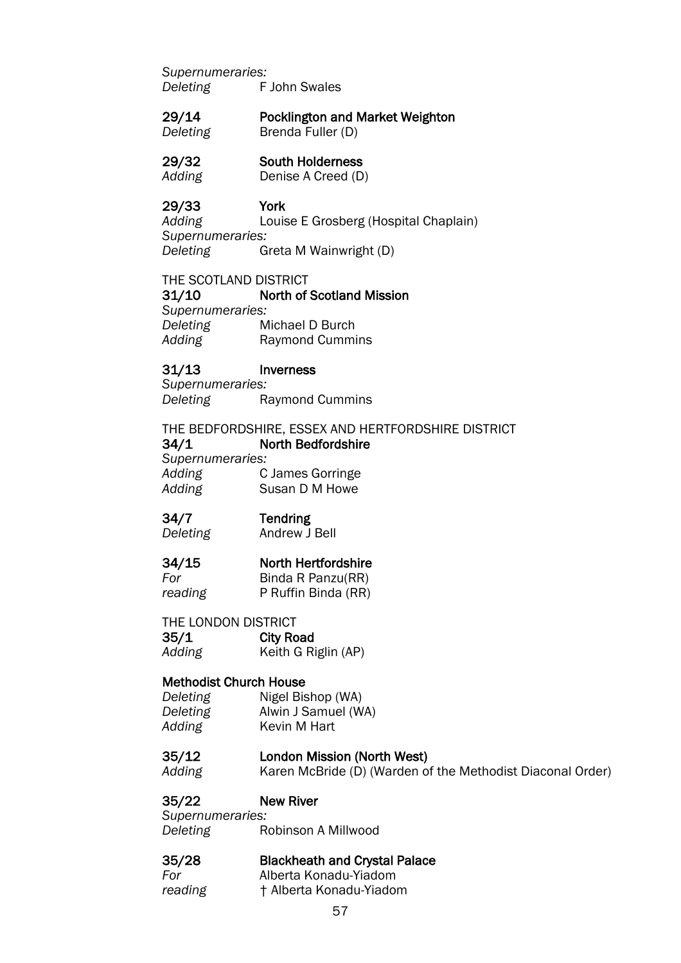*Supernumeraries: Deleting* F John Swales

#### 29/14 Pocklington and Market Weighton *Deleting* Brenda Fuller (D)

### 29/32 South Holderness

*Adding* Denise A Creed (D)

### 29/33 York

*Adding* Louise E Grosberg (Hospital Chaplain) *Supernumeraries: Deleting* Greta M Wainwright (D)

#### THE SCOTLAND DISTRICT

31/10 North of Scotland Mission *Supernumeraries: Deleting* Michael D Burch Adding<sup>on</sup> Raymond Cummins

### 31/13 Inverness

*Supernumeraries:* **Deleting Raymond Cummins** 

THE BEDFORDSHIRE, ESSEX AND HERTFORDSHIRE DISTRICT 34/1 North Bedfordshire *Supernumeraries: Adding* C James Gorringe

*Adding* Susan D M Howe

### 34/7 Tendring

*Deleting* Andrew J Bell

### 34/15 North Hertfordshire

*For* Binda R Panzu(RR) *reading* P Ruffin Binda (RR)

### THE LONDON DISTRICT

35/1 City Road *Adding* Keith G Riglin (AP)

### Methodist Church House

| Deleting | Nigel Bishop (WA)   |
|----------|---------------------|
| Deleting | Alwin J Samuel (WA) |
| Adding   | Kevin M Hart        |

### 35/12 London Mission (North West)

*Adding* Karen McBride (D) (Warden of the Methodist Diaconal Order)

### 35/22 New River

*Supernumeraries: Deleting* Robinson A Millwood

### 35/28 Blackheath and Crystal Palace

*For* Alberta Konadu-Yiadom

*reading* † Alberta Konadu-Yiadom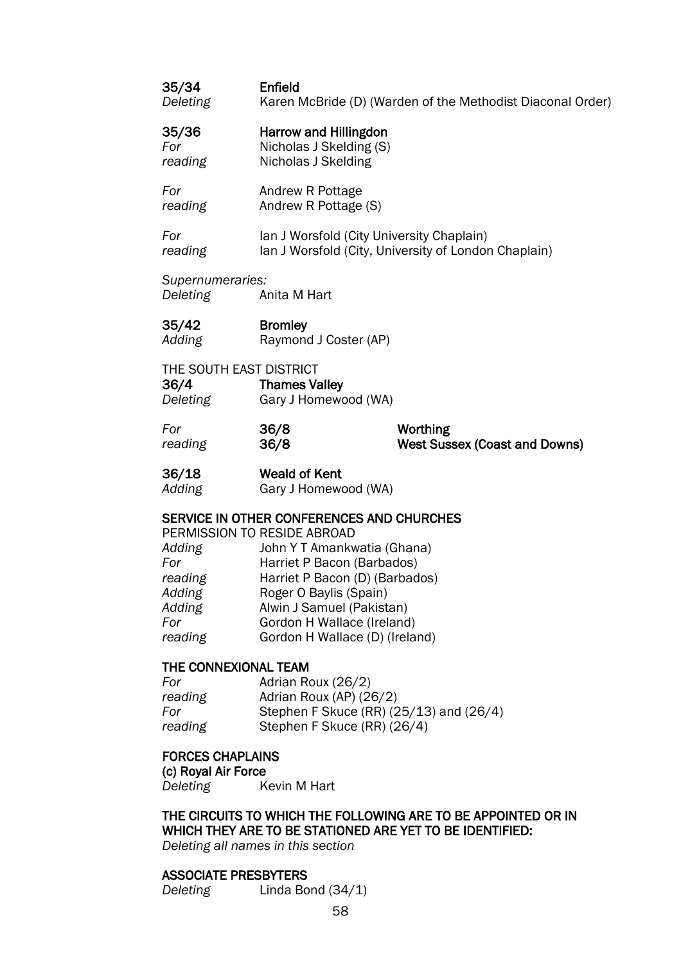### 35/34 Enfield *Deleting* Karen McBride (D) (Warden of the Methodist Diaconal Order)

### 35/36 Harrow and Hillingdon

*For* Nicholas J Skelding (S) *reading* Nicholas J Skelding

**For Andrew R Pottage** *reading* Andrew R Pottage (S)

**For** Ian J Worsfold (City University Chaplain) reading lan J Worsfold (City, University of London Chaplain)

*Supernumeraries:*

*Deleting* Anita M Hart

35/42 Bromley Adding Raymond J Coster (AP)

### THE SOUTH EAST DISTRICT

| 36/4     | <b>Thames Valley</b> |
|----------|----------------------|
| Deleting | Gary J Homewood (WA) |

*For* 36/8 Worthing *reading* 36/8 West Sussex (Coast and Downs)

# 36/18 Weald of Kent

*Adding* Gary J Homewood (WA)

### SERVICE IN OTHER CONFERENCES AND CHURCHES

|         | PERMISSION TO RESIDE ABROAD    |
|---------|--------------------------------|
| Adding  | John Y T Amankwatia (Ghana)    |
| For     | Harriet P Bacon (Barbados)     |
| reading | Harriet P Bacon (D) (Barbados) |
| Adding  | Roger O Baylis (Spain)         |
| Adding  | Alwin J Samuel (Pakistan)      |
| For     | Gordon H Wallace (Ireland)     |
| reading | Gordon H Wallace (D) (Ireland) |
|         |                                |

### THE CONNEXIONAL TEAM

| For     | Adrian Roux (26/2)                      |
|---------|-----------------------------------------|
| reading | Adrian Roux (AP) (26/2)                 |
| For     | Stephen F Skuce (RR) (25/13) and (26/4) |
| reading | Stephen F Skuce (RR) (26/4)             |
|         |                                         |

#### FORCES CHAPLAINS

(c) Royal Air Force

*Deleting* Kevin M Hart

# THE CIRCUITS TO WHICH THE FOLLOWING ARE TO BE APPOINTED OR IN WHICH THEY ARE TO BE STATIONED ARE YET TO BE IDENTIFIED:

*Deleting all names in this section*

#### ASSOCIATE PRESBYTERS

*Deleting* Linda Bond (34/1)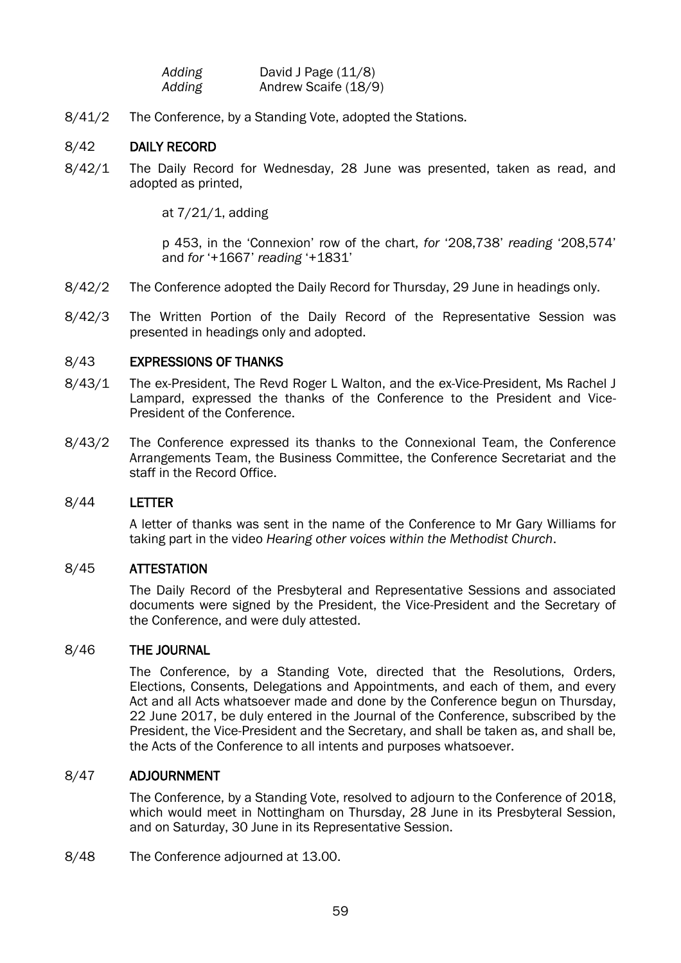| Adding | David J Page $(11/8)$ |
|--------|-----------------------|
| Adding | Andrew Scaife (18/9)  |

8/41/2 The Conference, by a Standing Vote, adopted the Stations.

#### 8/42 DAILY RECORD

8/42/1 The Daily Record for Wednesday, 28 June was presented, taken as read, and adopted as printed,

at 7/21/1, adding

p 453, in the 'Connexion' row of the chart, *for* '208,738' *reading* '208,574' and *for* '+1667' *reading* '+1831'

- 8/42/2 The Conference adopted the Daily Record for Thursday, 29 June in headings only.
- 8/42/3 The Written Portion of the Daily Record of the Representative Session was presented in headings only and adopted.

#### 8/43 EXPRESSIONS OF THANKS

- 8/43/1 The ex-President, The Revd Roger L Walton, and the ex-Vice-President, Ms Rachel J Lampard, expressed the thanks of the Conference to the President and Vice-President of the Conference.
- 8/43/2 The Conference expressed its thanks to the Connexional Team, the Conference Arrangements Team, the Business Committee, the Conference Secretariat and the staff in the Record Office.

#### 8/44 LETTER

A letter of thanks was sent in the name of the Conference to Mr Gary Williams for taking part in the video *Hearing other voices within the Methodist Church*.

### 8/45 ATTESTATION

The Daily Record of the Presbyteral and Representative Sessions and associated documents were signed by the President, the Vice-President and the Secretary of the Conference, and were duly attested.

#### 8/46 THE JOURNAL

The Conference, by a Standing Vote, directed that the Resolutions, Orders, Elections, Consents, Delegations and Appointments, and each of them, and every Act and all Acts whatsoever made and done by the Conference begun on Thursday, 22 June 2017, be duly entered in the Journal of the Conference, subscribed by the President, the Vice-President and the Secretary, and shall be taken as, and shall be, the Acts of the Conference to all intents and purposes whatsoever.

#### 8/47 ADJOURNMENT

The Conference, by a Standing Vote, resolved to adjourn to the Conference of 2018, which would meet in Nottingham on Thursday, 28 June in its Presbyteral Session, and on Saturday, 30 June in its Representative Session.

8/48 The Conference adjourned at 13.00.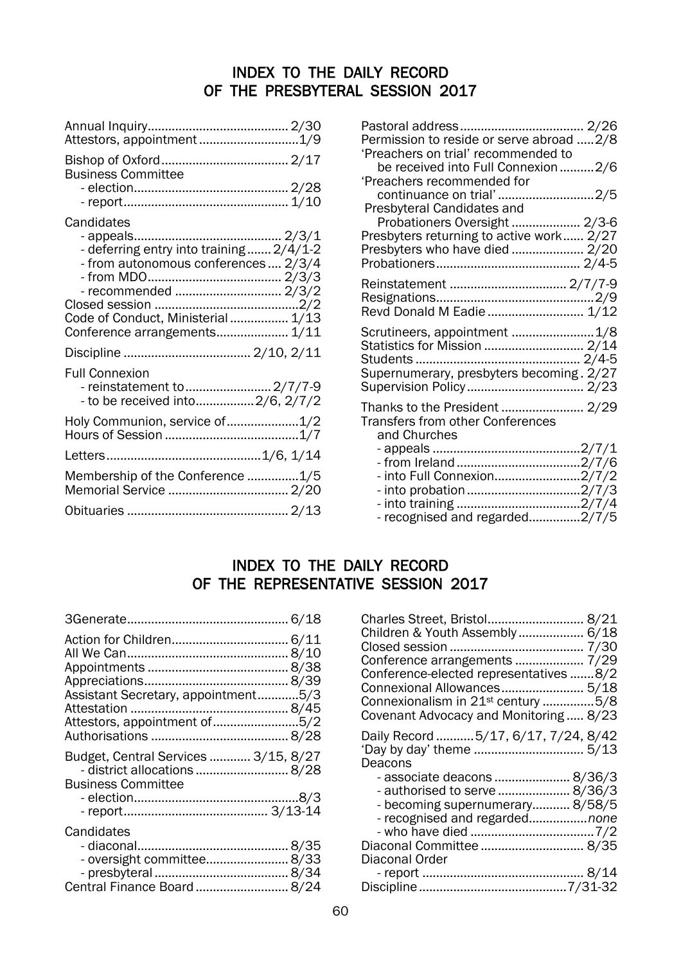## INDEX TO THE DAILY RECORD OF THE PRESBYTERAL SESSION 2017

| Attestors, appointment1/9                                                                                                                                           |
|---------------------------------------------------------------------------------------------------------------------------------------------------------------------|
| <b>Business Committee</b>                                                                                                                                           |
|                                                                                                                                                                     |
| Candidates<br>- deferring entry into training 2/4/1-2<br>- from autonomous conferences  2/3/4<br>Code of Conduct, Ministerial  1/13<br>Conference arrangements 1/11 |
|                                                                                                                                                                     |
| <b>Full Connexion</b><br>- reinstatement to  2/7/7-9<br>- to be received into2/6, 2/7/2                                                                             |
| Holy Communion, service of1/2                                                                                                                                       |
|                                                                                                                                                                     |
| Membership of the Conference 1/5                                                                                                                                    |
|                                                                                                                                                                     |

| Permission to reside or serve abroad 2/8<br>'Preachers on trial' recommended to<br>be received into Full Connexion 2/6               |  |
|--------------------------------------------------------------------------------------------------------------------------------------|--|
| 'Preachers recommended for<br>continuance on trial'2/5<br>Presbyteral Candidates and                                                 |  |
| Probationers Oversight  2/3-6<br>Presbyters returning to active work 2/27                                                            |  |
| Reinstatement  2/7/7-9<br>Revd Donald M Eadie  1/12                                                                                  |  |
| Scrutineers, appointment  1/8<br>Statistics for Mission  2/14<br>Supernumerary, presbyters becoming. 2/27<br>Supervision Policy 2/23 |  |
| Thanks to the President  2/29<br><b>Transfers from other Conferences</b><br>and Churches                                             |  |
| - into Full Connexion2/7/2                                                                                                           |  |
| - recognised and regarded2/7/5                                                                                                       |  |

# INDEX TO THE DAILY RECORD OF THE REPRESENTATIVE SESSION 2017

| Assistant Secretary, appointment5/3<br>Attestors, appointment of5/2                               |
|---------------------------------------------------------------------------------------------------|
| Budget, Central Services  3/15, 8/27<br>- district allocations  8/28<br><b>Business Committee</b> |
| Candidates<br>- oversight committee 8/33<br>Central Finance Board  8/24                           |

| Charles Street, Bristol 8/21<br>Children & Youth Assembly  6/18<br>Conference arrangements  7/29<br>Conference-elected representatives 8/2<br>Connexional Allowances 5/18<br>Connexionalism in 21 <sup>st</sup> century 5/8<br>Covenant Advocacy and Monitoring 8/23 |
|----------------------------------------------------------------------------------------------------------------------------------------------------------------------------------------------------------------------------------------------------------------------|
| Daily Record 5/17, 6/17, 7/24, 8/42                                                                                                                                                                                                                                  |
| - associate deacons  8/36/3                                                                                                                                                                                                                                          |
| - authorised to serve  8/36/3                                                                                                                                                                                                                                        |
| - becoming supernumerary 8/58/5                                                                                                                                                                                                                                      |
| - recognised and regardednone                                                                                                                                                                                                                                        |
|                                                                                                                                                                                                                                                                      |
| Diaconal Committee  8/35                                                                                                                                                                                                                                             |
|                                                                                                                                                                                                                                                                      |
|                                                                                                                                                                                                                                                                      |
|                                                                                                                                                                                                                                                                      |
|                                                                                                                                                                                                                                                                      |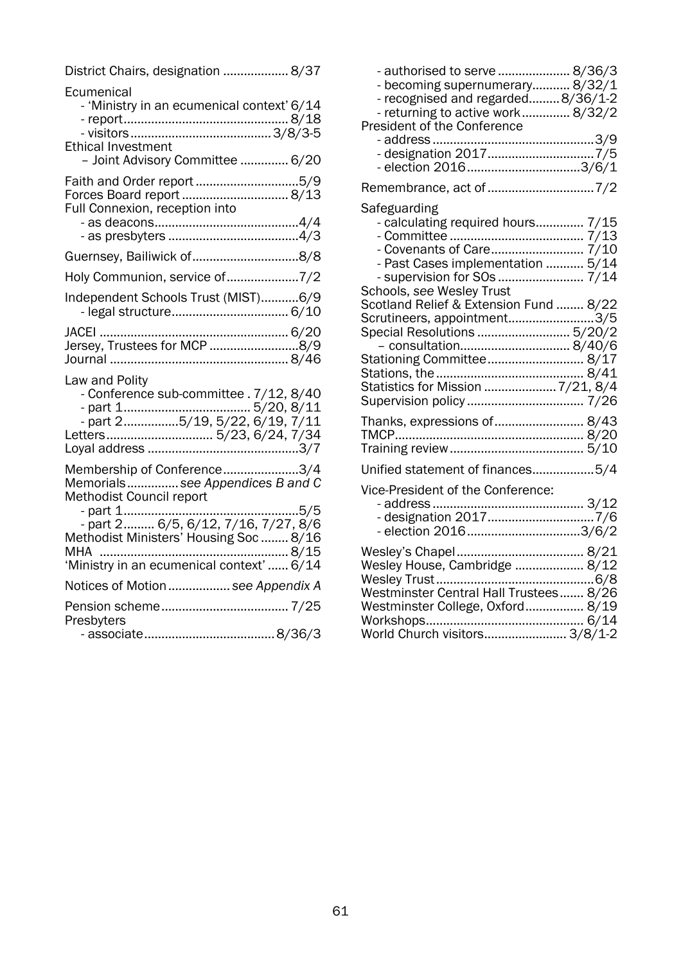| District Chairs, designation  8/37                                                                                        |  |
|---------------------------------------------------------------------------------------------------------------------------|--|
| Ecumenical<br>- 'Ministry in an ecumenical context' 6/14<br><b>Ethical Investment</b><br>- Joint Advisory Committee  6/20 |  |
| Faith and Order report 5/9<br>Forces Board report  8/13<br>Full Connexion, reception into                                 |  |
| Guernsey, Bailiwick of8/8                                                                                                 |  |
| Holy Communion, service of7/2                                                                                             |  |
| Independent Schools Trust (MIST)6/9                                                                                       |  |
|                                                                                                                           |  |
| Law and Polity<br>- Conference sub-committee . 7/12, 8/40<br>Letters 5/23, 6/24, 7/34                                     |  |
| Membership of Conference3/4<br>Memorialssee Appendices B and C<br>Methodist Council report                                |  |
| Methodist Ministers' Housing Soc  8/16                                                                                    |  |
| Notices of Motion  see Appendix A                                                                                         |  |
|                                                                                                                           |  |
| Presbyters                                                                                                                |  |

| - authorised to serve  8/36/3<br>- becoming supernumerary 8/32/1<br>- recognised and regarded8/36/1-2                                                      |  |
|------------------------------------------------------------------------------------------------------------------------------------------------------------|--|
| - returning to active work 8/32/2<br>President of the Conference                                                                                           |  |
| - election 20163/6/1                                                                                                                                       |  |
| Remembrance, act of 7/2                                                                                                                                    |  |
| Safeguarding<br>- calculating required hours 7/15<br>- Past Cases implementation  5/14                                                                     |  |
| Schools, see Wesley Trust<br>Scotland Relief & Extension Fund  8/22<br>Scrutineers, appointment3/5<br>Special Resolutions  5/20/2<br>- consultation 8/40/6 |  |
| Stationing Committee 8/17<br>Statistics for Mission  7/21, 8/4<br>Supervision policy  7/26                                                                 |  |
| Thanks, expressions of  8/43                                                                                                                               |  |
| Unified statement of finances5/4                                                                                                                           |  |
| Vice-President of the Conference:<br>- election 20163/6/2                                                                                                  |  |
| Westminster Central Hall Trustees 8/26<br>Westminster College, Oxford 8/19<br>World Church visitors 3/8/1-2                                                |  |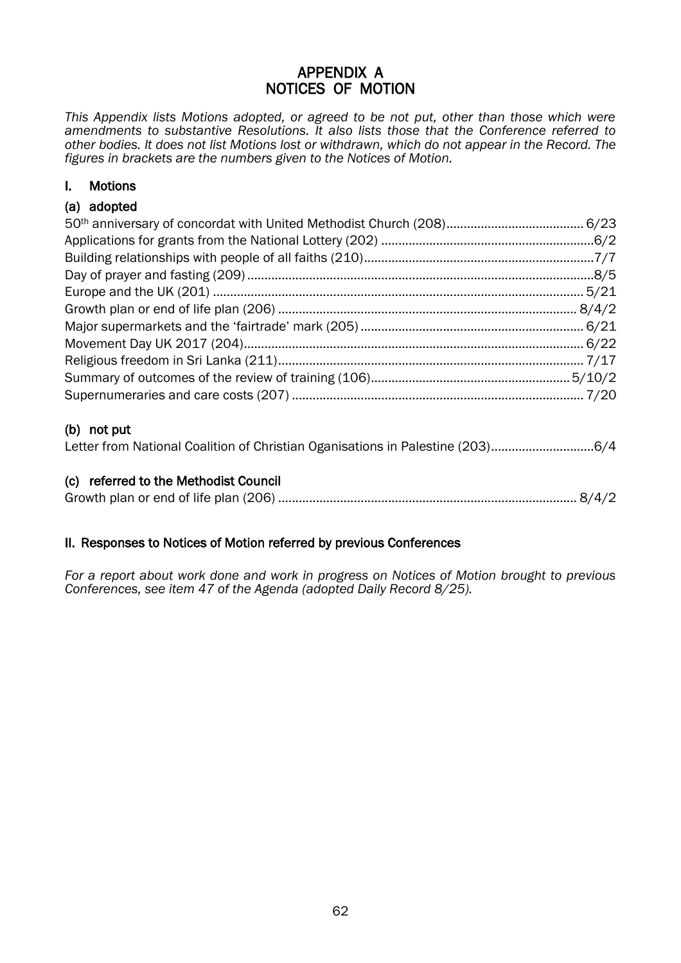### APPENDIX A NOTICES OF MOTION

*This Appendix lists Motions adopted, or agreed to be not put, other than those which were amendments to substantive Resolutions. It also lists those that the Conference referred to other bodies. It does not list Motions lost or withdrawn, which do not appear in the Record. The figures in brackets are the numbers given to the Notices of Motion.*

### I. Motions

### (a) adopted

### (b) not put

|  | Letter from National Coalition of Christian Oganisations in Palestine (203)6/4 |  |
|--|--------------------------------------------------------------------------------|--|
|--|--------------------------------------------------------------------------------|--|

### (c) referred to the Methodist Council

### II. Responses to Notices of Motion referred by previous Conferences

*For a report about work done and work in progress on Notices of Motion brought to previous Conferences, see item 47 of the Agenda (adopted Daily Record 8/25).*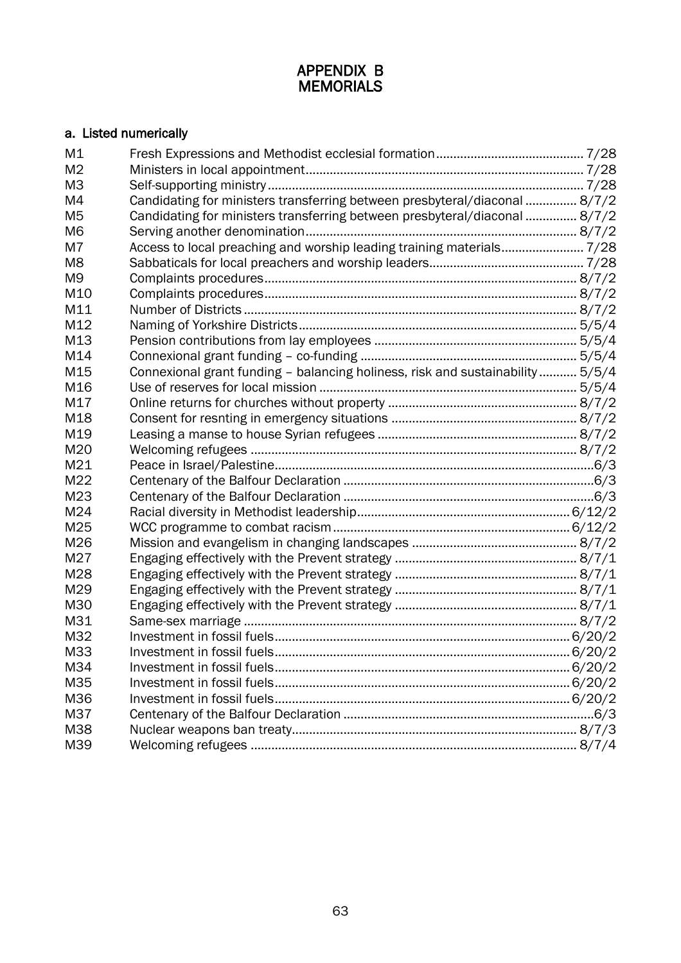### APPENDIX B MEMORIALS

### a. Listed numerically

| M1             |                                                                               |  |
|----------------|-------------------------------------------------------------------------------|--|
| M <sub>2</sub> |                                                                               |  |
| M <sub>3</sub> |                                                                               |  |
| M4             | Candidating for ministers transferring between presbyteral/diaconal  8/7/2    |  |
| M <sub>5</sub> | Candidating for ministers transferring between presbyteral/diaconal  8/7/2    |  |
| M <sub>6</sub> |                                                                               |  |
| M7             | Access to local preaching and worship leading training materials 7/28         |  |
| M <sub>8</sub> |                                                                               |  |
| M <sub>9</sub> |                                                                               |  |
| M10            |                                                                               |  |
| M11            |                                                                               |  |
| M12            |                                                                               |  |
| M13            |                                                                               |  |
| M14            |                                                                               |  |
| M15            | Connexional grant funding - balancing holiness, risk and sustainability 5/5/4 |  |
| M16            |                                                                               |  |
| M17            |                                                                               |  |
| M18            |                                                                               |  |
| M19            |                                                                               |  |
| M20            |                                                                               |  |
| M21            |                                                                               |  |
| M22            |                                                                               |  |
| M23            |                                                                               |  |
| M24            |                                                                               |  |
| M25            |                                                                               |  |
| M26            |                                                                               |  |
| M27            |                                                                               |  |
| M28            |                                                                               |  |
| M29            |                                                                               |  |
| M30            |                                                                               |  |
| M31            |                                                                               |  |
| M32            |                                                                               |  |
| M33            |                                                                               |  |
| M34            |                                                                               |  |
| M35            |                                                                               |  |
| M36            |                                                                               |  |
| M37            |                                                                               |  |
| M38            |                                                                               |  |
| M39            |                                                                               |  |